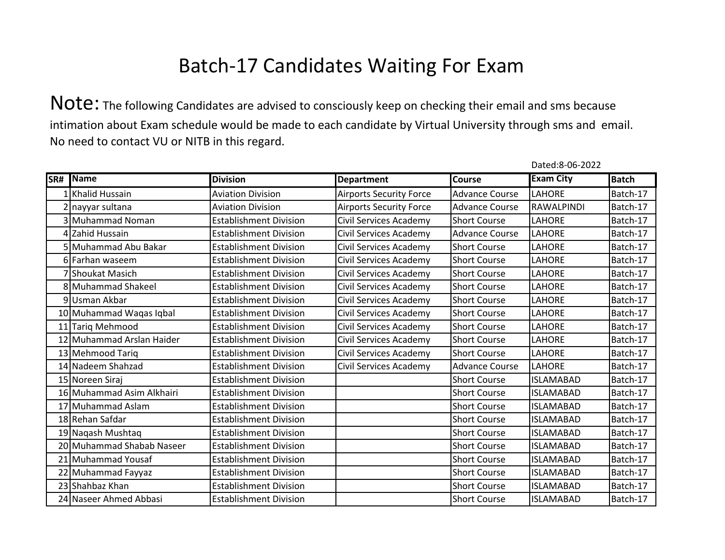Note: The following Candidates are advised to consciously keep on checking their email and sms because intimation about Exam schedule would be made to each candidate by Virtual University through sms and email. No need to contact VU or NITB in this regard.

| SR# | Name                      | <b>Division</b>               | <b>Department</b>              | <b>Course</b>         | <b>Exam City</b>  | <b>Batch</b> |
|-----|---------------------------|-------------------------------|--------------------------------|-----------------------|-------------------|--------------|
|     | 1 Khalid Hussain          | <b>Aviation Division</b>      | <b>Airports Security Force</b> | <b>Advance Course</b> | <b>LAHORE</b>     | Batch-17     |
|     | 2 nayyar sultana          | <b>Aviation Division</b>      | <b>Airports Security Force</b> | <b>Advance Course</b> | <b>RAWALPINDI</b> | Batch-17     |
|     | 3 Muhammad Noman          | <b>Establishment Division</b> | Civil Services Academy         | <b>Short Course</b>   | <b>LAHORE</b>     | Batch-17     |
|     | 4 Zahid Hussain           | <b>Establishment Division</b> | Civil Services Academy         | <b>Advance Course</b> | <b>LAHORE</b>     | Batch-17     |
|     | 5 Muhammad Abu Bakar      | <b>Establishment Division</b> | Civil Services Academy         | <b>Short Course</b>   | LAHORE            | Batch-17     |
|     | 6 Farhan waseem           | <b>Establishment Division</b> | Civil Services Academy         | <b>Short Course</b>   | <b>LAHORE</b>     | Batch-17     |
|     | 7 Shoukat Masich          | <b>Establishment Division</b> | Civil Services Academy         | <b>Short Course</b>   | LAHORE            | Batch-17     |
|     | 8 Muhammad Shakeel        | <b>Establishment Division</b> | Civil Services Academy         | <b>Short Course</b>   | LAHORE            | Batch-17     |
|     | 9Usman Akbar              | <b>Establishment Division</b> | Civil Services Academy         | <b>Short Course</b>   | LAHORE            | Batch-17     |
|     | 10 Muhammad Waqas Iqbal   | <b>Establishment Division</b> | Civil Services Academy         | <b>Short Course</b>   | LAHORE            | Batch-17     |
|     | 11 Tariq Mehmood          | <b>Establishment Division</b> | Civil Services Academy         | <b>Short Course</b>   | LAHORE            | Batch-17     |
|     | 12 Muhammad Arslan Haider | <b>Establishment Division</b> | Civil Services Academy         | <b>Short Course</b>   | LAHORE            | Batch-17     |
|     | 13 Mehmood Tariq          | <b>Establishment Division</b> | Civil Services Academy         | <b>Short Course</b>   | <b>LAHORE</b>     | Batch-17     |
|     | 14 Nadeem Shahzad         | <b>Establishment Division</b> | Civil Services Academy         | <b>Advance Course</b> | <b>LAHORE</b>     | Batch-17     |
|     | 15 Noreen Siraj           | <b>Establishment Division</b> |                                | <b>Short Course</b>   | <b>ISLAMABAD</b>  | Batch-17     |
|     | 16 Muhammad Asim Alkhairi | <b>Establishment Division</b> |                                | <b>Short Course</b>   | <b>ISLAMABAD</b>  | Batch-17     |
|     | 17 Muhammad Aslam         | <b>Establishment Division</b> |                                | <b>Short Course</b>   | <b>ISLAMABAD</b>  | Batch-17     |
|     | 18 Rehan Safdar           | <b>Establishment Division</b> |                                | <b>Short Course</b>   | <b>ISLAMABAD</b>  | Batch-17     |
|     | 19 Nagash Mushtag         | <b>Establishment Division</b> |                                | <b>Short Course</b>   | <b>ISLAMABAD</b>  | Batch-17     |
|     | 20 Muhammad Shabab Naseer | <b>Establishment Division</b> |                                | <b>Short Course</b>   | <b>ISLAMABAD</b>  | Batch-17     |
|     | 21 Muhammad Yousaf        | <b>Establishment Division</b> |                                | <b>Short Course</b>   | <b>ISLAMABAD</b>  | Batch-17     |
|     | 22 Muhammad Fayyaz        | <b>Establishment Division</b> |                                | <b>Short Course</b>   | <b>ISLAMABAD</b>  | Batch-17     |
|     | 23 Shahbaz Khan           | <b>Establishment Division</b> |                                | <b>Short Course</b>   | <b>ISLAMABAD</b>  | Batch-17     |
|     | 24 Naseer Ahmed Abbasi    | <b>Establishment Division</b> |                                | <b>Short Course</b>   | <b>ISLAMABAD</b>  | Batch-17     |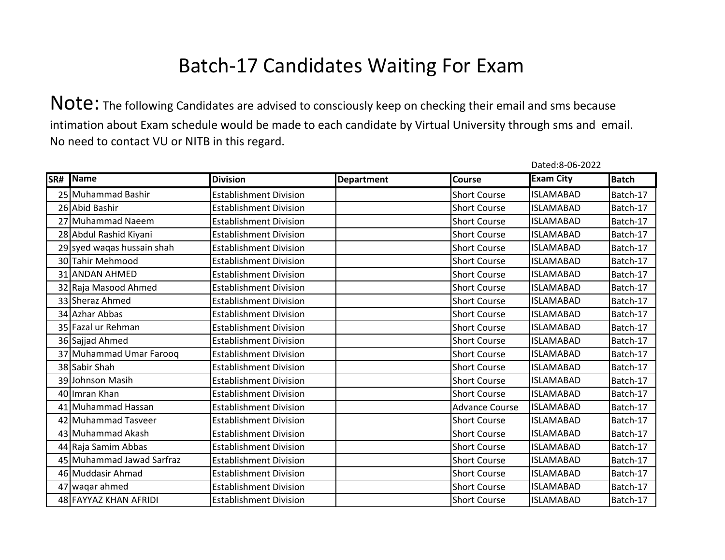|     |                            |                               |                   |                       | Dated:8-06-2022  |              |
|-----|----------------------------|-------------------------------|-------------------|-----------------------|------------------|--------------|
| SR# | Name                       | <b>Division</b>               | <b>Department</b> | <b>Course</b>         | <b>Exam City</b> | <b>Batch</b> |
|     | 25 Muhammad Bashir         | <b>Establishment Division</b> |                   | <b>Short Course</b>   | <b>ISLAMABAD</b> | Batch-17     |
|     | 26 Abid Bashir             | <b>Establishment Division</b> |                   | <b>Short Course</b>   | <b>ISLAMABAD</b> | Batch-17     |
|     | 27 Muhammad Naeem          | <b>Establishment Division</b> |                   | <b>Short Course</b>   | <b>ISLAMABAD</b> | Batch-17     |
|     | 28 Abdul Rashid Kiyani     | <b>Establishment Division</b> |                   | <b>Short Course</b>   | <b>ISLAMABAD</b> | Batch-17     |
|     | 29 syed wagas hussain shah | <b>Establishment Division</b> |                   | <b>Short Course</b>   | <b>ISLAMABAD</b> | Batch-17     |
|     | 30 Tahir Mehmood           | <b>Establishment Division</b> |                   | <b>Short Course</b>   | <b>ISLAMABAD</b> | Batch-17     |
|     | 31 ANDAN AHMED             | <b>Establishment Division</b> |                   | <b>Short Course</b>   | <b>ISLAMABAD</b> | Batch-17     |
|     | 32 Raja Masood Ahmed       | <b>Establishment Division</b> |                   | <b>Short Course</b>   | <b>ISLAMABAD</b> | Batch-17     |
|     | 33 Sheraz Ahmed            | <b>Establishment Division</b> |                   | <b>Short Course</b>   | <b>ISLAMABAD</b> | Batch-17     |
|     | 34 Azhar Abbas             | <b>Establishment Division</b> |                   | <b>Short Course</b>   | <b>ISLAMABAD</b> | Batch-17     |
|     | 35 Fazal ur Rehman         | <b>Establishment Division</b> |                   | <b>Short Course</b>   | <b>ISLAMABAD</b> | Batch-17     |
|     | 36 Sajjad Ahmed            | <b>Establishment Division</b> |                   | <b>Short Course</b>   | <b>ISLAMABAD</b> | Batch-17     |
|     | 37 Muhammad Umar Farooq    | <b>Establishment Division</b> |                   | <b>Short Course</b>   | <b>ISLAMABAD</b> | Batch-17     |
|     | 38 Sabir Shah              | <b>Establishment Division</b> |                   | <b>Short Course</b>   | <b>ISLAMABAD</b> | Batch-17     |
|     | 39 Johnson Masih           | <b>Establishment Division</b> |                   | <b>Short Course</b>   | <b>ISLAMABAD</b> | Batch-17     |
|     | 40 Imran Khan              | <b>Establishment Division</b> |                   | <b>Short Course</b>   | <b>ISLAMABAD</b> | Batch-17     |
|     | 41 Muhammad Hassan         | <b>Establishment Division</b> |                   | <b>Advance Course</b> | <b>ISLAMABAD</b> | Batch-17     |
|     | 42 Muhammad Tasveer        | <b>Establishment Division</b> |                   | <b>Short Course</b>   | <b>ISLAMABAD</b> | Batch-17     |
|     | 43 Muhammad Akash          | <b>Establishment Division</b> |                   | <b>Short Course</b>   | <b>ISLAMABAD</b> | Batch-17     |
|     | 44 Raja Samim Abbas        | <b>Establishment Division</b> |                   | <b>Short Course</b>   | <b>ISLAMABAD</b> | Batch-17     |
|     | 45 Muhammad Jawad Sarfraz  | <b>Establishment Division</b> |                   | <b>Short Course</b>   | <b>ISLAMABAD</b> | Batch-17     |
|     | 46 Muddasir Ahmad          | <b>Establishment Division</b> |                   | <b>Short Course</b>   | <b>ISLAMABAD</b> | Batch-17     |
|     | 47 waqar ahmed             | <b>Establishment Division</b> |                   | <b>Short Course</b>   | <b>ISLAMABAD</b> | Batch-17     |
|     | 48 FAYYAZ KHAN AFRIDI      | <b>Establishment Division</b> |                   | <b>Short Course</b>   | <b>ISLAMABAD</b> | Batch-17     |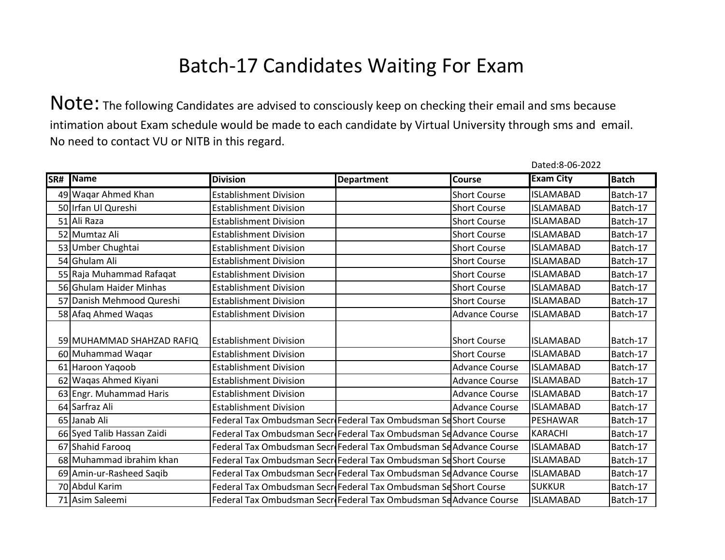|     |                            |                                                                    |                   |                       | Dated:8-06-2022  |              |
|-----|----------------------------|--------------------------------------------------------------------|-------------------|-----------------------|------------------|--------------|
| SR# | <b>Name</b>                | <b>Division</b>                                                    | <b>Department</b> | <b>Course</b>         | <b>Exam City</b> | <b>Batch</b> |
|     | 49 Waqar Ahmed Khan        | <b>Establishment Division</b>                                      |                   | <b>Short Course</b>   | <b>ISLAMABAD</b> | Batch-17     |
|     | 50 Irfan Ul Qureshi        | <b>Establishment Division</b>                                      |                   | <b>Short Course</b>   | <b>ISLAMABAD</b> | Batch-17     |
|     | 51 Ali Raza                | <b>Establishment Division</b>                                      |                   | <b>Short Course</b>   | <b>ISLAMABAD</b> | Batch-17     |
|     | 52 Mumtaz Ali              | <b>Establishment Division</b>                                      |                   | <b>Short Course</b>   | <b>ISLAMABAD</b> | Batch-17     |
|     | 53 Umber Chughtai          | <b>Establishment Division</b>                                      |                   | <b>Short Course</b>   | <b>ISLAMABAD</b> | Batch-17     |
|     | 54 Ghulam Ali              | <b>Establishment Division</b>                                      |                   | <b>Short Course</b>   | <b>ISLAMABAD</b> | Batch-17     |
|     | 55 Raja Muhammad Rafaqat   | <b>Establishment Division</b>                                      |                   | <b>Short Course</b>   | <b>ISLAMABAD</b> | Batch-17     |
|     | 56 Ghulam Haider Minhas    | <b>Establishment Division</b>                                      |                   | <b>Short Course</b>   | <b>ISLAMABAD</b> | Batch-17     |
|     | 57 Danish Mehmood Qureshi  | <b>Establishment Division</b>                                      |                   | <b>Short Course</b>   | <b>ISLAMABAD</b> | Batch-17     |
|     | 58 Afaq Ahmed Wagas        | <b>Establishment Division</b>                                      |                   | <b>Advance Course</b> | <b>ISLAMABAD</b> | Batch-17     |
|     |                            |                                                                    |                   |                       |                  |              |
|     | 59 MUHAMMAD SHAHZAD RAFIQ  | <b>Establishment Division</b>                                      |                   | <b>Short Course</b>   | <b>ISLAMABAD</b> | Batch-17     |
|     | 60 Muhammad Waqar          | <b>Establishment Division</b>                                      |                   | <b>Short Course</b>   | <b>ISLAMABAD</b> | Batch-17     |
|     | 61 Haroon Yaqoob           | <b>Establishment Division</b>                                      |                   | <b>Advance Course</b> | <b>ISLAMABAD</b> | Batch-17     |
|     | 62 Waqas Ahmed Kiyani      | <b>Establishment Division</b>                                      |                   | <b>Advance Course</b> | <b>ISLAMABAD</b> | Batch-17     |
|     | 63 Engr. Muhammad Haris    | <b>Establishment Division</b>                                      |                   | <b>Advance Course</b> | <b>ISLAMABAD</b> | Batch-17     |
|     | 64 Sarfraz Ali             | <b>Establishment Division</b>                                      |                   | <b>Advance Course</b> | <b>ISLAMABAD</b> | Batch-17     |
|     | 65 Janab Ali               | Federal Tax Ombudsman Secr Federal Tax Ombudsman SeShort Course    |                   |                       | PESHAWAR         | Batch-17     |
|     | 66 Syed Talib Hassan Zaidi | Federal Tax Ombudsman Secr Federal Tax Ombudsman Se Advance Course |                   |                       | <b>KARACHI</b>   | Batch-17     |
|     | 67 Shahid Faroog           | Federal Tax Ombudsman Secr Federal Tax Ombudsman SeAdvance Course  |                   |                       | <b>ISLAMABAD</b> | Batch-17     |
|     | 68 Muhammad ibrahim khan   | Federal Tax Ombudsman SecreFederal Tax Ombudsman Se Short Course   |                   |                       | <b>ISLAMABAD</b> | Batch-17     |
|     | 69 Amin-ur-Rasheed Saqib   | Federal Tax Ombudsman Secr Federal Tax Ombudsman Se Advance Course |                   |                       | <b>ISLAMABAD</b> | Batch-17     |
|     | 70 Abdul Karim             | Federal Tax Ombudsman Secr Federal Tax Ombudsman Se Short Course   |                   |                       | <b>SUKKUR</b>    | Batch-17     |
|     | 71 Asim Saleemi            | Federal Tax Ombudsman Secr Federal Tax Ombudsman Se Advance Course |                   |                       | <b>ISLAMABAD</b> | Batch-17     |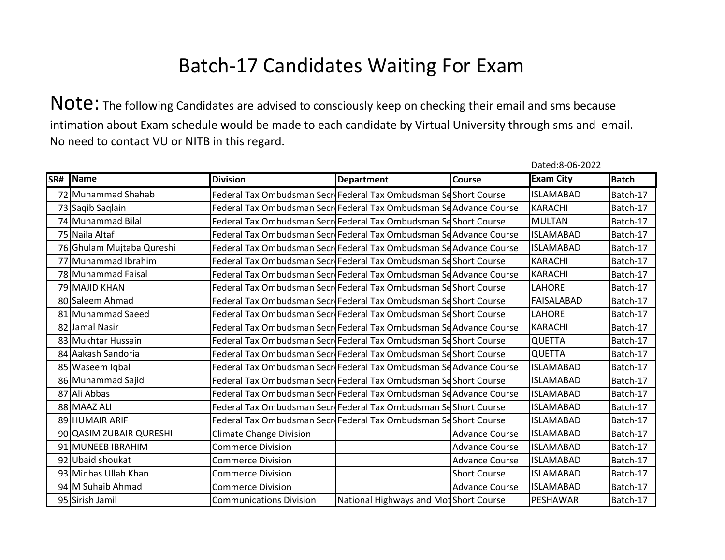Note: The following Candidates are advised to consciously keep on checking their email and sms because intimation about Exam schedule would be made to each candidate by Virtual University through sms and email. No need to contact VU or NITB in this regard.

| SR# | Name                      | <b>Division</b>                                                     | <b>Department</b>                      | <b>Course</b>         | <b>Exam City</b>  | <b>Batch</b> |
|-----|---------------------------|---------------------------------------------------------------------|----------------------------------------|-----------------------|-------------------|--------------|
|     | 72 Muhammad Shahab        | Federal Tax Ombudsman SecriFederal Tax Ombudsman Seshort Course     |                                        |                       | <b>ISLAMABAD</b>  | Batch-17     |
|     | 73 Saqib Saqlain          | Federal Tax Ombudsman Secr Federal Tax Ombudsman Se Advance Course  |                                        |                       | <b>KARACHI</b>    | Batch-17     |
|     | 74 Muhammad Bilal         | Federal Tax Ombudsman SecriFederal Tax Ombudsman Seshort Course     |                                        |                       | <b>MULTAN</b>     | Batch-17     |
|     | 75 Naila Altaf            | Federal Tax Ombudsman Secre Federal Tax Ombudsman Se Advance Course |                                        |                       | <b>ISLAMABAD</b>  | Batch-17     |
|     | 76 Ghulam Mujtaba Qureshi | Federal Tax Ombudsman Secr Federal Tax Ombudsman Se Advance Course  |                                        |                       | <b>ISLAMABAD</b>  | Batch-17     |
|     | 77 Muhammad Ibrahim       | Federal Tax Ombudsman SecriFederal Tax Ombudsman Se Short Course    |                                        |                       | <b>KARACHI</b>    | Batch-17     |
|     | 78 Muhammad Faisal        | Federal Tax Ombudsman Secr Federal Tax Ombudsman Se Advance Course  |                                        |                       | <b>KARACHI</b>    | Batch-17     |
|     | 79 MAJID KHAN             | Federal Tax Ombudsman SecriFederal Tax Ombudsman Seshort Course     |                                        |                       | LAHORE            | Batch-17     |
|     | 80 Saleem Ahmad           | Federal Tax Ombudsman SecriFederal Tax Ombudsman Seshort Course     |                                        |                       | <b>FAISALABAD</b> | Batch-17     |
|     | 81 Muhammad Saeed         | Federal Tax Ombudsman SecriFederal Tax Ombudsman Seshort Course     |                                        |                       | LAHORE            | Batch-17     |
|     | 82 Jamal Nasir            | Federal Tax Ombudsman SecriFederal Tax Ombudsman Se Advance Course  |                                        |                       | <b>KARACHI</b>    | Batch-17     |
|     | 83 Mukhtar Hussain        | Federal Tax Ombudsman SecriFederal Tax Ombudsman Sesshort Course    |                                        |                       | <b>QUETTA</b>     | Batch-17     |
|     | 84 Aakash Sandoria        | Federal Tax Ombudsman SecriFederal Tax Ombudsman Se Short Course    |                                        |                       | <b>QUETTA</b>     | Batch-17     |
|     | 85 Waseem Iqbal           | Federal Tax Ombudsman SecriFederal Tax Ombudsman SeAdvance Course   |                                        |                       | <b>ISLAMABAD</b>  | Batch-17     |
|     | 86 Muhammad Sajid         | Federal Tax Ombudsman SecriFederal Tax Ombudsman Sesshort Course    |                                        |                       | <b>ISLAMABAD</b>  | Batch-17     |
|     | 87 Ali Abbas              | Federal Tax Ombudsman Secr Federal Tax Ombudsman Se Advance Course  |                                        |                       | <b>ISLAMABAD</b>  | Batch-17     |
|     | 88 MAAZ ALI               | Federal Tax Ombudsman SecreFederal Tax Ombudsman SeShort Course     |                                        |                       | <b>ISLAMABAD</b>  | Batch-17     |
|     | 89 HUMAIR ARIF            | Federal Tax Ombudsman SecriFederal Tax Ombudsman Sesshort Course    |                                        |                       | <b>ISLAMABAD</b>  | Batch-17     |
|     | 90 QASIM ZUBAIR QURESHI   | <b>Climate Change Division</b>                                      |                                        | <b>Advance Course</b> | <b>ISLAMABAD</b>  | Batch-17     |
|     | 91 MUNEEB IBRAHIM         | <b>Commerce Division</b>                                            |                                        | <b>Advance Course</b> | <b>ISLAMABAD</b>  | Batch-17     |
|     | 92 Ubaid shoukat          | <b>Commerce Division</b>                                            |                                        | <b>Advance Course</b> | <b>ISLAMABAD</b>  | Batch-17     |
|     | 93 Minhas Ullah Khan      | <b>Commerce Division</b>                                            |                                        | <b>Short Course</b>   | <b>ISLAMABAD</b>  | Batch-17     |
|     | 94 M Suhaib Ahmad         | <b>Commerce Division</b>                                            |                                        | <b>Advance Course</b> | <b>ISLAMABAD</b>  | Batch-17     |
|     | 95 Sirish Jamil           | <b>Communications Division</b>                                      | National Highways and Mot Short Course |                       | PESHAWAR          | Batch-17     |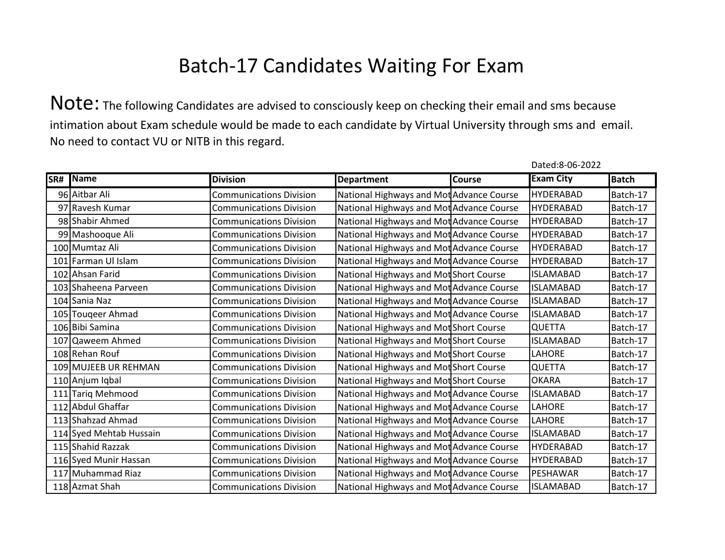Note: The following Candidates are advised to consciously keep on checking their email and sms because intimation about Exam schedule would be made to each candidate by Virtual University through sms and email. No need to contact VU or NITB in this regard.

| SR# | Name                    | <b>Division</b>                | <b>Department</b>                        | <b>Course</b> | <b>Exam City</b> | <b>Batch</b> |
|-----|-------------------------|--------------------------------|------------------------------------------|---------------|------------------|--------------|
|     | 96 Aitbar Ali           | <b>Communications Division</b> | National Highways and Mot Advance Course |               | <b>HYDERABAD</b> | Batch-17     |
|     | 97 Ravesh Kumar         | <b>Communications Division</b> | National Highways and Mot Advance Course |               | <b>HYDERABAD</b> | Batch-17     |
|     | 98 Shabir Ahmed         | <b>Communications Division</b> | National Highways and Mot Advance Course |               | <b>HYDERABAD</b> | Batch-17     |
|     | 99 Mashooque Ali        | <b>Communications Division</b> | National Highways and Mot Advance Course |               | <b>HYDERABAD</b> | Batch-17     |
|     | 100 Mumtaz Ali          | <b>Communications Division</b> | National Highways and Mot Advance Course |               | <b>HYDERABAD</b> | Batch-17     |
|     | 101 Farman Ul Islam     | <b>Communications Division</b> | National Highways and Mot Advance Course |               | <b>HYDERABAD</b> | Batch-17     |
|     | 102 Ahsan Farid         | <b>Communications Division</b> | National Highways and Mot Short Course   |               | <b>ISLAMABAD</b> | Batch-17     |
|     | 103 Shaheena Parveen    | <b>Communications Division</b> | National Highways and Mot Advance Course |               | <b>ISLAMABAD</b> | Batch-17     |
|     | 104 Sania Naz           | <b>Communications Division</b> | National Highways and Mot Advance Course |               | <b>ISLAMABAD</b> | Batch-17     |
|     | 105 Touqeer Ahmad       | <b>Communications Division</b> | National Highways and Mot Advance Course |               | <b>ISLAMABAD</b> | Batch-17     |
|     | 106 Bibi Samina         | <b>Communications Division</b> | National Highways and Mot Short Course   |               | <b>QUETTA</b>    | Batch-17     |
|     | 107 Qaweem Ahmed        | <b>Communications Division</b> | National Highways and Mot Short Course   |               | <b>ISLAMABAD</b> | Batch-17     |
|     | 108 Rehan Rouf          | <b>Communications Division</b> | National Highways and Mot Short Course   |               | LAHORE           | Batch-17     |
|     | 109 MUJEEB UR REHMAN    | <b>Communications Division</b> | National Highways and Mot Short Course   |               | QUETTA           | Batch-17     |
|     | 110 Anjum Iqbal         | <b>Communications Division</b> | National Highways and Mot Short Course   |               | <b>OKARA</b>     | Batch-17     |
|     | 111 Tariq Mehmood       | <b>Communications Division</b> | National Highways and Mot Advance Course |               | <b>ISLAMABAD</b> | Batch-17     |
|     | 112 Abdul Ghaffar       | <b>Communications Division</b> | National Highways and Mot Advance Course |               | LAHORE           | Batch-17     |
|     | 113 Shahzad Ahmad       | <b>Communications Division</b> | National Highways and Mot Advance Course |               | LAHORE           | Batch-17     |
|     | 114 Syed Mehtab Hussain | <b>Communications Division</b> | National Highways and Mot Advance Course |               | <b>ISLAMABAD</b> | Batch-17     |
|     | 115 Shahid Razzak       | <b>Communications Division</b> | National Highways and Mot Advance Course |               | <b>HYDERABAD</b> | Batch-17     |
|     | 116 Syed Munir Hassan   | <b>Communications Division</b> | National Highways and Mot Advance Course |               | <b>HYDERABAD</b> | Batch-17     |
|     | 117 Muhammad Riaz       | <b>Communications Division</b> | National Highways and Mot Advance Course |               | PESHAWAR         | Batch-17     |
|     | 118 Azmat Shah          | <b>Communications Division</b> | National Highways and Mot Advance Course |               | <b>ISLAMABAD</b> | Batch-17     |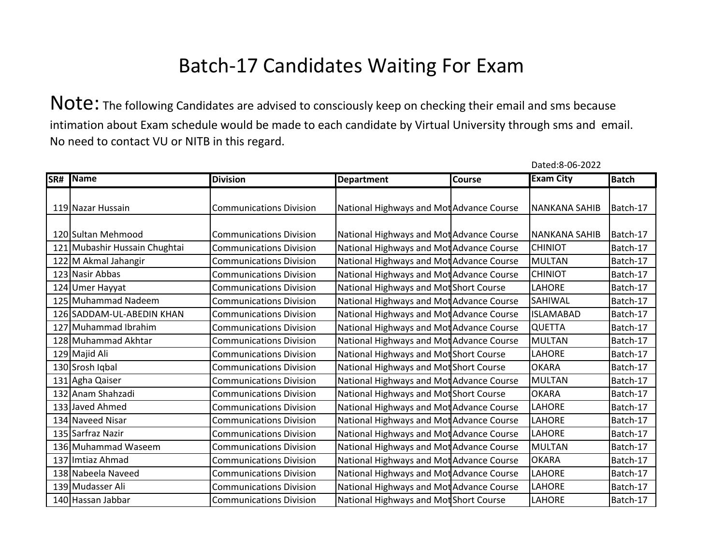Note: The following Candidates are advised to consciously keep on checking their email and sms because intimation about Exam schedule would be made to each candidate by Virtual University through sms and email. No need to contact VU or NITB in this regard.

| SR# | <b>Name</b>                   | <b>Division</b>                | <b>Department</b>                        | <b>Course</b> | <b>Exam City</b>     | <b>Batch</b> |
|-----|-------------------------------|--------------------------------|------------------------------------------|---------------|----------------------|--------------|
|     |                               |                                |                                          |               |                      |              |
|     | 119 Nazar Hussain             | <b>Communications Division</b> | National Highways and Mot Advance Course |               | <b>NANKANA SAHIB</b> | Batch-17     |
|     |                               |                                |                                          |               |                      |              |
|     | 120 Sultan Mehmood            | <b>Communications Division</b> | National Highways and Mot Advance Course |               | <b>NANKANA SAHIB</b> | Batch-17     |
|     | 121 Mubashir Hussain Chughtai | <b>Communications Division</b> | National Highways and Mot Advance Course |               | <b>CHINIOT</b>       | Batch-17     |
|     | 122 M Akmal Jahangir          | <b>Communications Division</b> | National Highways and Mot Advance Course |               | <b>MULTAN</b>        | Batch-17     |
|     | 123 Nasir Abbas               | <b>Communications Division</b> | National Highways and Mot Advance Course |               | <b>CHINIOT</b>       | Batch-17     |
|     | 124 Umer Hayyat               | <b>Communications Division</b> | National Highways and Mot Short Course   |               | <b>LAHORE</b>        | Batch-17     |
|     | 125 Muhammad Nadeem           | <b>Communications Division</b> | National Highways and Mot Advance Course |               | SAHIWAL              | Batch-17     |
|     | 126 SADDAM-UL-ABEDIN KHAN     | <b>Communications Division</b> | National Highways and Mot Advance Course |               | <b>ISLAMABAD</b>     | Batch-17     |
|     | 127 Muhammad Ibrahim          | <b>Communications Division</b> | National Highways and Mot Advance Course |               | <b>QUETTA</b>        | Batch-17     |
|     | 128 Muhammad Akhtar           | <b>Communications Division</b> | National Highways and Mot Advance Course |               | <b>MULTAN</b>        | Batch-17     |
|     | 129 Majid Ali                 | <b>Communications Division</b> | National Highways and Mot Short Course   |               | LAHORE               | Batch-17     |
|     | 130 Srosh Iqbal               | <b>Communications Division</b> | National Highways and Mot Short Course   |               | <b>OKARA</b>         | Batch-17     |
|     | 131 Agha Qaiser               | <b>Communications Division</b> | National Highways and Mot Advance Course |               | <b>MULTAN</b>        | Batch-17     |
|     | 132 Anam Shahzadi             | <b>Communications Division</b> | National Highways and Mot Short Course   |               | <b>OKARA</b>         | Batch-17     |
|     | 133 Javed Ahmed               | <b>Communications Division</b> | National Highways and Mot Advance Course |               | <b>LAHORE</b>        | Batch-17     |
|     | 134 Naveed Nisar              | <b>Communications Division</b> | National Highways and Mot Advance Course |               | LAHORE               | Batch-17     |
|     | 135 Sarfraz Nazir             | <b>Communications Division</b> | National Highways and Mot Advance Course |               | <b>LAHORE</b>        | Batch-17     |
|     | 136 Muhammad Waseem           | <b>Communications Division</b> | National Highways and Mot Advance Course |               | <b>MULTAN</b>        | Batch-17     |
|     | 137 Imtiaz Ahmad              | <b>Communications Division</b> | National Highways and Mot Advance Course |               | <b>OKARA</b>         | Batch-17     |
|     | 138 Nabeela Naveed            | <b>Communications Division</b> | National Highways and Mot Advance Course |               | LAHORE               | Batch-17     |
|     | 139 Mudasser Ali              | <b>Communications Division</b> | National Highways and Mot Advance Course |               | LAHORE               | Batch-17     |
|     | 140 Hassan Jabbar             | <b>Communications Division</b> | National Highways and Mot Short Course   |               | LAHORE               | Batch-17     |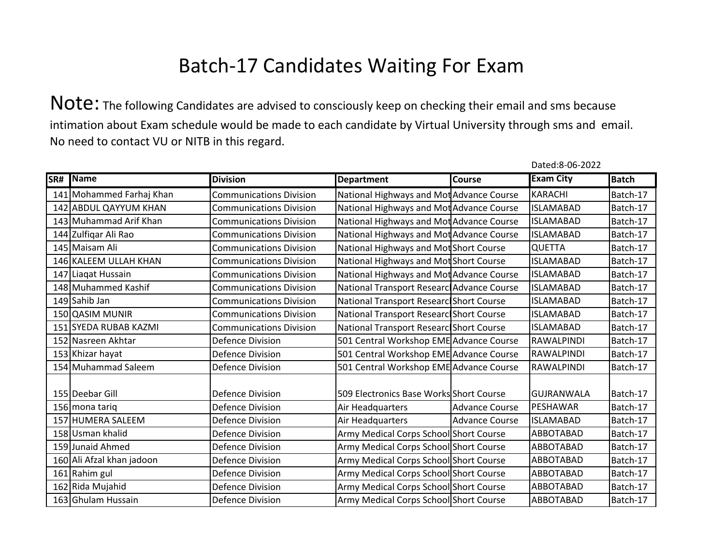Note: The following Candidates are advised to consciously keep on checking their email and sms because intimation about Exam schedule would be made to each candidate by Virtual University through sms and email. No need to contact VU or NITB in this regard.

| SR# Name                  | <b>Division</b>                | <b>Department</b>                         | <b>Course</b>         | <b>Exam City</b>  | <b>Batch</b> |
|---------------------------|--------------------------------|-------------------------------------------|-----------------------|-------------------|--------------|
| 141 Mohammed Farhaj Khan  | <b>Communications Division</b> | National Highways and Mot Advance Course  |                       | <b>KARACHI</b>    | Batch-17     |
| 142 ABDUL QAYYUM KHAN     | <b>Communications Division</b> | National Highways and Mot Advance Course  |                       | <b>ISLAMABAD</b>  | Batch-17     |
| 143 Muhammad Arif Khan    | <b>Communications Division</b> | National Highways and Mot Advance Course  |                       | <b>ISLAMABAD</b>  | Batch-17     |
| 144 Zulfiqar Ali Rao      | <b>Communications Division</b> | National Highways and Mot Advance Course  |                       | <b>ISLAMABAD</b>  | Batch-17     |
| 145 Maisam Ali            | <b>Communications Division</b> | National Highways and Mot Short Course    |                       | <b>QUETTA</b>     | Batch-17     |
| 146 KALEEM ULLAH KHAN     | <b>Communications Division</b> | National Highways and Mot Short Course    |                       | <b>ISLAMABAD</b>  | Batch-17     |
| 147 Liagat Hussain        | <b>Communications Division</b> | National Highways and Mot Advance Course  |                       | <b>ISLAMABAD</b>  | Batch-17     |
| 148 Muhammed Kashif       | <b>Communications Division</b> | National Transport Researc Advance Course |                       | <b>ISLAMABAD</b>  | Batch-17     |
| 149 Sahib Jan             | <b>Communications Division</b> | National Transport Researc Short Course   |                       | <b>ISLAMABAD</b>  | Batch-17     |
| 150 QASIM MUNIR           | <b>Communications Division</b> | National Transport Researc Short Course   |                       | <b>ISLAMABAD</b>  | Batch-17     |
| 151 SYEDA RUBAB KAZMI     | <b>Communications Division</b> | National Transport Researc Short Course   |                       | <b>ISLAMABAD</b>  | Batch-17     |
| 152 Nasreen Akhtar        | <b>Defence Division</b>        | 501 Central Workshop EME Advance Course   |                       | RAWALPINDI        | Batch-17     |
| 153 Khizar hayat          | <b>Defence Division</b>        | 501 Central Workshop EME Advance Course   |                       | RAWALPINDI        | Batch-17     |
| 154 Muhammad Saleem       | <b>Defence Division</b>        | 501 Central Workshop EME Advance Course   |                       | RAWALPINDI        | Batch-17     |
| 155 Deebar Gill           | <b>Defence Division</b>        | 509 Electronics Base Works Short Course   |                       | <b>GUJRANWALA</b> | Batch-17     |
| 156 mona tariq            | <b>Defence Division</b>        | Air Headquarters                          | <b>Advance Course</b> | PESHAWAR          | Batch-17     |
| 157 HUMERA SALEEM         | <b>Defence Division</b>        | Air Headquarters                          | <b>Advance Course</b> | <b>ISLAMABAD</b>  | Batch-17     |
| 158 Usman khalid          | <b>Defence Division</b>        | Army Medical Corps School Short Course    |                       | ABBOTABAD         | Batch-17     |
| 159 Junaid Ahmed          | <b>Defence Division</b>        | Army Medical Corps School Short Course    |                       | ABBOTABAD         | Batch-17     |
| 160 Ali Afzal khan jadoon | <b>Defence Division</b>        | Army Medical Corps School Short Course    |                       | ABBOTABAD         | Batch-17     |
| 161 Rahim gul             | <b>Defence Division</b>        | Army Medical Corps School Short Course    |                       | ABBOTABAD         | Batch-17     |
| 162 Rida Mujahid          | <b>Defence Division</b>        | Army Medical Corps School Short Course    |                       | ABBOTABAD         | Batch-17     |
| 163 Ghulam Hussain        | <b>Defence Division</b>        | Army Medical Corps School Short Course    |                       | ABBOTABAD         | Batch-17     |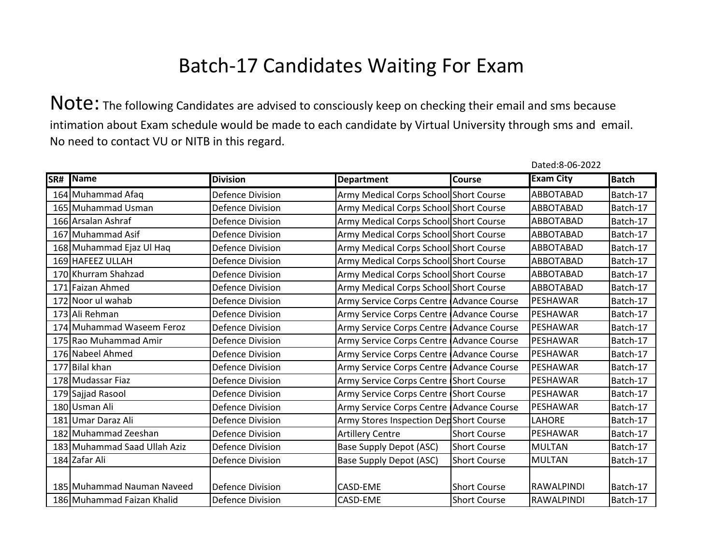Note: The following Candidates are advised to consciously keep on checking their email and sms because intimation about Exam schedule would be made to each candidate by Virtual University through sms and email. No need to contact VU or NITB in this regard.

| SR# | Name                         | <b>Division</b>         | <b>Department</b>                        | Course              | <b>Exam City</b> | <b>Batch</b> |
|-----|------------------------------|-------------------------|------------------------------------------|---------------------|------------------|--------------|
|     | 164 Muhammad Afaq            | <b>Defence Division</b> | Army Medical Corps School Short Course   |                     | ABBOTABAD        | Batch-17     |
|     | 165 Muhammad Usman           | <b>Defence Division</b> | Army Medical Corps School Short Course   |                     | ABBOTABAD        | Batch-17     |
|     | 166 Arsalan Ashraf           | <b>Defence Division</b> | Army Medical Corps School Short Course   |                     | ABBOTABAD        | Batch-17     |
|     | 167 Muhammad Asif            | <b>Defence Division</b> | Army Medical Corps School Short Course   |                     | ABBOTABAD        | Batch-17     |
|     | 168 Muhammad Ejaz Ul Haq     | Defence Division        | Army Medical Corps School Short Course   |                     | ABBOTABAD        | Batch-17     |
|     | 169 HAFEEZ ULLAH             | <b>Defence Division</b> | Army Medical Corps School Short Course   |                     | ABBOTABAD        | Batch-17     |
|     | 170 Khurram Shahzad          | <b>Defence Division</b> | Army Medical Corps School Short Course   |                     | ABBOTABAD        | Batch-17     |
|     | 171 Faizan Ahmed             | <b>Defence Division</b> | Army Medical Corps School Short Course   |                     | ABBOTABAD        | Batch-17     |
|     | 172 Noor ul wahab            | <b>Defence Division</b> | Army Service Corps Centre Advance Course |                     | PESHAWAR         | Batch-17     |
|     | 173 Ali Rehman               | Defence Division        | Army Service Corps Centre Advance Course |                     | PESHAWAR         | Batch-17     |
|     | 174 Muhammad Waseem Feroz    | <b>Defence Division</b> | Army Service Corps Centre Advance Course |                     | PESHAWAR         | Batch-17     |
|     | 175 Rao Muhammad Amir        | <b>Defence Division</b> | Army Service Corps Centre Advance Course |                     | PESHAWAR         | Batch-17     |
|     | 176 Nabeel Ahmed             | Defence Division        | Army Service Corps Centre Advance Course |                     | PESHAWAR         | Batch-17     |
|     | 177 Bilal khan               | <b>Defence Division</b> | Army Service Corps Centre Advance Course |                     | PESHAWAR         | Batch-17     |
|     | 178 Mudassar Fiaz            | <b>Defence Division</b> | Army Service Corps Centre Short Course   |                     | <b>PESHAWAR</b>  | Batch-17     |
|     | 179 Sajjad Rasool            | <b>Defence Division</b> | Army Service Corps Centre Short Course   |                     | PESHAWAR         | Batch-17     |
|     | 180 Usman Ali                | <b>Defence Division</b> | Army Service Corps Centre Advance Course |                     | PESHAWAR         | Batch-17     |
|     | 181 Umar Daraz Ali           | Defence Division        | Army Stores Inspection DedShort Course   |                     | <b>LAHORE</b>    | Batch-17     |
|     | 182 Muhammad Zeeshan         | <b>Defence Division</b> | <b>Artillery Centre</b>                  | <b>Short Course</b> | PESHAWAR         | Batch-17     |
|     | 183 Muhammad Saad Ullah Aziz | <b>Defence Division</b> | Base Supply Depot (ASC)                  | <b>Short Course</b> | <b>MULTAN</b>    | Batch-17     |
|     | 184 Zafar Ali                | <b>Defence Division</b> | Base Supply Depot (ASC)                  | <b>Short Course</b> | <b>MULTAN</b>    | Batch-17     |
|     |                              |                         |                                          |                     |                  |              |
|     | 185 Muhammad Nauman Naveed   | Defence Division        | <b>CASD-EME</b>                          | <b>Short Course</b> | RAWALPINDI       | Batch-17     |
|     | 186 Muhammad Faizan Khalid   | Defence Division        | <b>CASD-EME</b>                          | <b>Short Course</b> | RAWALPINDI       | Batch-17     |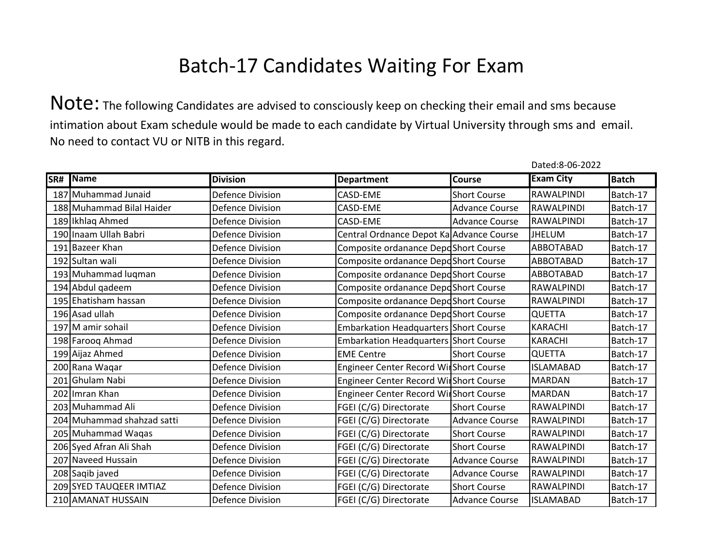|     |                            |                         |                                          |                       | Dated:8-06-2022   |              |
|-----|----------------------------|-------------------------|------------------------------------------|-----------------------|-------------------|--------------|
| SR# | <b>Name</b>                | <b>Division</b>         | <b>Department</b>                        | <b>Course</b>         | <b>Exam City</b>  | <b>Batch</b> |
|     | 187 Muhammad Junaid        | <b>Defence Division</b> | CASD-EME                                 | <b>Short Course</b>   | <b>RAWALPINDI</b> | Batch-17     |
|     | 188 Muhammad Bilal Haider  | <b>Defence Division</b> | CASD-EME                                 | <b>Advance Course</b> | <b>RAWALPINDI</b> | Batch-17     |
|     | 189 Ikhlaq Ahmed           | <b>Defence Division</b> | CASD-EME                                 | <b>Advance Course</b> | <b>RAWALPINDI</b> | Batch-17     |
|     | 190 Inaam Ullah Babri      | <b>Defence Division</b> | Central Ordnance Depot Ka Advance Course |                       | <b>JHELUM</b>     | Batch-17     |
|     | 191 Bazeer Khan            | <b>Defence Division</b> | Composite ordanance DepdShort Course     |                       | ABBOTABAD         | Batch-17     |
|     | 192 Sultan wali            | <b>Defence Division</b> | Composite ordanance DepdShort Course     |                       | <b>ABBOTABAD</b>  | Batch-17     |
|     | 193 Muhammad luqman        | <b>Defence Division</b> | Composite ordanance DepdShort Course     |                       | <b>ABBOTABAD</b>  | Batch-17     |
|     | 194 Abdul qadeem           | <b>Defence Division</b> | Composite ordanance DepoShort Course     |                       | <b>RAWALPINDI</b> | Batch-17     |
|     | 195 Ehatisham hassan       | <b>Defence Division</b> | Composite ordanance DepdShort Course     |                       | RAWALPINDI        | Batch-17     |
|     | 196 Asad ullah             | <b>Defence Division</b> | Composite ordanance DepdShort Course     |                       | <b>QUETTA</b>     | Batch-17     |
|     | 197 M amir sohail          | <b>Defence Division</b> | Embarkation Headquarters Short Course    |                       | <b>KARACHI</b>    | Batch-17     |
|     | 198 Farooq Ahmad           | Defence Division        | Embarkation Headquarters Short Course    |                       | <b>KARACHI</b>    | Batch-17     |
|     | 199 Aijaz Ahmed            | <b>Defence Division</b> | <b>EME Centre</b>                        | <b>Short Course</b>   | <b>QUETTA</b>     | Batch-17     |
|     | 200 Rana Waqar             | <b>Defence Division</b> | Engineer Center Record WirShort Course   |                       | <b>ISLAMABAD</b>  | Batch-17     |
|     | 201 Ghulam Nabi            | <b>Defence Division</b> | Engineer Center Record WirShort Course   |                       | <b>MARDAN</b>     | Batch-17     |
|     | 202 Imran Khan             | <b>Defence Division</b> | Engineer Center Record WirShort Course   |                       | <b>MARDAN</b>     | Batch-17     |
|     | 203 Muhammad Ali           | <b>Defence Division</b> | FGEI (C/G) Directorate                   | <b>Short Course</b>   | RAWALPINDI        | Batch-17     |
|     | 204 Muhammad shahzad satti | <b>Defence Division</b> | FGEI (C/G) Directorate                   | <b>Advance Course</b> | RAWALPINDI        | Batch-17     |
|     | 205 Muhammad Waqas         | <b>Defence Division</b> | FGEI (C/G) Directorate                   | <b>Short Course</b>   | RAWALPINDI        | Batch-17     |
|     | 206 Syed Afran Ali Shah    | <b>Defence Division</b> | FGEI (C/G) Directorate                   | <b>Short Course</b>   | RAWALPINDI        | Batch-17     |
|     | 207 Naveed Hussain         | <b>Defence Division</b> | FGEI (C/G) Directorate                   | <b>Advance Course</b> | RAWALPINDI        | Batch-17     |
|     | 208 Saqib javed            | <b>Defence Division</b> | FGEI (C/G) Directorate                   | <b>Advance Course</b> | <b>RAWALPINDI</b> | Batch-17     |
|     | 209 SYED TAUQEER IMTIAZ    | <b>Defence Division</b> | FGEI (C/G) Directorate                   | <b>Short Course</b>   | <b>RAWALPINDI</b> | Batch-17     |
|     | 210 AMANAT HUSSAIN         | <b>Defence Division</b> | FGEI (C/G) Directorate                   | <b>Advance Course</b> | <b>ISLAMABAD</b>  | Batch-17     |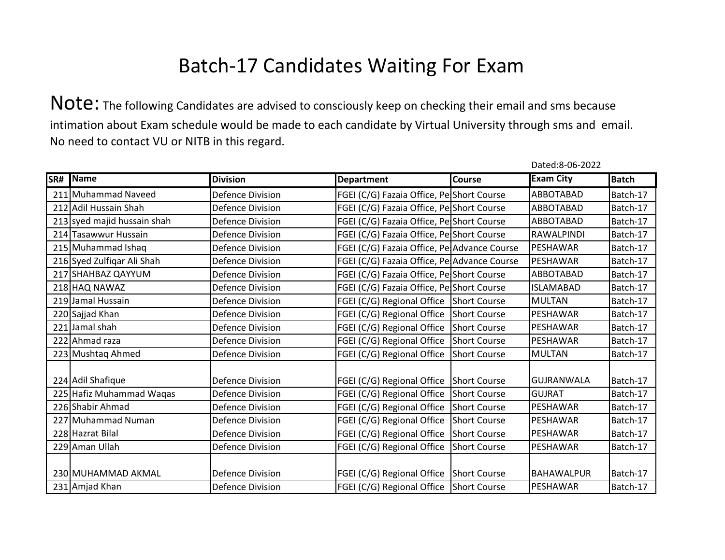Note: The following Candidates are advised to consciously keep on checking their email and sms because intimation about Exam schedule would be made to each candidate by Virtual University through sms and email. No need to contact VU or NITB in this regard.

| SR# | Name                        | <b>Division</b>         | <b>Department</b>                           | <b>Course</b> | <b>Exam City</b>  | <b>Batch</b> |
|-----|-----------------------------|-------------------------|---------------------------------------------|---------------|-------------------|--------------|
|     | 211 Muhammad Naveed         | <b>Defence Division</b> | FGEI (C/G) Fazaia Office, Pe Short Course   |               | ABBOTABAD         | Batch-17     |
|     | 212 Adil Hussain Shah       | <b>Defence Division</b> | FGEI (C/G) Fazaia Office, PelShort Course   |               | ABBOTABAD         | Batch-17     |
|     | 213 syed majid hussain shah | <b>Defence Division</b> | FGEI (C/G) Fazaia Office, Pe Short Course   |               | ABBOTABAD         | Batch-17     |
|     | 214 Tasawwur Hussain        | Defence Division        | FGEI (C/G) Fazaia Office, Pe Short Course   |               | <b>RAWALPINDI</b> | Batch-17     |
|     | 215 Muhammad Ishaq          | Defence Division        | FGEI (C/G) Fazaia Office, Pe Advance Course |               | PESHAWAR          | Batch-17     |
|     | 216 Syed Zulfiqar Ali Shah  | <b>Defence Division</b> | FGEI (C/G) Fazaia Office, Pe Advance Course |               | PESHAWAR          | Batch-17     |
|     | 217 SHAHBAZ QAYYUM          | <b>Defence Division</b> | FGEI (C/G) Fazaia Office, PelShort Course   |               | ABBOTABAD         | Batch-17     |
|     | 218 HAQ NAWAZ               | <b>Defence Division</b> | FGEI (C/G) Fazaia Office, Pe Short Course   |               | <b>ISLAMABAD</b>  | Batch-17     |
|     | 219 Jamal Hussain           | <b>Defence Division</b> | FGEI (C/G) Regional Office Short Course     |               | <b>MULTAN</b>     | Batch-17     |
|     | 220 Sajjad Khan             | <b>Defence Division</b> | FGEI (C/G) Regional Office Short Course     |               | PESHAWAR          | Batch-17     |
|     | 221 Jamal shah              | <b>Defence Division</b> | FGEI (C/G) Regional Office Short Course     |               | PESHAWAR          | Batch-17     |
|     | 222 Ahmad raza              | <b>Defence Division</b> | FGEI (C/G) Regional Office Short Course     |               | <b>PESHAWAR</b>   | Batch-17     |
|     | 223 Mushtaq Ahmed           | <b>Defence Division</b> | FGEI (C/G) Regional Office                  | Short Course  | <b>MULTAN</b>     | Batch-17     |
|     | 224 Adil Shafique           | <b>Defence Division</b> | FGEI (C/G) Regional Office Short Course     |               | <b>GUJRANWALA</b> | Batch-17     |
|     | 225 Hafiz Muhammad Waqas    | <b>Defence Division</b> | FGEI (C/G) Regional Office Short Course     |               | <b>GUJRAT</b>     | Batch-17     |
|     | 226 Shabir Ahmad            | <b>Defence Division</b> | FGEI (C/G) Regional Office Short Course     |               | PESHAWAR          | Batch-17     |
|     | 227 Muhammad Numan          | <b>Defence Division</b> | FGEI (C/G) Regional Office Short Course     |               | PESHAWAR          | Batch-17     |
|     | 228 Hazrat Bilal            | <b>Defence Division</b> | FGEI (C/G) Regional Office Short Course     |               | <b>PESHAWAR</b>   | Batch-17     |
|     | 229 Aman Ullah              | <b>Defence Division</b> | FGEI (C/G) Regional Office                  | Short Course  | PESHAWAR          | Batch-17     |
|     |                             |                         |                                             |               |                   |              |
|     | 230 MUHAMMAD AKMAL          | <b>Defence Division</b> | FGEI (C/G) Regional Office Short Course     |               | <b>BAHAWALPUR</b> | Batch-17     |
|     | 231 Amjad Khan              | <b>Defence Division</b> | FGEI (C/G) Regional Office Short Course     |               | PESHAWAR          | Batch-17     |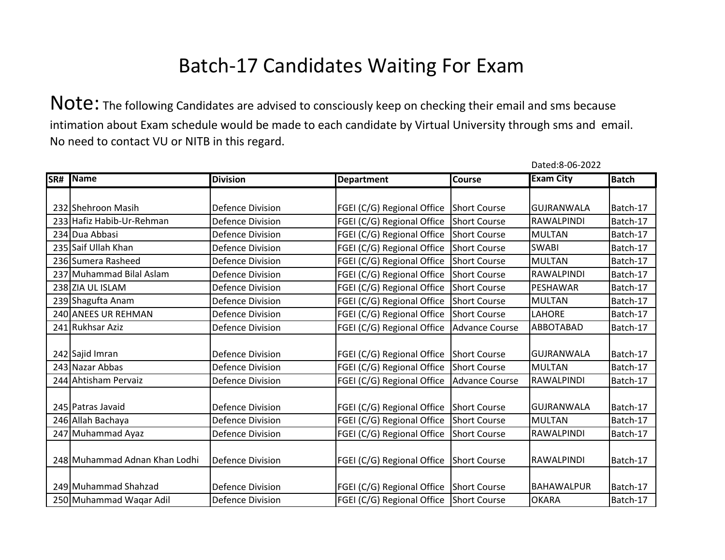Note: The following Candidates are advised to consciously keep on checking their email and sms because intimation about Exam schedule would be made to each candidate by Virtual University through sms and email. No need to contact VU or NITB in this regard.

| SR# | Name                          | <b>Division</b>         | <b>Department</b>                         | Course              | <b>Exam City</b>  | <b>Batch</b> |
|-----|-------------------------------|-------------------------|-------------------------------------------|---------------------|-------------------|--------------|
|     |                               |                         |                                           |                     |                   |              |
|     | 232 Shehroon Masih            | <b>Defence Division</b> | FGEI (C/G) Regional Office                | Short Course        | <b>GUJRANWALA</b> | Batch-17     |
|     | 233 Hafiz Habib-Ur-Rehman     | <b>Defence Division</b> | FGEI (C/G) Regional Office                | Short Course        | RAWALPINDI        | Batch-17     |
|     | 234 Dua Abbasi                | <b>Defence Division</b> | FGEI (C/G) Regional Office Short Course   |                     | <b>MULTAN</b>     | Batch-17     |
|     | 235 Saif Ullah Khan           | <b>Defence Division</b> | FGEI (C/G) Regional Office                | Short Course        | <b>SWABI</b>      | Batch-17     |
|     | 236 Sumera Rasheed            | <b>Defence Division</b> | FGEI (C/G) Regional Office Short Course   |                     | <b>MULTAN</b>     | Batch-17     |
|     | 237 Muhammad Bilal Aslam      | <b>Defence Division</b> | FGEI (C/G) Regional Office Short Course   |                     | RAWALPINDI        | Batch-17     |
|     | 238 ZIA UL ISLAM              | <b>Defence Division</b> | FGEI (C/G) Regional Office Short Course   |                     | PESHAWAR          | Batch-17     |
|     | 239 Shagufta Anam             | <b>Defence Division</b> | FGEI (C/G) Regional Office                | Short Course        | <b>MULTAN</b>     | Batch-17     |
|     | 240 ANEES UR REHMAN           | <b>Defence Division</b> | FGEI (C/G) Regional Office                | Short Course        | LAHORE            | Batch-17     |
|     | 241 Rukhsar Aziz              | <b>Defence Division</b> | FGEI (C/G) Regional Office                | Advance Course      | ABBOTABAD         | Batch-17     |
|     |                               |                         |                                           |                     |                   |              |
|     | 242 Sajid Imran               | <b>Defence Division</b> | FGEI (C/G) Regional Office Short Course   |                     | <b>GUJRANWALA</b> | Batch-17     |
|     | 243 Nazar Abbas               | <b>Defence Division</b> | FGEI (C/G) Regional Office                | Short Course        | <b>MULTAN</b>     | Batch-17     |
|     | 244 Ahtisham Pervaiz          | <b>Defence Division</b> | FGEI (C/G) Regional Office Advance Course |                     | RAWALPINDI        | Batch-17     |
|     |                               |                         |                                           |                     |                   |              |
|     | 245 Patras Javaid             | <b>Defence Division</b> | FGEI (C/G) Regional Office Short Course   |                     | GUJRANWALA        | Batch-17     |
|     | 246 Allah Bachaya             | <b>Defence Division</b> | FGEI (C/G) Regional Office                | Short Course        | <b>MULTAN</b>     | Batch-17     |
|     | 247 Muhammad Ayaz             | <b>Defence Division</b> | FGEI (C/G) Regional Office                | <b>Short Course</b> | RAWALPINDI        | Batch-17     |
|     |                               |                         |                                           |                     |                   |              |
|     | 248 Muhammad Adnan Khan Lodhi | <b>Defence Division</b> | FGEI (C/G) Regional Office                | <b>Short Course</b> | RAWALPINDI        | Batch-17     |
|     |                               |                         |                                           |                     |                   |              |
|     | 249 Muhammad Shahzad          | <b>Defence Division</b> | FGEI (C/G) Regional Office Short Course   |                     | <b>BAHAWALPUR</b> | Batch-17     |
|     | 250 Muhammad Waqar Adil       | <b>Defence Division</b> | FGEI (C/G) Regional Office Short Course   |                     | <b>OKARA</b>      | Batch-17     |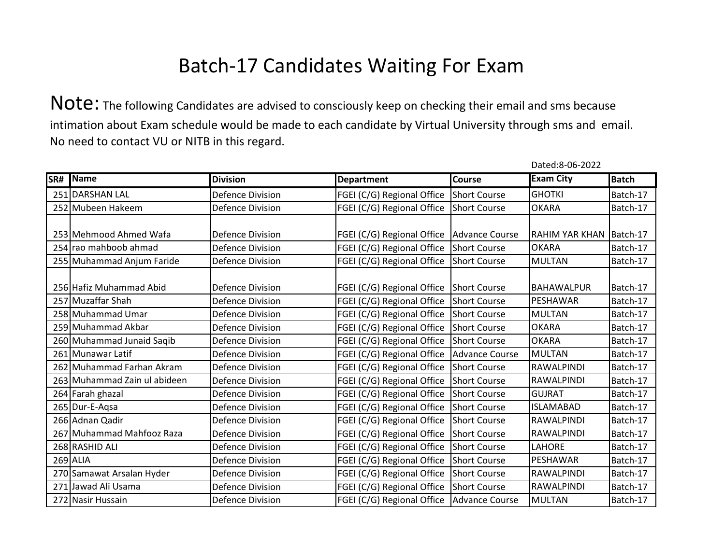Note: The following Candidates are advised to consciously keep on checking their email and sms because intimation about Exam schedule would be made to each candidate by Virtual University through sms and email. No need to contact VU or NITB in this regard.

| SR# | Name                         | <b>Division</b>         | <b>Department</b>                         | <b>Course</b> | <b>Exam City</b>  | <b>Batch</b> |
|-----|------------------------------|-------------------------|-------------------------------------------|---------------|-------------------|--------------|
|     | 251 DARSHAN LAL              | <b>Defence Division</b> | FGEI (C/G) Regional Office Short Course   |               | <b>GHOTKI</b>     | Batch-17     |
|     | 252 Mubeen Hakeem            | <b>Defence Division</b> | FGEI (C/G) Regional Office                | Short Course  | <b>OKARA</b>      | Batch-17     |
|     | 253 Mehmood Ahmed Wafa       | <b>Defence Division</b> | FGEI (C/G) Regional Office Advance Course |               | RAHIM YAR KHAN    | Batch-17     |
|     | 254 rao mahboob ahmad        | <b>Defence Division</b> | FGEI (C/G) Regional Office Short Course   |               | <b>OKARA</b>      | Batch-17     |
|     | 255 Muhammad Anjum Faride    | <b>Defence Division</b> | FGEI (C/G) Regional Office Short Course   |               | <b>MULTAN</b>     | Batch-17     |
|     | 256 Hafiz Muhammad Abid      | <b>Defence Division</b> | FGEI (C/G) Regional Office Short Course   |               | <b>BAHAWALPUR</b> | Batch-17     |
|     | 257 Muzaffar Shah            | Defence Division        | FGEI (C/G) Regional Office Short Course   |               | PESHAWAR          | Batch-17     |
|     | 258 Muhammad Umar            | <b>Defence Division</b> | FGEI (C/G) Regional Office Short Course   |               | <b>MULTAN</b>     | Batch-17     |
|     | 259 Muhammad Akbar           | <b>Defence Division</b> | FGEI (C/G) Regional Office Short Course   |               | <b>OKARA</b>      | Batch-17     |
|     | 260 Muhammad Junaid Saqib    | <b>Defence Division</b> | FGEI (C/G) Regional Office Short Course   |               | <b>OKARA</b>      | Batch-17     |
|     | 261 Munawar Latif            | <b>Defence Division</b> | FGEI (C/G) Regional Office Advance Course |               | <b>MULTAN</b>     | Batch-17     |
|     | 262 Muhammad Farhan Akram    | <b>Defence Division</b> | FGEI (C/G) Regional Office Short Course   |               | RAWALPINDI        | Batch-17     |
|     | 263 Muhammad Zain ul abideen | <b>Defence Division</b> | FGEI (C/G) Regional Office Short Course   |               | <b>RAWALPINDI</b> | Batch-17     |
|     | 264 Farah ghazal             | <b>Defence Division</b> | FGEI (C/G) Regional Office Short Course   |               | <b>GUJRAT</b>     | Batch-17     |
|     | 265 Dur-E-Aqsa               | <b>Defence Division</b> | FGEI (C/G) Regional Office Short Course   |               | <b>ISLAMABAD</b>  | Batch-17     |
|     | 266 Adnan Qadir              | <b>Defence Division</b> | FGEI (C/G) Regional Office Short Course   |               | RAWALPINDI        | Batch-17     |
|     | 267 Muhammad Mahfooz Raza    | <b>Defence Division</b> | FGEI (C/G) Regional Office Short Course   |               | RAWALPINDI        | Batch-17     |
|     | 268 RASHID ALI               | Defence Division        | FGEI (C/G) Regional Office Short Course   |               | <b>LAHORE</b>     | Batch-17     |
|     | $269$ ALIA                   | <b>Defence Division</b> | FGEI (C/G) Regional Office Short Course   |               | PESHAWAR          | Batch-17     |
|     | 270 Samawat Arsalan Hyder    | <b>Defence Division</b> | FGEI (C/G) Regional Office Short Course   |               | RAWALPINDI        | Batch-17     |
|     | 271 Jawad Ali Usama          | <b>Defence Division</b> | FGEI (C/G) Regional Office Short Course   |               | <b>RAWALPINDI</b> | Batch-17     |
|     | 272 Nasir Hussain            | <b>Defence Division</b> | FGEI (C/G) Regional Office Advance Course |               | <b>MULTAN</b>     | Batch-17     |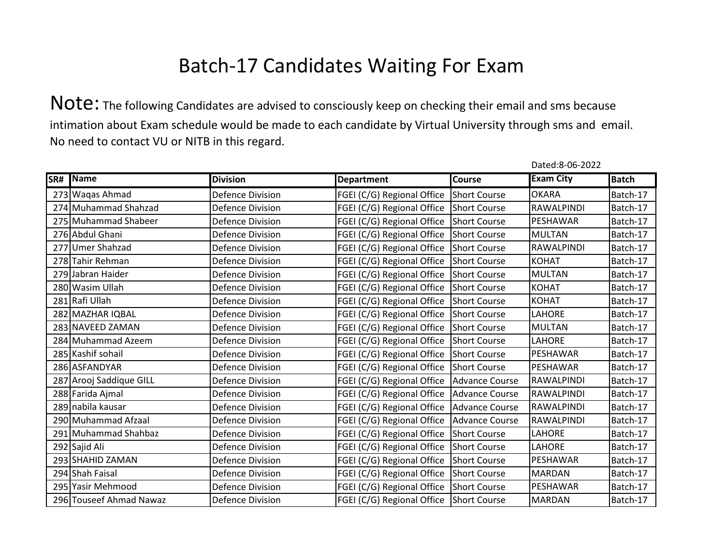Note: The following Candidates are advised to consciously keep on checking their email and sms because intimation about Exam schedule would be made to each candidate by Virtual University through sms and email. No need to contact VU or NITB in this regard.

| SR# Name                | <b>Division</b>         | <b>Department</b>                           | <b>Course</b> | <b>Exam City</b>  | <b>Batch</b> |
|-------------------------|-------------------------|---------------------------------------------|---------------|-------------------|--------------|
| 273 Waqas Ahmad         | <b>Defence Division</b> | FGEI (C/G) Regional Office Short Course     |               | <b>OKARA</b>      | Batch-17     |
| 274 Muhammad Shahzad    | <b>Defence Division</b> | FGEI (C/G) Regional Office Short Course     |               | RAWALPINDI        | Batch-17     |
| 275 Muhammad Shabeer    | <b>Defence Division</b> | FGEI (C/G) Regional Office Short Course     |               | PESHAWAR          | Batch-17     |
| 276 Abdul Ghani         | <b>Defence Division</b> | FGEI (C/G) Regional Office Short Course     |               | <b>MULTAN</b>     | Batch-17     |
| 277 Umer Shahzad        | <b>Defence Division</b> | FGEI (C/G) Regional Office Short Course     |               | RAWALPINDI        | Batch-17     |
| 278 Tahir Rehman        | <b>Defence Division</b> | FGEI (C/G) Regional Office Short Course     |               | <b>KOHAT</b>      | Batch-17     |
| 279 Jabran Haider       | <b>Defence Division</b> | FGEI (C/G) Regional Office Short Course     |               | <b>MULTAN</b>     | Batch-17     |
| 280 Wasim Ullah         | <b>Defence Division</b> | FGEI (C/G) Regional Office Short Course     |               | <b>KOHAT</b>      | Batch-17     |
| 281 Rafi Ullah          | <b>Defence Division</b> | FGEI (C/G) Regional Office Short Course     |               | <b>KOHAT</b>      | Batch-17     |
| 282 MAZHAR IQBAL        | <b>Defence Division</b> | FGEI (C/G) Regional Office Short Course     |               | LAHORE            | Batch-17     |
| 283 NAVEED ZAMAN        | <b>Defence Division</b> | FGEI (C/G) Regional Office Short Course     |               | <b>MULTAN</b>     | Batch-17     |
| 284 Muhammad Azeem      | <b>Defence Division</b> | FGEI (C/G) Regional Office Short Course     |               | LAHORE            | Batch-17     |
| 285 Kashif sohail       | <b>Defence Division</b> | FGEI (C/G) Regional Office Short Course     |               | PESHAWAR          | Batch-17     |
| 286 ASFANDYAR           | <b>Defence Division</b> | FGEI (C/G) Regional Office Short Course     |               | <b>PESHAWAR</b>   | Batch-17     |
| 287 Arooj Saddique GILL | <b>Defence Division</b> | FGEI (C/G) Regional Office Advance Course   |               | RAWALPINDI        | Batch-17     |
| 288 Farida Ajmal        | <b>Defence Division</b> | FGEI (C/G) Regional Office Advance Course   |               | RAWALPINDI        | Batch-17     |
| 289 nabila kausar       | <b>Defence Division</b> | FGEI (C/G) Regional Office Advance Course   |               | <b>RAWALPINDI</b> | Batch-17     |
| 290 Muhammad Afzaal     | <b>Defence Division</b> | FGEI (C/G) Regional Office   Advance Course |               | <b>RAWALPINDI</b> | Batch-17     |
| 291 Muhammad Shahbaz    | <b>Defence Division</b> | FGEI (C/G) Regional Office Short Course     |               | LAHORE            | Batch-17     |
| 292 Sajid Ali           | <b>Defence Division</b> | FGEI (C/G) Regional Office Short Course     |               | LAHORE            | Batch-17     |
| 293 SHAHID ZAMAN        | <b>Defence Division</b> | FGEI (C/G) Regional Office Short Course     |               | PESHAWAR          | Batch-17     |
| 294 Shah Faisal         | <b>Defence Division</b> | FGEI (C/G) Regional Office Short Course     |               | <b>MARDAN</b>     | Batch-17     |
| 295 Yasir Mehmood       | <b>Defence Division</b> | FGEI (C/G) Regional Office Short Course     |               | PESHAWAR          | Batch-17     |
| 296 Touseef Ahmad Nawaz | <b>Defence Division</b> | FGEI (C/G) Regional Office Short Course     |               | <b>MARDAN</b>     | Batch-17     |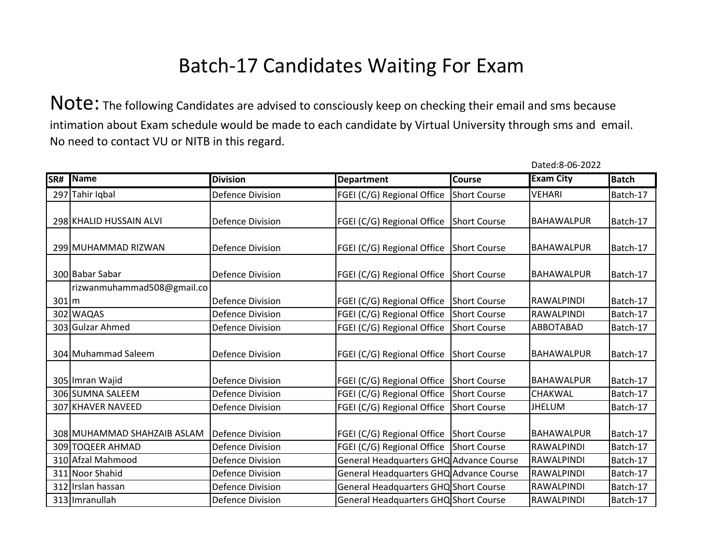Note: The following Candidates are advised to consciously keep on checking their email and sms because intimation about Exam schedule would be made to each candidate by Virtual University through sms and email. No need to contact VU or NITB in this regard.

| SR#               | Name                        | <b>Division</b>         | <b>Department</b>                       | Course       | <b>Exam City</b>  | <b>Batch</b> |
|-------------------|-----------------------------|-------------------------|-----------------------------------------|--------------|-------------------|--------------|
|                   | 297 Tahir Iqbal             | <b>Defence Division</b> | FGEI (C/G) Regional Office              | Short Course | <b>VEHARI</b>     | Batch-17     |
|                   | 298 KHALID HUSSAIN ALVI     | <b>Defence Division</b> | FGEI (C/G) Regional Office Short Course |              | <b>BAHAWALPUR</b> | Batch-17     |
|                   | 299 MUHAMMAD RIZWAN         | <b>Defence Division</b> | FGEI (C/G) Regional Office Short Course |              | <b>BAHAWALPUR</b> | Batch-17     |
|                   | 300 Babar Sabar             | <b>Defence Division</b> | FGEI (C/G) Regional Office Short Course |              | <b>BAHAWALPUR</b> | Batch-17     |
|                   | rizwanmuhammad508@gmail.co  |                         |                                         |              |                   |              |
| 301 <sub>cm</sub> |                             | <b>Defence Division</b> | FGEI (C/G) Regional Office Short Course |              | <b>RAWALPINDI</b> | Batch-17     |
|                   | 302 WAQAS                   | <b>Defence Division</b> | FGEI (C/G) Regional Office Short Course |              | <b>RAWALPINDI</b> | Batch-17     |
|                   | 303 Gulzar Ahmed            | <b>Defence Division</b> | FGEI (C/G) Regional Office Short Course |              | <b>ABBOTABAD</b>  | Batch-17     |
|                   | 304 Muhammad Saleem         | <b>Defence Division</b> | FGEI (C/G) Regional Office Short Course |              | <b>BAHAWALPUR</b> | Batch-17     |
|                   | 305 Imran Wajid             | <b>Defence Division</b> | FGEI (C/G) Regional Office Short Course |              | <b>BAHAWALPUR</b> | Batch-17     |
|                   | 306 SUMNA SALEEM            | <b>Defence Division</b> | FGEI (C/G) Regional Office Short Course |              | <b>CHAKWAL</b>    | Batch-17     |
|                   | 307 KHAVER NAVEED           | <b>Defence Division</b> | FGEI (C/G) Regional Office              | Short Course | <b>JHELUM</b>     | Batch-17     |
|                   | 308 MUHAMMAD SHAHZAIB ASLAM | Defence Division        | FGEI (C/G) Regional Office Short Course |              | <b>BAHAWALPUR</b> | Batch-17     |
|                   | 309 TOQEER AHMAD            | <b>Defence Division</b> | FGEI (C/G) Regional Office Short Course |              | <b>RAWALPINDI</b> | Batch-17     |
|                   | 310 Afzal Mahmood           | <b>Defence Division</b> | General Headquarters GHQ Advance Course |              | <b>RAWALPINDI</b> | Batch-17     |
|                   | 311 Noor Shahid             | <b>Defence Division</b> | General Headquarters GHQ Advance Course |              | <b>RAWALPINDI</b> | Batch-17     |
|                   | 312 Irslan hassan           | <b>Defence Division</b> | General Headquarters GHQ Short Course   |              | <b>RAWALPINDI</b> | Batch-17     |
|                   | 313 Imranullah              | Defence Division        | General Headquarters GHQ Short Course   |              | <b>RAWALPINDI</b> | Batch-17     |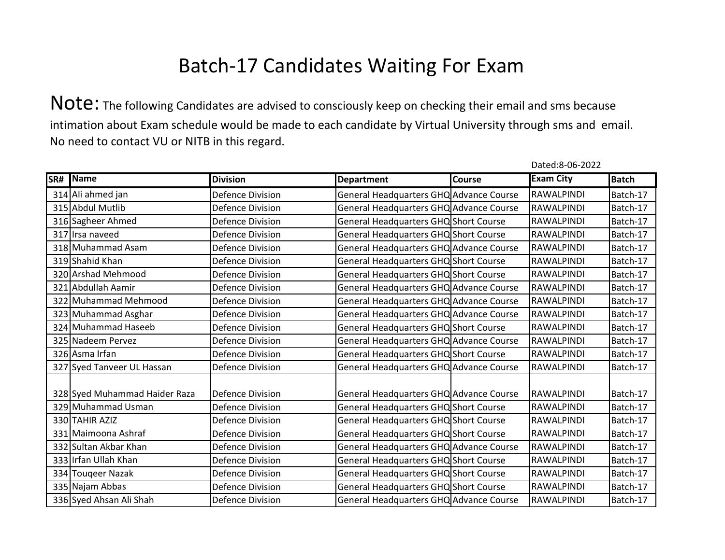Note: The following Candidates are advised to consciously keep on checking their email and sms because intimation about Exam schedule would be made to each candidate by Virtual University through sms and email. No need to contact VU or NITB in this regard.

| SR# Name                      | <b>Division</b>         | <b>Department</b>                       | Course | <b>Exam City</b>  | <b>Batch</b> |
|-------------------------------|-------------------------|-----------------------------------------|--------|-------------------|--------------|
| 314 Ali ahmed jan             | <b>Defence Division</b> | General Headquarters GHQ Advance Course |        | RAWALPINDI        | Batch-17     |
| 315 Abdul Mutlib              | <b>Defence Division</b> | General Headquarters GHQ Advance Course |        | RAWALPINDI        | Batch-17     |
| 316 Sagheer Ahmed             | <b>Defence Division</b> | General Headquarters GHQ Short Course   |        | RAWALPINDI        | Batch-17     |
| 317 Irsa naveed               | <b>Defence Division</b> | General Headquarters GHQ Short Course   |        | RAWALPINDI        | Batch-17     |
| 318 Muhammad Asam             | <b>Defence Division</b> | General Headquarters GHQ Advance Course |        | RAWALPINDI        | Batch-17     |
| 319 Shahid Khan               | <b>Defence Division</b> | General Headquarters GHQ Short Course   |        | RAWALPINDI        | Batch-17     |
| 320 Arshad Mehmood            | <b>Defence Division</b> | General Headquarters GHQ Short Course   |        | RAWALPINDI        | Batch-17     |
| 321 Abdullah Aamir            | <b>Defence Division</b> | General Headquarters GHQ Advance Course |        | RAWALPINDI        | Batch-17     |
| 322 Muhammad Mehmood          | <b>Defence Division</b> | General Headquarters GHQ Advance Course |        | <b>RAWALPINDI</b> | Batch-17     |
| 323 Muhammad Asghar           | <b>Defence Division</b> | General Headquarters GHQ Advance Course |        | <b>RAWALPINDI</b> | Batch-17     |
| 324 Muhammad Haseeb           | <b>Defence Division</b> | General Headquarters GHQ Short Course   |        | RAWALPINDI        | Batch-17     |
| 325 Nadeem Pervez             | <b>Defence Division</b> | General Headquarters GHQ Advance Course |        | RAWALPINDI        | Batch-17     |
| 326 Asma Irfan                | <b>Defence Division</b> | General Headquarters GHQ Short Course   |        | <b>RAWALPINDI</b> | Batch-17     |
| 327 Syed Tanveer UL Hassan    | <b>Defence Division</b> | General Headquarters GHQ Advance Course |        | RAWALPINDI        | Batch-17     |
| 328 Syed Muhammad Haider Raza | <b>Defence Division</b> | General Headquarters GHQ Advance Course |        | RAWALPINDI        | Batch-17     |
| 329 Muhammad Usman            | <b>Defence Division</b> | General Headquarters GHQ Short Course   |        | <b>RAWALPINDI</b> | Batch-17     |
| 330 TAHIR AZIZ                | <b>Defence Division</b> | General Headquarters GHQ Short Course   |        | RAWALPINDI        | Batch-17     |
| 331 Maimoona Ashraf           | <b>Defence Division</b> | General Headquarters GHQ Short Course   |        | RAWALPINDI        | Batch-17     |
| 332 Sultan Akbar Khan         | <b>Defence Division</b> | General Headquarters GHQ Advance Course |        | RAWALPINDI        | Batch-17     |
|                               |                         |                                         |        |                   |              |
| 333 Irfan Ullah Khan          | <b>Defence Division</b> | General Headquarters GHQ Short Course   |        | RAWALPINDI        | Batch-17     |
| 334 Tougeer Nazak             | <b>Defence Division</b> | General Headquarters GHQ Short Course   |        | RAWALPINDI        | Batch-17     |
| 335 Najam Abbas               | <b>Defence Division</b> | General Headquarters GHQ Short Course   |        | RAWALPINDI        | Batch-17     |
| 336 Syed Ahsan Ali Shah       | Defence Division        | General Headquarters GHQ Advance Course |        | RAWALPINDI        | Batch-17     |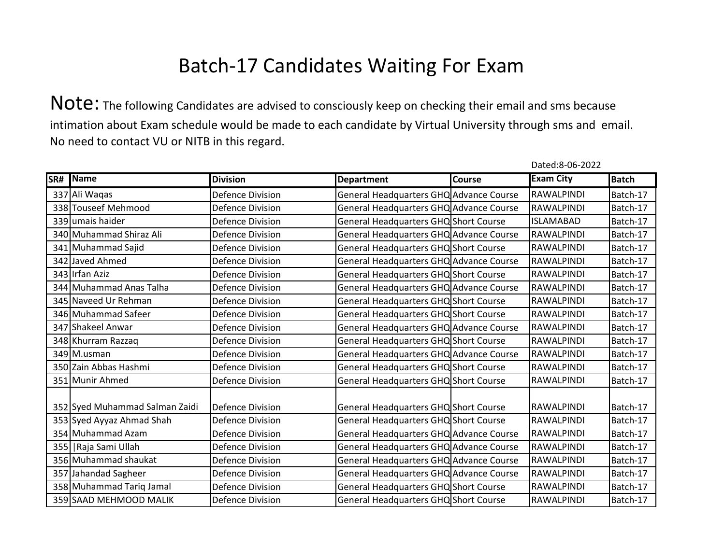Note: The following Candidates are advised to consciously keep on checking their email and sms because intimation about Exam schedule would be made to each candidate by Virtual University through sms and email. No need to contact VU or NITB in this regard.

| SR# | Name                           | <b>Division</b>         | <b>Department</b>                       | <b>Course</b> | <b>Exam City</b>  | <b>Batch</b> |
|-----|--------------------------------|-------------------------|-----------------------------------------|---------------|-------------------|--------------|
|     | 337 Ali Waqas                  | <b>Defence Division</b> | General Headquarters GHQ Advance Course |               | RAWALPINDI        | Batch-17     |
|     | 338 Touseef Mehmood            | <b>Defence Division</b> | General Headquarters GHQ Advance Course |               | <b>RAWALPINDI</b> | Batch-17     |
|     | 339 umais haider               | <b>Defence Division</b> | General Headquarters GHQ Short Course   |               | <b>ISLAMABAD</b>  | Batch-17     |
|     | 340 Muhammad Shiraz Ali        | <b>Defence Division</b> | General Headquarters GHQ Advance Course |               | RAWALPINDI        | Batch-17     |
|     | 341 Muhammad Sajid             | <b>Defence Division</b> | General Headquarters GHQ Short Course   |               | RAWALPINDI        | Batch-17     |
|     | 342 Javed Ahmed                | <b>Defence Division</b> | General Headquarters GHQ Advance Course |               | RAWALPINDI        | Batch-17     |
|     | 343 Irfan Aziz                 | <b>Defence Division</b> | General Headquarters GHQ Short Course   |               | RAWALPINDI        | Batch-17     |
|     | 344 Muhammad Anas Talha        | <b>Defence Division</b> | General Headquarters GHQ Advance Course |               | RAWALPINDI        | Batch-17     |
|     | 345 Naveed Ur Rehman           | <b>Defence Division</b> | General Headquarters GHQ Short Course   |               | RAWALPINDI        | Batch-17     |
|     | 346 Muhammad Safeer            | <b>Defence Division</b> | General Headquarters GHQ Short Course   |               | <b>RAWALPINDI</b> | Batch-17     |
|     | 347 Shakeel Anwar              | <b>Defence Division</b> | General Headquarters GHQ Advance Course |               | RAWALPINDI        | Batch-17     |
|     | 348 Khurram Razzaq             | <b>Defence Division</b> | General Headquarters GHQ Short Course   |               | RAWALPINDI        | Batch-17     |
|     | 349 M.usman                    | <b>Defence Division</b> | General Headquarters GHQ Advance Course |               | <b>RAWALPINDI</b> | Batch-17     |
|     | 350 Zain Abbas Hashmi          | <b>Defence Division</b> | General Headquarters GHQ Short Course   |               | RAWALPINDI        | Batch-17     |
|     | 351 Munir Ahmed                | <b>Defence Division</b> | General Headquarters GHQ Short Course   |               | RAWALPINDI        | Batch-17     |
|     |                                |                         |                                         |               |                   |              |
|     | 352 Syed Muhammad Salman Zaidi | <b>Defence Division</b> | General Headquarters GHQ Short Course   |               | RAWALPINDI        | Batch-17     |
|     | 353 Syed Ayyaz Ahmad Shah      | <b>Defence Division</b> | General Headquarters GHQ Short Course   |               | RAWALPINDI        | Batch-17     |
|     | 354 Muhammad Azam              | <b>Defence Division</b> | General Headquarters GHQ Advance Course |               | RAWALPINDI        | Batch-17     |
|     | 355   Raja Sami Ullah          | <b>Defence Division</b> | General Headquarters GHQ Advance Course |               | RAWALPINDI        | Batch-17     |
|     | 356 Muhammad shaukat           | <b>Defence Division</b> | General Headquarters GHQ Advance Course |               | <b>RAWALPINDI</b> | Batch-17     |
|     | 357 Jahandad Sagheer           | <b>Defence Division</b> | General Headquarters GHQ Advance Course |               | RAWALPINDI        | Batch-17     |
|     | 358 Muhammad Tariq Jamal       | <b>Defence Division</b> | General Headquarters GHQ Short Course   |               | RAWALPINDI        | Batch-17     |
|     | 359 SAAD MEHMOOD MALIK         | Defence Division        | General Headquarters GHQ Short Course   |               | RAWALPINDI        | Batch-17     |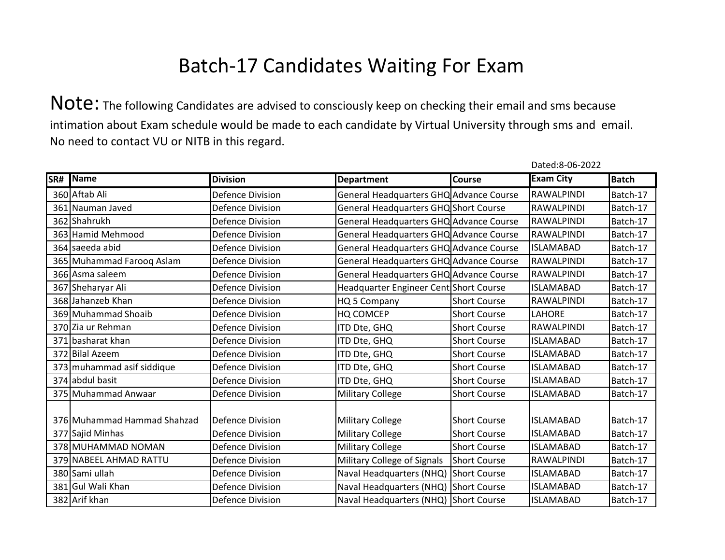Note: The following Candidates are advised to consciously keep on checking their email and sms because intimation about Exam schedule would be made to each candidate by Virtual University through sms and email. No need to contact VU or NITB in this regard.

| SR# | Name                        | <b>Division</b>         | <b>Department</b>                       | <b>Course</b>       | <b>Exam City</b>  | <b>Batch</b> |
|-----|-----------------------------|-------------------------|-----------------------------------------|---------------------|-------------------|--------------|
|     | 360 Aftab Ali               | <b>Defence Division</b> | General Headquarters GHQ Advance Course |                     | <b>RAWALPINDI</b> | Batch-17     |
|     | 361 Nauman Javed            | <b>Defence Division</b> | General Headquarters GHQ Short Course   |                     | RAWALPINDI        | Batch-17     |
|     | 362 Shahrukh                | <b>Defence Division</b> | General Headquarters GHQ Advance Course |                     | RAWALPINDI        | Batch-17     |
|     | 363 Hamid Mehmood           | <b>Defence Division</b> | General Headquarters GHQ Advance Course |                     | RAWALPINDI        | Batch-17     |
|     | 364 saeeda abid             | <b>Defence Division</b> | General Headquarters GHQ Advance Course |                     | <b>ISLAMABAD</b>  | Batch-17     |
|     | 365 Muhammad Farooq Aslam   | <b>Defence Division</b> | General Headquarters GHQ Advance Course |                     | RAWALPINDI        | Batch-17     |
|     | 366 Asma saleem             | <b>Defence Division</b> | General Headquarters GHQ Advance Course |                     | RAWALPINDI        | Batch-17     |
|     | 367 Sheharyar Ali           | <b>Defence Division</b> | Headquarter Engineer Cent Short Course  |                     | <b>ISLAMABAD</b>  | Batch-17     |
|     | 368 Jahanzeb Khan           | <b>Defence Division</b> | HQ 5 Company                            | <b>Short Course</b> | <b>RAWALPINDI</b> | Batch-17     |
|     | 369 Muhammad Shoaib         | <b>Defence Division</b> | HQ COMCEP                               | <b>Short Course</b> | <b>LAHORE</b>     | Batch-17     |
|     | 370 Zia ur Rehman           | <b>Defence Division</b> | ITD Dte, GHQ                            | <b>Short Course</b> | <b>RAWALPINDI</b> | Batch-17     |
|     | 371 basharat khan           | <b>Defence Division</b> | ITD Dte, GHQ                            | <b>Short Course</b> | <b>ISLAMABAD</b>  | Batch-17     |
|     | 372 Bilal Azeem             | <b>Defence Division</b> | ITD Dte, GHQ                            | <b>Short Course</b> | <b>ISLAMABAD</b>  | Batch-17     |
|     | 373 muhammad asif siddique  | <b>Defence Division</b> | ITD Dte, GHQ                            | <b>Short Course</b> | <b>ISLAMABAD</b>  | Batch-17     |
|     | 374 abdul basit             | <b>Defence Division</b> | ITD Dte, GHQ                            | <b>Short Course</b> | <b>ISLAMABAD</b>  | Batch-17     |
|     | 375 Muhammad Anwaar         | <b>Defence Division</b> | <b>Military College</b>                 | <b>Short Course</b> | <b>ISLAMABAD</b>  | Batch-17     |
|     | 376 Muhammad Hammad Shahzad | Defence Division        | <b>Military College</b>                 | <b>Short Course</b> | <b>ISLAMABAD</b>  | Batch-17     |
|     | 377 Sajid Minhas            | <b>Defence Division</b> | <b>Military College</b>                 | <b>Short Course</b> | <b>ISLAMABAD</b>  | Batch-17     |
|     | 378 MUHAMMAD NOMAN          | Defence Division        | <b>Military College</b>                 | <b>Short Course</b> | <b>ISLAMABAD</b>  | Batch-17     |
|     | 379 NABEEL AHMAD RATTU      | Defence Division        | Military College of Signals             | <b>Short Course</b> | RAWALPINDI        | Batch-17     |
|     | 380 Sami ullah              | <b>Defence Division</b> | Naval Headquarters (NHQ) Short Course   |                     | <b>ISLAMABAD</b>  | Batch-17     |
|     | 381 Gul Wali Khan           | <b>Defence Division</b> | Naval Headquarters (NHQ) Short Course   |                     | <b>ISLAMABAD</b>  | Batch-17     |
|     | 382 Arif khan               | <b>Defence Division</b> | Naval Headquarters (NHQ) Short Course   |                     | <b>ISLAMABAD</b>  | Batch-17     |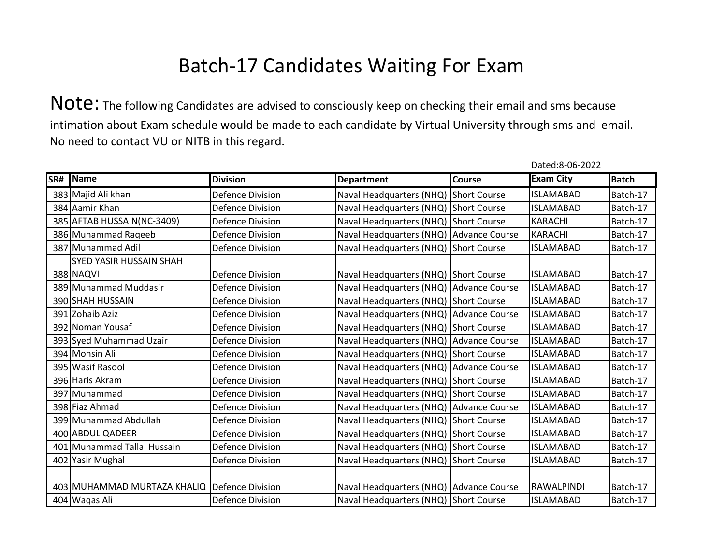Note: The following Candidates are advised to consciously keep on checking their email and sms because intimation about Exam schedule would be made to each candidate by Virtual University through sms and email. No need to contact VU or NITB in this regard.

| SR# Name                                     | <b>Division</b>         | <b>Department</b>                       | <b>Course</b> | <b>Exam City</b> | <b>Batch</b> |
|----------------------------------------------|-------------------------|-----------------------------------------|---------------|------------------|--------------|
| 383 Majid Ali khan                           | <b>Defence Division</b> | Naval Headquarters (NHQ) Short Course   |               | <b>ISLAMABAD</b> | Batch-17     |
| 384 Aamir Khan                               | <b>Defence Division</b> | Naval Headquarters (NHQ) Short Course   |               | <b>ISLAMABAD</b> | Batch-17     |
| 385 AFTAB HUSSAIN(NC-3409)                   | <b>Defence Division</b> | Naval Headquarters (NHQ) Short Course   |               | <b>KARACHI</b>   | Batch-17     |
| 386 Muhammad Raqeeb                          | <b>Defence Division</b> | Naval Headquarters (NHQ) Advance Course |               | <b>KARACHI</b>   | Batch-17     |
| 387 Muhammad Adil                            | <b>Defence Division</b> | Naval Headquarters (NHQ) Short Course   |               | <b>ISLAMABAD</b> | Batch-17     |
| SYED YASIR HUSSAIN SHAH                      |                         |                                         |               |                  |              |
| 388 NAQVI                                    | <b>Defence Division</b> | Naval Headquarters (NHQ) Short Course   |               | <b>ISLAMABAD</b> | Batch-17     |
| 389 Muhammad Muddasir                        | <b>Defence Division</b> | Naval Headquarters (NHQ) Advance Course |               | <b>ISLAMABAD</b> | Batch-17     |
| 390 SHAH HUSSAIN                             | <b>Defence Division</b> | Naval Headquarters (NHQ) Short Course   |               | <b>ISLAMABAD</b> | Batch-17     |
| 391 Zohaib Aziz                              | <b>Defence Division</b> | Naval Headquarters (NHQ) Advance Course |               | <b>ISLAMABAD</b> | Batch-17     |
| 392 Noman Yousaf                             | <b>Defence Division</b> | Naval Headquarters (NHQ) Short Course   |               | <b>ISLAMABAD</b> | Batch-17     |
| 393 Syed Muhammad Uzair                      | <b>Defence Division</b> | Naval Headquarters (NHQ) Advance Course |               | <b>ISLAMABAD</b> | Batch-17     |
| 394 Mohsin Ali                               | <b>Defence Division</b> | Naval Headquarters (NHQ) Short Course   |               | <b>ISLAMABAD</b> | Batch-17     |
| 395 Wasif Rasool                             | <b>Defence Division</b> | Naval Headquarters (NHQ) Advance Course |               | <b>ISLAMABAD</b> | Batch-17     |
| 396 Haris Akram                              | <b>Defence Division</b> | Naval Headquarters (NHQ) Short Course   |               | <b>ISLAMABAD</b> | Batch-17     |
| 397 Muhammad                                 | <b>Defence Division</b> | Naval Headquarters (NHQ) Short Course   |               | <b>ISLAMABAD</b> | Batch-17     |
| 398 Fiaz Ahmad                               | <b>Defence Division</b> | Naval Headquarters (NHQ) Advance Course |               | <b>ISLAMABAD</b> | Batch-17     |
| 399 Muhammad Abdullah                        | <b>Defence Division</b> | Naval Headquarters (NHQ) Short Course   |               | <b>ISLAMABAD</b> | Batch-17     |
| 400 ABDUL QADEER                             | <b>Defence Division</b> | Naval Headquarters (NHQ) Short Course   |               | <b>ISLAMABAD</b> | Batch-17     |
| 401 Muhammad Tallal Hussain                  | <b>Defence Division</b> | Naval Headquarters (NHQ) Short Course   |               | <b>ISLAMABAD</b> | Batch-17     |
| 402 Yasir Mughal                             | <b>Defence Division</b> | Naval Headquarters (NHQ) Short Course   |               | <b>ISLAMABAD</b> | Batch-17     |
|                                              |                         |                                         |               |                  |              |
| 403 MUHAMMAD MURTAZA KHALIQ Defence Division |                         | Naval Headquarters (NHQ) Advance Course |               | RAWALPINDI       | Batch-17     |
| 404 Waqas Ali                                | Defence Division        | Naval Headquarters (NHQ) Short Course   |               | <b>ISLAMABAD</b> | Batch-17     |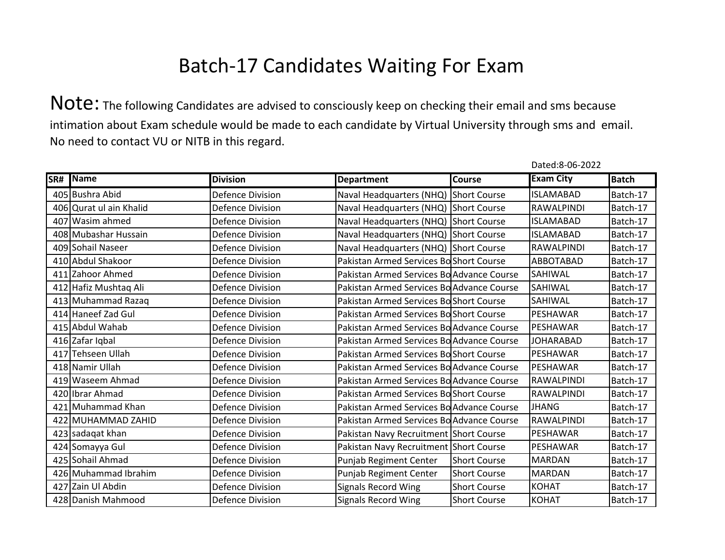Note: The following Candidates are advised to consciously keep on checking their email and sms because intimation about Exam schedule would be made to each candidate by Virtual University through sms and email. No need to contact VU or NITB in this regard.

| SR# | Name                    | <b>Division</b>         | <b>Department</b>                         | <b>Course</b>       | <b>Exam City</b>  | <b>Batch</b> |
|-----|-------------------------|-------------------------|-------------------------------------------|---------------------|-------------------|--------------|
|     | 405 Bushra Abid         | <b>Defence Division</b> | Naval Headquarters (NHQ) Short Course     |                     | <b>ISLAMABAD</b>  | Batch-17     |
|     | 406 Qurat ul ain Khalid | <b>Defence Division</b> | Naval Headquarters (NHQ) Short Course     |                     | RAWALPINDI        | Batch-17     |
|     | 407 Wasim ahmed         | <b>Defence Division</b> | Naval Headquarters (NHQ) Short Course     |                     | <b>ISLAMABAD</b>  | Batch-17     |
|     | 408 Mubashar Hussain    | <b>Defence Division</b> | Naval Headquarters (NHQ) Short Course     |                     | <b>ISLAMABAD</b>  | Batch-17     |
|     | 409 Sohail Naseer       | <b>Defence Division</b> | Naval Headquarters (NHQ) Short Course     |                     | RAWALPINDI        | Batch-17     |
|     | 410 Abdul Shakoor       | <b>Defence Division</b> | Pakistan Armed Services Bo Short Course   |                     | ABBOTABAD         | Batch-17     |
|     | 411 Zahoor Ahmed        | <b>Defence Division</b> | Pakistan Armed Services Bo Advance Course |                     | SAHIWAL           | Batch-17     |
|     | 412 Hafiz Mushtaq Ali   | <b>Defence Division</b> | Pakistan Armed Services Bo Advance Course |                     | SAHIWAL           | Batch-17     |
|     | 413 Muhammad Razaq      | <b>Defence Division</b> | Pakistan Armed Services Bo Short Course   |                     | SAHIWAL           | Batch-17     |
|     | 414 Haneef Zad Gul      | <b>Defence Division</b> | Pakistan Armed Services Bo Short Course   |                     | PESHAWAR          | Batch-17     |
|     | 415 Abdul Wahab         | <b>Defence Division</b> | Pakistan Armed Services Bo Advance Course |                     | PESHAWAR          | Batch-17     |
|     | 416 Zafar Iqbal         | <b>Defence Division</b> | Pakistan Armed Services Bo Advance Course |                     | <b>JOHARABAD</b>  | Batch-17     |
|     | 417 Tehseen Ullah       | <b>Defence Division</b> | Pakistan Armed Services BoShort Course    |                     | PESHAWAR          | Batch-17     |
|     | 418 Namir Ullah         | <b>Defence Division</b> | Pakistan Armed Services Bo Advance Course |                     | PESHAWAR          | Batch-17     |
|     | 419 Waseem Ahmad        | <b>Defence Division</b> | Pakistan Armed Services Bo Advance Course |                     | RAWALPINDI        | Batch-17     |
|     | 420 Ibrar Ahmad         | <b>Defence Division</b> | Pakistan Armed Services Bo Short Course   |                     | <b>RAWALPINDI</b> | Batch-17     |
|     | 421 Muhammad Khan       | <b>Defence Division</b> | Pakistan Armed Services Bo Advance Course |                     | <b>JHANG</b>      | Batch-17     |
|     | 422 MUHAMMAD ZAHID      | <b>Defence Division</b> | Pakistan Armed Services Bo Advance Course |                     | RAWALPINDI        | Batch-17     |
|     | 423 sadaqat khan        | <b>Defence Division</b> | Pakistan Navy Recruitment Short Course    |                     | PESHAWAR          | Batch-17     |
|     | 424 Somayya Gul         | <b>Defence Division</b> | Pakistan Navy Recruitment Short Course    |                     | PESHAWAR          | Batch-17     |
|     | 425 Sohail Ahmad        | <b>Defence Division</b> | Punjab Regiment Center                    | <b>Short Course</b> | <b>MARDAN</b>     | Batch-17     |
|     | 426 Muhammad Ibrahim    | <b>Defence Division</b> | Punjab Regiment Center                    | <b>Short Course</b> | <b>MARDAN</b>     | Batch-17     |
|     | 427 Zain Ul Abdin       | <b>Defence Division</b> | <b>Signals Record Wing</b>                | <b>Short Course</b> | <b>KOHAT</b>      | Batch-17     |
|     | 428 Danish Mahmood      | Defence Division        | <b>Signals Record Wing</b>                | <b>Short Course</b> | <b>KOHAT</b>      | Batch-17     |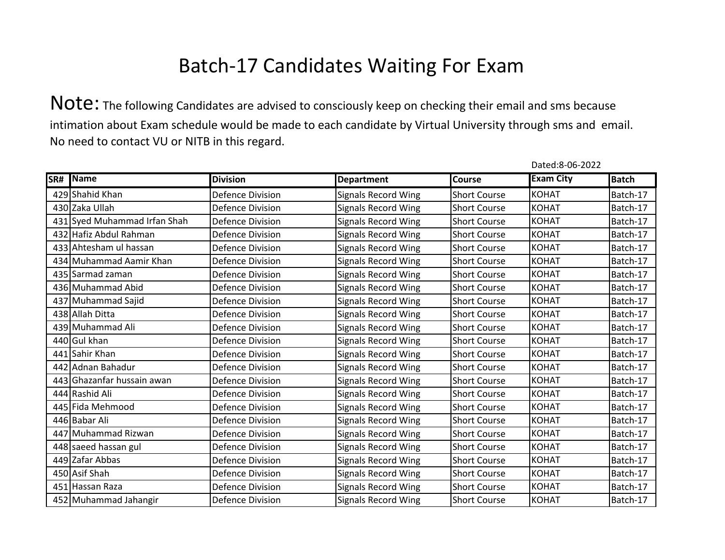Note: The following Candidates are advised to consciously keep on checking their email and sms because intimation about Exam schedule would be made to each candidate by Virtual University through sms and email. No need to contact VU or NITB in this regard.

| SR# | <b>Name</b>                  | <b>Division</b>         | <b>Department</b>          | Course              | <b>Exam City</b> | <b>Batch</b> |
|-----|------------------------------|-------------------------|----------------------------|---------------------|------------------|--------------|
|     | 429 Shahid Khan              | <b>Defence Division</b> | <b>Signals Record Wing</b> | <b>Short Course</b> | <b>KOHAT</b>     | Batch-17     |
|     | 430 Zaka Ullah               | <b>Defence Division</b> | <b>Signals Record Wing</b> | <b>Short Course</b> | <b>KOHAT</b>     | Batch-17     |
|     | 431 Syed Muhammad Irfan Shah | <b>Defence Division</b> | <b>Signals Record Wing</b> | <b>Short Course</b> | <b>KOHAT</b>     | Batch-17     |
|     | 432 Hafiz Abdul Rahman       | <b>Defence Division</b> | <b>Signals Record Wing</b> | <b>Short Course</b> | <b>KOHAT</b>     | Batch-17     |
|     | 433 Ahtesham ul hassan       | <b>Defence Division</b> | <b>Signals Record Wing</b> | <b>Short Course</b> | <b>KOHAT</b>     | Batch-17     |
|     | 434 Muhammad Aamir Khan      | <b>Defence Division</b> | <b>Signals Record Wing</b> | <b>Short Course</b> | <b>KOHAT</b>     | Batch-17     |
|     | 435 Sarmad zaman             | <b>Defence Division</b> | <b>Signals Record Wing</b> | <b>Short Course</b> | <b>KOHAT</b>     | Batch-17     |
|     | 436 Muhammad Abid            | <b>Defence Division</b> | <b>Signals Record Wing</b> | <b>Short Course</b> | <b>KOHAT</b>     | Batch-17     |
|     | 437 Muhammad Sajid           | <b>Defence Division</b> | <b>Signals Record Wing</b> | <b>Short Course</b> | <b>KOHAT</b>     | Batch-17     |
|     | 438 Allah Ditta              | Defence Division        | <b>Signals Record Wing</b> | <b>Short Course</b> | <b>KOHAT</b>     | Batch-17     |
|     | 439 Muhammad Ali             | Defence Division        | <b>Signals Record Wing</b> | <b>Short Course</b> | <b>KOHAT</b>     | Batch-17     |
|     | 440 Gul khan                 | <b>Defence Division</b> | <b>Signals Record Wing</b> | <b>Short Course</b> | <b>KOHAT</b>     | Batch-17     |
|     | 441 Sahir Khan               | <b>Defence Division</b> | <b>Signals Record Wing</b> | <b>Short Course</b> | <b>KOHAT</b>     | Batch-17     |
|     | 442 Adnan Bahadur            | <b>Defence Division</b> | <b>Signals Record Wing</b> | <b>Short Course</b> | <b>KOHAT</b>     | Batch-17     |
|     | 443 Ghazanfar hussain awan   | <b>Defence Division</b> | <b>Signals Record Wing</b> | <b>Short Course</b> | <b>KOHAT</b>     | Batch-17     |
|     | 444 Rashid Ali               | <b>Defence Division</b> | <b>Signals Record Wing</b> | <b>Short Course</b> | <b>KOHAT</b>     | Batch-17     |
|     | 445 Fida Mehmood             | <b>Defence Division</b> | <b>Signals Record Wing</b> | <b>Short Course</b> | <b>KOHAT</b>     | Batch-17     |
|     | 446 Babar Ali                | <b>Defence Division</b> | <b>Signals Record Wing</b> | <b>Short Course</b> | <b>KOHAT</b>     | Batch-17     |
|     | 447 Muhammad Rizwan          | <b>Defence Division</b> | <b>Signals Record Wing</b> | <b>Short Course</b> | <b>KOHAT</b>     | Batch-17     |
|     | 448 saeed hassan gul         | Defence Division        | <b>Signals Record Wing</b> | <b>Short Course</b> | <b>KOHAT</b>     | Batch-17     |
|     | 449 Zafar Abbas              | <b>Defence Division</b> | <b>Signals Record Wing</b> | <b>Short Course</b> | <b>KOHAT</b>     | Batch-17     |
|     | 450 Asif Shah                | Defence Division        | <b>Signals Record Wing</b> | <b>Short Course</b> | <b>KOHAT</b>     | Batch-17     |
|     | 451 Hassan Raza              | <b>Defence Division</b> | <b>Signals Record Wing</b> | <b>Short Course</b> | <b>KOHAT</b>     | Batch-17     |
|     | 452 Muhammad Jahangir        | <b>Defence Division</b> | <b>Signals Record Wing</b> | <b>Short Course</b> | <b>KOHAT</b>     | Batch-17     |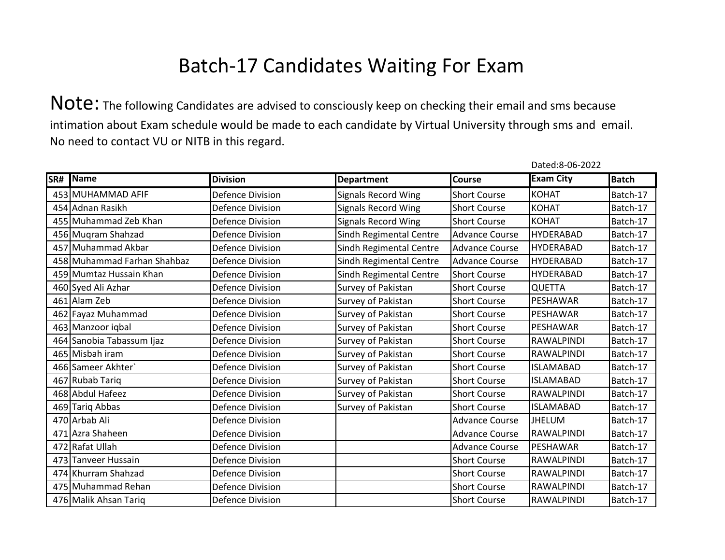Note: The following Candidates are advised to consciously keep on checking their email and sms because intimation about Exam schedule would be made to each candidate by Virtual University through sms and email. No need to contact VU or NITB in this regard.

| SR# | Name                        | <b>Division</b>         | <b>Department</b>          | <b>Course</b>         | <b>Exam City</b>  | <b>Batch</b> |
|-----|-----------------------------|-------------------------|----------------------------|-----------------------|-------------------|--------------|
|     | 453 MUHAMMAD AFIF           | <b>Defence Division</b> | <b>Signals Record Wing</b> | <b>Short Course</b>   | <b>KOHAT</b>      | Batch-17     |
|     | 454 Adnan Rasikh            | <b>Defence Division</b> | <b>Signals Record Wing</b> | <b>Short Course</b>   | <b>KOHAT</b>      | Batch-17     |
|     | 455 Muhammad Zeb Khan       | <b>Defence Division</b> | <b>Signals Record Wing</b> | <b>Short Course</b>   | <b>KOHAT</b>      | Batch-17     |
|     | 456 Muqram Shahzad          | <b>Defence Division</b> | Sindh Regimental Centre    | <b>Advance Course</b> | <b>HYDERABAD</b>  | Batch-17     |
|     | 457 Muhammad Akbar          | <b>Defence Division</b> | Sindh Regimental Centre    | <b>Advance Course</b> | <b>HYDERABAD</b>  | Batch-17     |
|     | 458 Muhammad Farhan Shahbaz | <b>Defence Division</b> | Sindh Regimental Centre    | <b>Advance Course</b> | <b>HYDERABAD</b>  | Batch-17     |
|     | 459 Mumtaz Hussain Khan     | <b>Defence Division</b> | Sindh Regimental Centre    | <b>Short Course</b>   | <b>HYDERABAD</b>  | Batch-17     |
|     | 460 Syed Ali Azhar          | <b>Defence Division</b> | Survey of Pakistan         | <b>Short Course</b>   | <b>QUETTA</b>     | Batch-17     |
|     | 461 Alam Zeb                | <b>Defence Division</b> | Survey of Pakistan         | <b>Short Course</b>   | PESHAWAR          | Batch-17     |
|     | 462 Fayaz Muhammad          | <b>Defence Division</b> | Survey of Pakistan         | <b>Short Course</b>   | PESHAWAR          | Batch-17     |
|     | 463 Manzoor iqbal           | <b>Defence Division</b> | Survey of Pakistan         | <b>Short Course</b>   | PESHAWAR          | Batch-17     |
|     | 464 Sanobia Tabassum Ijaz   | <b>Defence Division</b> | Survey of Pakistan         | <b>Short Course</b>   | RAWALPINDI        | Batch-17     |
|     | 465 Misbah iram             | <b>Defence Division</b> | Survey of Pakistan         | <b>Short Course</b>   | RAWALPINDI        | Batch-17     |
|     | 466 Sameer Akhter           | <b>Defence Division</b> | Survey of Pakistan         | <b>Short Course</b>   | <b>ISLAMABAD</b>  | Batch-17     |
|     | 467 Rubab Tariq             | <b>Defence Division</b> | Survey of Pakistan         | <b>Short Course</b>   | <b>ISLAMABAD</b>  | Batch-17     |
|     | 468 Abdul Hafeez            | <b>Defence Division</b> | Survey of Pakistan         | <b>Short Course</b>   | RAWALPINDI        | Batch-17     |
|     | 469 Tariq Abbas             | <b>Defence Division</b> | Survey of Pakistan         | <b>Short Course</b>   | <b>ISLAMABAD</b>  | Batch-17     |
|     | 470 Arbab Ali               | <b>Defence Division</b> |                            | <b>Advance Course</b> | <b>JHELUM</b>     | Batch-17     |
|     | 471 Azra Shaheen            | <b>Defence Division</b> |                            | <b>Advance Course</b> | <b>RAWALPINDI</b> | Batch-17     |
|     | 472 Rafat Ullah             | <b>Defence Division</b> |                            | <b>Advance Course</b> | PESHAWAR          | Batch-17     |
|     | 473 Tanveer Hussain         | <b>Defence Division</b> |                            | <b>Short Course</b>   | <b>RAWALPINDI</b> | Batch-17     |
|     | 474 Khurram Shahzad         | <b>Defence Division</b> |                            | <b>Short Course</b>   | RAWALPINDI        | Batch-17     |
|     | 475 Muhammad Rehan          | <b>Defence Division</b> |                            | <b>Short Course</b>   | RAWALPINDI        | Batch-17     |
|     | 476 Malik Ahsan Tariq       | <b>Defence Division</b> |                            | <b>Short Course</b>   | <b>RAWALPINDI</b> | Batch-17     |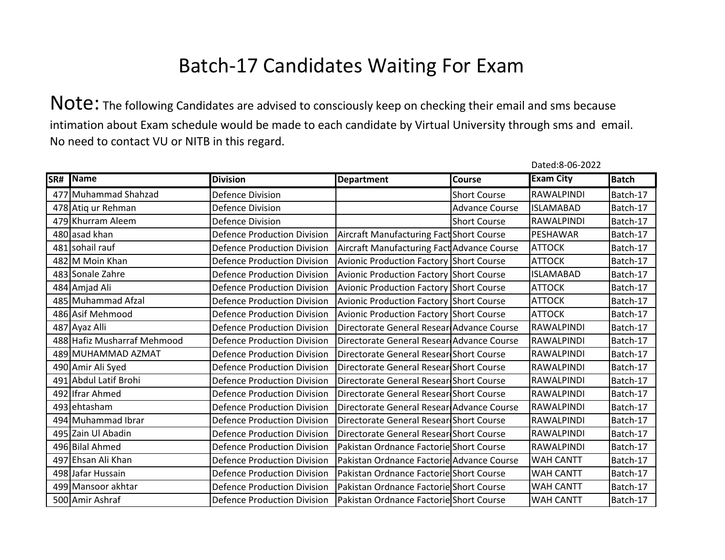|     |                             |                                    |                                                |                       | Dated:8-06-2022   |              |
|-----|-----------------------------|------------------------------------|------------------------------------------------|-----------------------|-------------------|--------------|
| SR# | Name                        | <b>Division</b>                    | <b>Department</b>                              | <b>Course</b>         | <b>Exam City</b>  | <b>Batch</b> |
|     | 477 Muhammad Shahzad        | <b>Defence Division</b>            |                                                | <b>Short Course</b>   | RAWALPINDI        | Batch-17     |
|     | 478 Atiq ur Rehman          | <b>Defence Division</b>            |                                                | <b>Advance Course</b> | <b>ISLAMABAD</b>  | Batch-17     |
|     | 479 Khurram Aleem           | <b>Defence Division</b>            |                                                | <b>Short Course</b>   | RAWALPINDI        | Batch-17     |
|     | 480 asad khan               | <b>Defence Production Division</b> | Aircraft Manufacturing Fact Short Course       |                       | PESHAWAR          | Batch-17     |
|     | 481 sohail rauf             | <b>Defence Production Division</b> | Aircraft Manufacturing Fact Advance Course     |                       | <b>ATTOCK</b>     | Batch-17     |
|     | 482 M Moin Khan             | <b>Defence Production Division</b> | Avionic Production Factory Short Course        |                       | <b>ATTOCK</b>     | Batch-17     |
|     | 483 Sonale Zahre            | <b>Defence Production Division</b> | Avionic Production Factory Short Course        |                       | <b>ISLAMABAD</b>  | Batch-17     |
|     | 484 Amjad Ali               | <b>Defence Production Division</b> | <b>Avionic Production Factory Short Course</b> |                       | <b>ATTOCK</b>     | Batch-17     |
|     | 485 Muhammad Afzal          | <b>Defence Production Division</b> | <b>Avionic Production Factory Short Course</b> |                       | <b>ATTOCK</b>     | Batch-17     |
|     | 486 Asif Mehmood            | <b>Defence Production Division</b> | <b>Avionic Production Factory Short Course</b> |                       | <b>ATTOCK</b>     | Batch-17     |
|     | 487 Ayaz Alli               | <b>Defence Production Division</b> | Directorate General Resear Advance Course      |                       | <b>RAWALPINDI</b> | Batch-17     |
|     | 488 Hafiz Musharraf Mehmood | <b>Defence Production Division</b> | Directorate General Resear Advance Course      |                       | <b>RAWALPINDI</b> | Batch-17     |
|     | 489 MUHAMMAD AZMAT          | <b>Defence Production Division</b> | Directorate General Resear Short Course        |                       | <b>RAWALPINDI</b> | Batch-17     |
|     | 490 Amir Ali Syed           | <b>Defence Production Division</b> | Directorate General Resear Short Course        |                       | RAWALPINDI        | Batch-17     |
|     | 491 Abdul Latif Brohi       | <b>Defence Production Division</b> | Directorate General Resear Short Course        |                       | RAWALPINDI        | Batch-17     |
|     | 492 Ifrar Ahmed             | <b>Defence Production Division</b> | Directorate General Resear Short Course        |                       | RAWALPINDI        | Batch-17     |
|     | 493 ehtasham                | <b>Defence Production Division</b> | Directorate General Resear Advance Course      |                       | RAWALPINDI        | Batch-17     |
|     | 494 Muhammad Ibrar          | <b>Defence Production Division</b> | Directorate General Resear Short Course        |                       | RAWALPINDI        | Batch-17     |
|     | 495 Zain Ul Abadin          | <b>Defence Production Division</b> | Directorate General Resear Short Course        |                       | RAWALPINDI        | Batch-17     |
|     | 496 Bilal Ahmed             | <b>Defence Production Division</b> | Pakistan Ordnance Factorie Short Course        |                       | <b>RAWALPINDI</b> | Batch-17     |
|     | 497 Ehsan Ali Khan          | <b>Defence Production Division</b> | Pakistan Ordnance Factorie Advance Course      |                       | <b>WAH CANTT</b>  | Batch-17     |
|     | 498 Jafar Hussain           | <b>Defence Production Division</b> | Pakistan Ordnance Factorie Short Course        |                       | <b>WAH CANTT</b>  | Batch-17     |
|     | 499 Mansoor akhtar          | <b>Defence Production Division</b> | Pakistan Ordnance Factorie Short Course        |                       | WAH CANTT         | Batch-17     |
|     | 500 Amir Ashraf             | <b>Defence Production Division</b> | Pakistan Ordnance Factorie Short Course        |                       | <b>WAH CANTT</b>  | Batch-17     |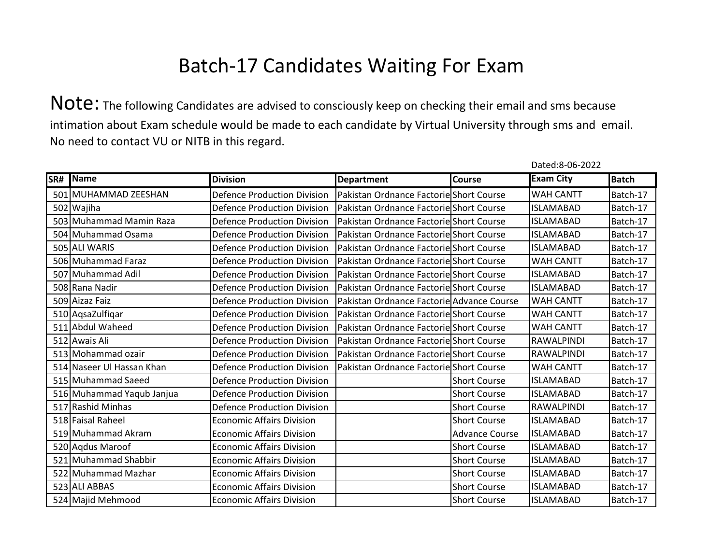Note: The following Candidates are advised to consciously keep on checking their email and sms because intimation about Exam schedule would be made to each candidate by Virtual University through sms and email. No need to contact VU or NITB in this regard.

| SR# | Name                      | <b>Division</b>                    | <b>Department</b>                         | <b>Course</b>         | <b>Exam City</b>  | <b>Batch</b> |
|-----|---------------------------|------------------------------------|-------------------------------------------|-----------------------|-------------------|--------------|
|     | 501 MUHAMMAD ZEESHAN      | <b>Defence Production Division</b> | Pakistan Ordnance Factorie Short Course   |                       | <b>WAH CANTT</b>  | Batch-17     |
|     | 502 Wajiha                | <b>Defence Production Division</b> | Pakistan Ordnance Factorie Short Course   |                       | <b>ISLAMABAD</b>  | Batch-17     |
|     | 503 Muhammad Mamin Raza   | <b>Defence Production Division</b> | Pakistan Ordnance Factorie Short Course   |                       | <b>ISLAMABAD</b>  | Batch-17     |
|     | 504 Muhammad Osama        | <b>Defence Production Division</b> | Pakistan Ordnance Factorie Short Course   |                       | <b>ISLAMABAD</b>  | Batch-17     |
|     | 505 ALI WARIS             | <b>Defence Production Division</b> | Pakistan Ordnance Factorie Short Course   |                       | <b>ISLAMABAD</b>  | Batch-17     |
|     | 506 Muhammad Faraz        | <b>Defence Production Division</b> | Pakistan Ordnance Factorie Short Course   |                       | <b>WAH CANTT</b>  | Batch-17     |
|     | 507 Muhammad Adil         | <b>Defence Production Division</b> | Pakistan Ordnance Factorie Short Course   |                       | <b>ISLAMABAD</b>  | Batch-17     |
|     | 508 Rana Nadir            | <b>Defence Production Division</b> | Pakistan Ordnance Factorie Short Course   |                       | <b>ISLAMABAD</b>  | Batch-17     |
|     | 509 Aizaz Faiz            | <b>Defence Production Division</b> | Pakistan Ordnance Factorie Advance Course |                       | <b>WAH CANTT</b>  | Batch-17     |
|     | 510 AqsaZulfiqar          | <b>Defence Production Division</b> | Pakistan Ordnance Factoriel Short Course  |                       | <b>WAH CANTT</b>  | Batch-17     |
|     | 511 Abdul Waheed          | <b>Defence Production Division</b> | Pakistan Ordnance Factorie Short Course   |                       | <b>WAH CANTT</b>  | Batch-17     |
|     | 512 Awais Ali             | <b>Defence Production Division</b> | Pakistan Ordnance Factorie Short Course   |                       | RAWALPINDI        | Batch-17     |
|     | 513 Mohammad ozair        | <b>Defence Production Division</b> | Pakistan Ordnance Factorie Short Course   |                       | RAWALPINDI        | Batch-17     |
|     | 514 Naseer Ul Hassan Khan | <b>Defence Production Division</b> | Pakistan Ordnance Factorie Short Course   |                       | <b>WAH CANTT</b>  | Batch-17     |
|     | 515 Muhammad Saeed        | <b>Defence Production Division</b> |                                           | <b>Short Course</b>   | <b>ISLAMABAD</b>  | Batch-17     |
|     | 516 Muhammad Yaqub Janjua | <b>Defence Production Division</b> |                                           | <b>Short Course</b>   | <b>ISLAMABAD</b>  | Batch-17     |
|     | 517 Rashid Minhas         | <b>Defence Production Division</b> |                                           | <b>Short Course</b>   | <b>RAWALPINDI</b> | Batch-17     |
|     | 518 Faisal Raheel         | <b>Economic Affairs Division</b>   |                                           | <b>Short Course</b>   | <b>ISLAMABAD</b>  | Batch-17     |
|     | 519 Muhammad Akram        | <b>Economic Affairs Division</b>   |                                           | <b>Advance Course</b> | <b>ISLAMABAD</b>  | Batch-17     |
|     | 520 Aqdus Maroof          | <b>Economic Affairs Division</b>   |                                           | <b>Short Course</b>   | <b>ISLAMABAD</b>  | Batch-17     |
|     | 521 Muhammad Shabbir      | <b>Economic Affairs Division</b>   |                                           | <b>Short Course</b>   | <b>ISLAMABAD</b>  | Batch-17     |
|     | 522 Muhammad Mazhar       | <b>Economic Affairs Division</b>   |                                           | <b>Short Course</b>   | <b>ISLAMABAD</b>  | Batch-17     |
|     | 523 ALI ABBAS             | <b>Economic Affairs Division</b>   |                                           | <b>Short Course</b>   | <b>ISLAMABAD</b>  | Batch-17     |
|     | 524 Majid Mehmood         | <b>Economic Affairs Division</b>   |                                           | <b>Short Course</b>   | <b>ISLAMABAD</b>  | Batch-17     |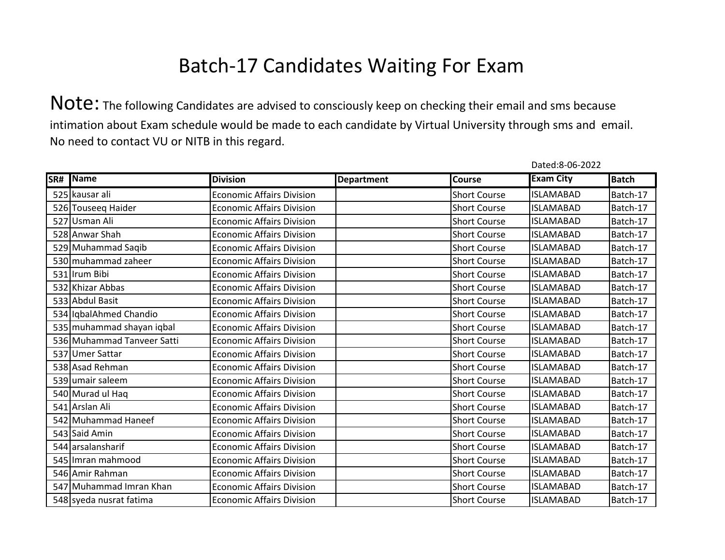|     |                            |                                  |                   |                     | Dated:8-06-2022  |              |
|-----|----------------------------|----------------------------------|-------------------|---------------------|------------------|--------------|
| SR# | <b>Name</b>                | <b>Division</b>                  | <b>Department</b> | <b>Course</b>       | <b>Exam City</b> | <b>Batch</b> |
|     | 525 kausar ali             | <b>Economic Affairs Division</b> |                   | <b>Short Course</b> | <b>ISLAMABAD</b> | Batch-17     |
|     | 526 Touseeg Haider         | <b>Economic Affairs Division</b> |                   | <b>Short Course</b> | <b>ISLAMABAD</b> | Batch-17     |
|     | 527 Usman Ali              | <b>Economic Affairs Division</b> |                   | <b>Short Course</b> | <b>ISLAMABAD</b> | Batch-17     |
|     | 528 Anwar Shah             | <b>Economic Affairs Division</b> |                   | <b>Short Course</b> | <b>ISLAMABAD</b> | Batch-17     |
|     | 529 Muhammad Saqib         | <b>Economic Affairs Division</b> |                   | <b>Short Course</b> | <b>ISLAMABAD</b> | Batch-17     |
|     | 530 muhammad zaheer        | <b>Economic Affairs Division</b> |                   | <b>Short Course</b> | <b>ISLAMABAD</b> | Batch-17     |
|     | 531 Irum Bibi              | <b>Economic Affairs Division</b> |                   | <b>Short Course</b> | <b>ISLAMABAD</b> | Batch-17     |
|     | 532 Khizar Abbas           | <b>Economic Affairs Division</b> |                   | <b>Short Course</b> | <b>ISLAMABAD</b> | Batch-17     |
|     | 533 Abdul Basit            | <b>Economic Affairs Division</b> |                   | <b>Short Course</b> | <b>ISLAMABAD</b> | Batch-17     |
|     | 534 IqbalAhmed Chandio     | <b>Economic Affairs Division</b> |                   | <b>Short Course</b> | <b>ISLAMABAD</b> | Batch-17     |
|     | 535 muhammad shayan iqbal  | <b>Economic Affairs Division</b> |                   | <b>Short Course</b> | <b>ISLAMABAD</b> | Batch-17     |
|     | 536 Muhammad Tanveer Satti | <b>Economic Affairs Division</b> |                   | <b>Short Course</b> | <b>ISLAMABAD</b> | Batch-17     |
|     | 537 Umer Sattar            | <b>Economic Affairs Division</b> |                   | <b>Short Course</b> | <b>ISLAMABAD</b> | Batch-17     |
|     | 538 Asad Rehman            | <b>Economic Affairs Division</b> |                   | <b>Short Course</b> | <b>ISLAMABAD</b> | Batch-17     |
|     | 539 umair saleem           | <b>Economic Affairs Division</b> |                   | <b>Short Course</b> | <b>ISLAMABAD</b> | Batch-17     |
|     | 540 Murad ul Haq           | <b>Economic Affairs Division</b> |                   | <b>Short Course</b> | <b>ISLAMABAD</b> | Batch-17     |
|     | 541 Arslan Ali             | <b>Economic Affairs Division</b> |                   | <b>Short Course</b> | <b>ISLAMABAD</b> | Batch-17     |
|     | 542 Muhammad Haneef        | <b>Economic Affairs Division</b> |                   | <b>Short Course</b> | <b>ISLAMABAD</b> | Batch-17     |
|     | 543 Said Amin              | <b>Economic Affairs Division</b> |                   | <b>Short Course</b> | <b>ISLAMABAD</b> | Batch-17     |
|     | 544 arsalansharif          | <b>Economic Affairs Division</b> |                   | <b>Short Course</b> | <b>ISLAMABAD</b> | Batch-17     |
|     | 545 Imran mahmood          | <b>Economic Affairs Division</b> |                   | <b>Short Course</b> | <b>ISLAMABAD</b> | Batch-17     |
|     | 546 Amir Rahman            | <b>Economic Affairs Division</b> |                   | <b>Short Course</b> | <b>ISLAMABAD</b> | Batch-17     |
|     | 547 Muhammad Imran Khan    | <b>Economic Affairs Division</b> |                   | <b>Short Course</b> | <b>ISLAMABAD</b> | Batch-17     |
|     | 548 syeda nusrat fatima    | <b>Economic Affairs Division</b> |                   | <b>Short Course</b> | <b>ISLAMABAD</b> | Batch-17     |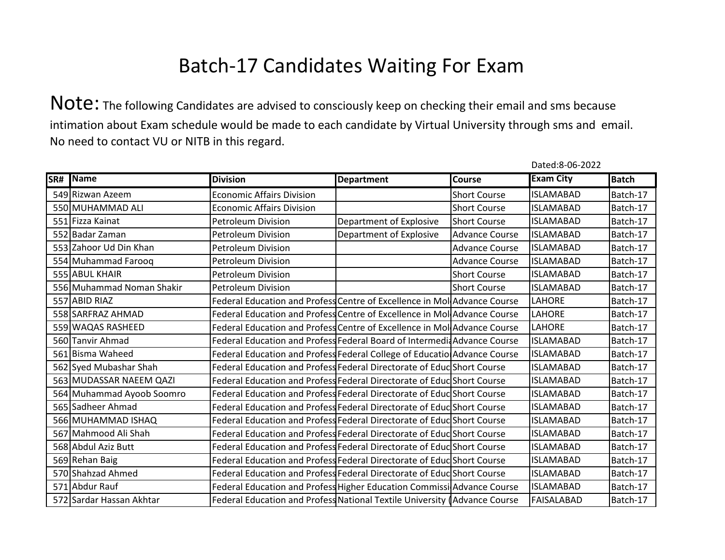Note: The following Candidates are advised to consciously keep on checking their email and sms because intimation about Exam schedule would be made to each candidate by Virtual University through sms and email. No need to contact VU or NITB in this regard.

| SR# | Name                      | <b>Division</b>                                                           |                         | <b>Course</b>         | <b>Exam City</b>  | <b>Batch</b> |
|-----|---------------------------|---------------------------------------------------------------------------|-------------------------|-----------------------|-------------------|--------------|
|     |                           |                                                                           | <b>Department</b>       |                       |                   |              |
|     | 549 Rizwan Azeem          | <b>Economic Affairs Division</b>                                          |                         | <b>Short Course</b>   | <b>ISLAMABAD</b>  | Batch-17     |
|     | 550 MUHAMMAD ALI          | <b>Economic Affairs Division</b>                                          |                         | <b>Short Course</b>   | <b>ISLAMABAD</b>  | Batch-17     |
|     | 551 Fizza Kainat          | <b>Petroleum Division</b>                                                 | Department of Explosive | <b>Short Course</b>   | <b>ISLAMABAD</b>  | Batch-17     |
|     | 552 Badar Zaman           | <b>Petroleum Division</b>                                                 | Department of Explosive | <b>Advance Course</b> | <b>ISLAMABAD</b>  | Batch-17     |
|     | 553 Zahoor Ud Din Khan    | <b>Petroleum Division</b>                                                 |                         | <b>Advance Course</b> | <b>ISLAMABAD</b>  | Batch-17     |
|     | 554 Muhammad Faroog       | <b>Petroleum Division</b>                                                 |                         | <b>Advance Course</b> | <b>ISLAMABAD</b>  | Batch-17     |
|     | 555 ABUL KHAIR            | <b>Petroleum Division</b>                                                 |                         | <b>Short Course</b>   | <b>ISLAMABAD</b>  | Batch-17     |
|     | 556 Muhammad Noman Shakir | <b>Petroleum Division</b>                                                 |                         | <b>Short Course</b>   | <b>ISLAMABAD</b>  | Batch-17     |
|     | 557 ABID RIAZ             | Federal Education and Profess Centre of Excellence in MollAdvance Course  |                         |                       | LAHORE            | Batch-17     |
|     | 558 SARFRAZ AHMAD         | Federal Education and Profess Centre of Excellence in Mol Advance Course  |                         |                       | <b>LAHORE</b>     | Batch-17     |
|     | 559 WAQAS RASHEED         | Federal Education and Profess Centre of Excellence in MollAdvance Course  |                         |                       | LAHORE            | Batch-17     |
|     | 560 Tanvir Ahmad          | Federal Education and Profess Federal Board of Intermedi Advance Course   |                         |                       | <b>ISLAMABAD</b>  | Batch-17     |
|     | 561 Bisma Waheed          | Federal Education and Profess Federal College of Educatio Advance Course  |                         |                       | <b>ISLAMABAD</b>  | Batch-17     |
|     | 562 Syed Mubashar Shah    | Federal Education and Profess Federal Directorate of Educ Short Course    |                         |                       | <b>ISLAMABAD</b>  | Batch-17     |
|     | 563 MUDASSAR NAEEM QAZI   | Federal Education and Profess Federal Directorate of Educ Short Course    |                         |                       | <b>ISLAMABAD</b>  | Batch-17     |
|     | 564 Muhammad Ayoob Soomro | Federal Education and Profess Federal Directorate of Educ Short Course    |                         |                       | <b>ISLAMABAD</b>  | Batch-17     |
|     | 565 Sadheer Ahmad         | Federal Education and Profess Federal Directorate of Educ Short Course    |                         |                       | <b>ISLAMABAD</b>  | Batch-17     |
|     | 566 MUHAMMAD ISHAQ        | Federal Education and Profess Federal Directorate of Educ Short Course    |                         |                       | <b>ISLAMABAD</b>  | Batch-17     |
|     | 567 Mahmood Ali Shah      | Federal Education and Profess Federal Directorate of Educ Short Course    |                         |                       | <b>ISLAMABAD</b>  | Batch-17     |
|     | 568 Abdul Aziz Butt       | Federal Education and Profess Federal Directorate of Educ Short Course    |                         |                       | <b>ISLAMABAD</b>  | Batch-17     |
|     | 569 Rehan Baig            | Federal Education and Profess Federal Directorate of Educ Short Course    |                         |                       | <b>ISLAMABAD</b>  | Batch-17     |
|     | 570 Shahzad Ahmed         | Federal Education and Profess Federal Directorate of Educ Short Course    |                         |                       | <b>ISLAMABAD</b>  | Batch-17     |
|     | 571 Abdur Rauf            | Federal Education and Profess Higher Education Commissi Advance Course    |                         |                       | <b>ISLAMABAD</b>  | Batch-17     |
|     | 572 Sardar Hassan Akhtar  | Federal Education and Profess National Textile University (Advance Course |                         |                       | <b>FAISALABAD</b> | Batch-17     |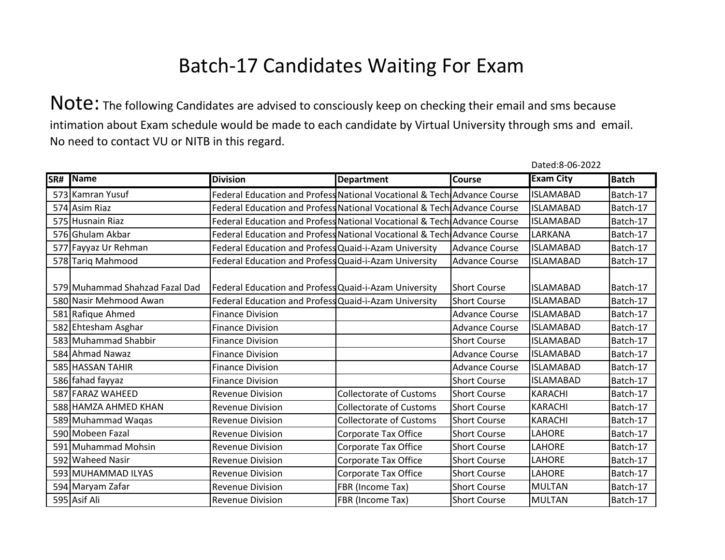Note: The following Candidates are advised to consciously keep on checking their email and sms because intimation about Exam schedule would be made to each candidate by Virtual University through sms and email. No need to contact VU or NITB in this regard.

| SR# | Name                           | <b>Division</b>                                                         | <b>Department</b>              | Course                | <b>Exam City</b> | <b>Batch</b> |
|-----|--------------------------------|-------------------------------------------------------------------------|--------------------------------|-----------------------|------------------|--------------|
|     | 573 Kamran Yusuf               | Federal Education and Profess National Vocational & Tech Advance Course |                                |                       | <b>ISLAMABAD</b> | Batch-17     |
|     | 574 Asim Riaz                  | Federal Education and Profess National Vocational & Tech Advance Course |                                |                       | <b>ISLAMABAD</b> | Batch-17     |
|     | 575 Husnain Riaz               | Federal Education and Profess National Vocational & Tech Advance Course |                                |                       | <b>ISLAMABAD</b> | Batch-17     |
|     | 576 Ghulam Akbar               | Federal Education and Profess National Vocational & Tech Advance Course |                                |                       | LARKANA          | Batch-17     |
|     | 577 Fayyaz Ur Rehman           | Federal Education and Profess Quaid-i-Azam University                   |                                | <b>Advance Course</b> | <b>ISLAMABAD</b> | Batch-17     |
|     | 578 Tariq Mahmood              | Federal Education and Profess Quaid-i-Azam University                   |                                | <b>Advance Course</b> | <b>ISLAMABAD</b> | Batch-17     |
|     |                                |                                                                         |                                |                       |                  |              |
|     | 579 Muhammad Shahzad Fazal Dad | Federal Education and Profess Quaid-i-Azam University                   |                                | <b>Short Course</b>   | <b>ISLAMABAD</b> | Batch-17     |
|     | 580 Nasir Mehmood Awan         | Federal Education and Profess Quaid-i-Azam University                   |                                | <b>Short Course</b>   | <b>ISLAMABAD</b> | Batch-17     |
|     | 581 Rafique Ahmed              | <b>Finance Division</b>                                                 |                                | <b>Advance Course</b> | <b>ISLAMABAD</b> | Batch-17     |
|     | 582 Ehtesham Asghar            | <b>Finance Division</b>                                                 |                                | <b>Advance Course</b> | <b>ISLAMABAD</b> | Batch-17     |
|     | 583 Muhammad Shabbir           | <b>Finance Division</b>                                                 |                                | <b>Short Course</b>   | <b>ISLAMABAD</b> | Batch-17     |
|     | 584 Ahmad Nawaz                | <b>Finance Division</b>                                                 |                                | <b>Advance Course</b> | <b>ISLAMABAD</b> | Batch-17     |
|     | 585 HASSAN TAHIR               | <b>Finance Division</b>                                                 |                                | <b>Advance Course</b> | <b>ISLAMABAD</b> | Batch-17     |
|     | 586 fahad fayyaz               | <b>Finance Division</b>                                                 |                                | <b>Short Course</b>   | <b>ISLAMABAD</b> | Batch-17     |
|     | 587 FARAZ WAHEED               | <b>Revenue Division</b>                                                 | <b>Collectorate of Customs</b> | <b>Short Course</b>   | <b>KARACHI</b>   | Batch-17     |
|     | 588 HAMZA AHMED KHAN           | <b>Revenue Division</b>                                                 | <b>Collectorate of Customs</b> | <b>Short Course</b>   | <b>KARACHI</b>   | Batch-17     |
|     | 589 Muhammad Waqas             | <b>Revenue Division</b>                                                 | <b>Collectorate of Customs</b> | <b>Short Course</b>   | <b>KARACHI</b>   | Batch-17     |
|     | 590 Mobeen Fazal               | <b>Revenue Division</b>                                                 | Corporate Tax Office           | <b>Short Course</b>   | LAHORE           | Batch-17     |
|     | 591 Muhammad Mohsin            | <b>Revenue Division</b>                                                 | Corporate Tax Office           | <b>Short Course</b>   | <b>LAHORE</b>    | Batch-17     |
|     | 592 Waheed Nasir               | <b>Revenue Division</b>                                                 | Corporate Tax Office           | <b>Short Course</b>   | <b>LAHORE</b>    | Batch-17     |
|     | 593 MUHAMMAD ILYAS             | <b>Revenue Division</b>                                                 | Corporate Tax Office           | <b>Short Course</b>   | LAHORE           | Batch-17     |
|     | 594 Maryam Zafar               | <b>Revenue Division</b>                                                 | FBR (Income Tax)               | <b>Short Course</b>   | <b>MULTAN</b>    | Batch-17     |
|     | 595 Asif Ali                   | <b>Revenue Division</b>                                                 | FBR (Income Tax)               | <b>Short Course</b>   | <b>MULTAN</b>    | Batch-17     |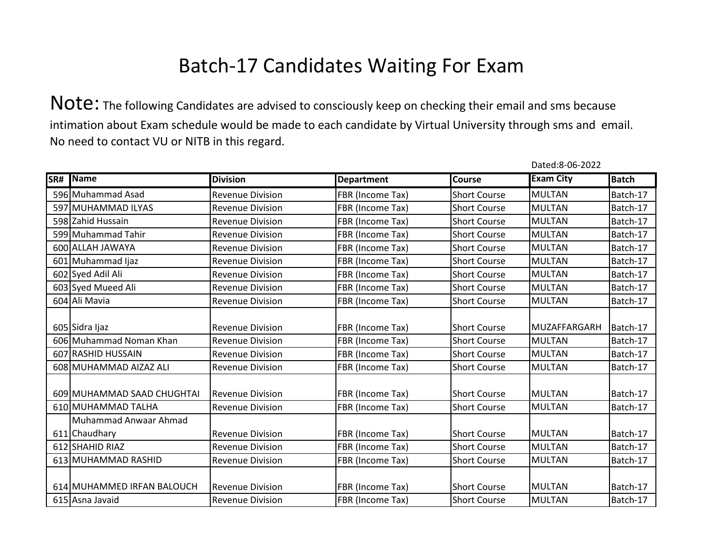Note: The following Candidates are advised to consciously keep on checking their email and sms because intimation about Exam schedule would be made to each candidate by Virtual University through sms and email. No need to contact VU or NITB in this regard.

| SR# | Name                       | <b>Division</b>         | <b>Department</b> | <b>Course</b>       | <b>Exam City</b> | <b>Batch</b> |
|-----|----------------------------|-------------------------|-------------------|---------------------|------------------|--------------|
|     | 596 Muhammad Asad          | <b>Revenue Division</b> | FBR (Income Tax)  | <b>Short Course</b> | <b>MULTAN</b>    | Batch-17     |
|     | 597 MUHAMMAD ILYAS         | <b>Revenue Division</b> | FBR (Income Tax)  | <b>Short Course</b> | <b>MULTAN</b>    | Batch-17     |
|     | 598 Zahid Hussain          | <b>Revenue Division</b> | FBR (Income Tax)  | <b>Short Course</b> | <b>MULTAN</b>    | Batch-17     |
|     | 599 Muhammad Tahir         | <b>Revenue Division</b> | FBR (Income Tax)  | <b>Short Course</b> | <b>MULTAN</b>    | Batch-17     |
|     | 600 ALLAH JAWAYA           | <b>Revenue Division</b> | FBR (Income Tax)  | <b>Short Course</b> | <b>MULTAN</b>    | Batch-17     |
|     | 601 Muhammad Ijaz          | <b>Revenue Division</b> | FBR (Income Tax)  | <b>Short Course</b> | <b>MULTAN</b>    | Batch-17     |
|     | 602 Syed Adil Ali          | <b>Revenue Division</b> | FBR (Income Tax)  | <b>Short Course</b> | <b>MULTAN</b>    | Batch-17     |
|     | 603 Syed Mueed Ali         | <b>Revenue Division</b> | FBR (Income Tax)  | <b>Short Course</b> | <b>MULTAN</b>    | Batch-17     |
|     | 604 Ali Mavia              | <b>Revenue Division</b> | FBR (Income Tax)  | <b>Short Course</b> | <b>MULTAN</b>    | Batch-17     |
|     |                            |                         |                   |                     |                  |              |
|     | 605 Sidra Ijaz             | <b>Revenue Division</b> | FBR (Income Tax)  | <b>Short Course</b> | MUZAFFARGARH     | Batch-17     |
|     | 606 Muhammad Noman Khan    | <b>Revenue Division</b> | FBR (Income Tax)  | <b>Short Course</b> | <b>MULTAN</b>    | Batch-17     |
|     | 607 RASHID HUSSAIN         | <b>Revenue Division</b> | FBR (Income Tax)  | <b>Short Course</b> | <b>MULTAN</b>    | Batch-17     |
|     | 608 MUHAMMAD AIZAZ ALI     | <b>Revenue Division</b> | FBR (Income Tax)  | <b>Short Course</b> | <b>MULTAN</b>    | Batch-17     |
|     |                            |                         |                   |                     |                  |              |
|     | 609 MUHAMMAD SAAD CHUGHTAI | <b>Revenue Division</b> | FBR (Income Tax)  | <b>Short Course</b> | <b>MULTAN</b>    | Batch-17     |
|     | 610 MUHAMMAD TALHA         | <b>Revenue Division</b> | FBR (Income Tax)  | <b>Short Course</b> | <b>MULTAN</b>    | Batch-17     |
|     | Muhammad Anwaar Ahmad      |                         |                   |                     |                  |              |
|     | 611 Chaudhary              | <b>Revenue Division</b> | FBR (Income Tax)  | <b>Short Course</b> | <b>MULTAN</b>    | Batch-17     |
|     | 612 SHAHID RIAZ            | <b>Revenue Division</b> | FBR (Income Tax)  | <b>Short Course</b> | <b>MULTAN</b>    | Batch-17     |
|     | 613 MUHAMMAD RASHID        | <b>Revenue Division</b> | FBR (Income Tax)  | <b>Short Course</b> | <b>MULTAN</b>    | Batch-17     |
|     |                            |                         |                   |                     |                  |              |
|     | 614 MUHAMMED IRFAN BALOUCH | <b>Revenue Division</b> | FBR (Income Tax)  | <b>Short Course</b> | <b>MULTAN</b>    | Batch-17     |
|     | 615 Asna Javaid            | <b>Revenue Division</b> | FBR (Income Tax)  | <b>Short Course</b> | <b>MULTAN</b>    | Batch-17     |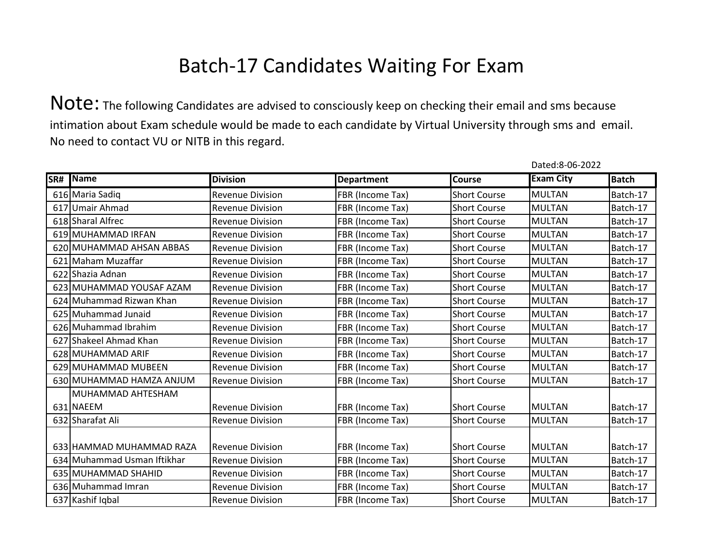|     |                             |                         |                   |                       | Dated:8-06-2022  |              |
|-----|-----------------------------|-------------------------|-------------------|-----------------------|------------------|--------------|
| SR# | Name                        | <b>Division</b>         | <b>Department</b> | <b>Course</b>         | <b>Exam City</b> | <b>Batch</b> |
|     | 616 Maria Sadiq             | <b>Revenue Division</b> | FBR (Income Tax)  | <b>Short Course</b>   | <b>MULTAN</b>    | Batch-17     |
|     | 617 Umair Ahmad             | <b>Revenue Division</b> | FBR (Income Tax)  | <b>Short Course</b>   | <b>MULTAN</b>    | Batch-17     |
|     | 618 Sharal Alfrec           | <b>Revenue Division</b> | FBR (Income Tax)  | <b>Short Course</b>   | <b>MULTAN</b>    | Batch-17     |
|     | 619 MUHAMMAD IRFAN          | <b>Revenue Division</b> | FBR (Income Tax)  | <b>Short Course</b>   | <b>MULTAN</b>    | Batch-17     |
|     | 620 MUHAMMAD AHSAN ABBAS    | <b>Revenue Division</b> | FBR (Income Tax)  | <b>Short Course</b>   | <b>MULTAN</b>    | Batch-17     |
|     | 621 Maham Muzaffar          | <b>Revenue Division</b> | FBR (Income Tax)  | <b>Short Course</b>   | <b>MULTAN</b>    | Batch-17     |
|     | 622 Shazia Adnan            | <b>Revenue Division</b> | FBR (Income Tax)  | <b>Short Course</b>   | <b>MULTAN</b>    | Batch-17     |
|     | 623 MUHAMMAD YOUSAF AZAM    | <b>Revenue Division</b> | FBR (Income Tax)  | <b>Short Course</b>   | <b>MULTAN</b>    | Batch-17     |
|     | 624 Muhammad Rizwan Khan    | <b>Revenue Division</b> | FBR (Income Tax)  | <b>Short Course</b>   | <b>MULTAN</b>    | Batch-17     |
|     | 625 Muhammad Junaid         | <b>Revenue Division</b> | FBR (Income Tax)  | <b>Short Course</b>   | <b>MULTAN</b>    | Batch-17     |
|     | 626 Muhammad Ibrahim        | <b>Revenue Division</b> | FBR (Income Tax)  | <b>Short Course</b>   | <b>MULTAN</b>    | Batch-17     |
|     | 627 Shakeel Ahmad Khan      | <b>Revenue Division</b> | FBR (Income Tax)  | <b>Short Course</b>   | <b>MULTAN</b>    | Batch-17     |
|     | 628 MUHAMMAD ARIF           | <b>Revenue Division</b> | FBR (Income Tax)  | <b>Short Course</b>   | <b>MULTAN</b>    | Batch-17     |
|     | 629 MUHAMMAD MUBEEN         | <b>Revenue Division</b> | FBR (Income Tax)  | <b>Short Course</b>   | <b>MULTAN</b>    | Batch-17     |
|     | 630 MUHAMMAD HAMZA ANJUM    | <b>Revenue Division</b> | FBR (Income Tax)  | <b>Short Course</b>   | <b>MULTAN</b>    | Batch-17     |
|     | MUHAMMAD AHTESHAM           |                         |                   |                       |                  |              |
|     | 631 NAEEM                   | <b>Revenue Division</b> | FBR (Income Tax)  | <b>Short Course</b>   | <b>MULTAN</b>    | Batch-17     |
|     | 632 Sharafat Ali            | <b>Revenue Division</b> | FBR (Income Tax)  | <b>Short Course</b>   | <b>MULTAN</b>    | Batch-17     |
|     |                             |                         |                   |                       |                  |              |
|     | 633 HAMMAD MUHAMMAD RAZA    | <b>Revenue Division</b> | FBR (Income Tax)  | <b>I</b> Short Course | <b>MULTAN</b>    | Batch-17     |
|     | 634 Muhammad Usman Iftikhar | <b>Revenue Division</b> | FBR (Income Tax)  | <b>Short Course</b>   | <b>MULTAN</b>    | Batch-17     |
|     | 635 MUHAMMAD SHAHID         | <b>Revenue Division</b> | FBR (Income Tax)  | <b>Short Course</b>   | <b>MULTAN</b>    | Batch-17     |
|     | 636 Muhammad Imran          | <b>Revenue Division</b> | FBR (Income Tax)  | <b>Short Course</b>   | <b>MULTAN</b>    | Batch-17     |
|     | 637 Kashif Iqbal            | <b>Revenue Division</b> | FBR (Income Tax)  | <b>Short Course</b>   | <b>MULTAN</b>    | Batch-17     |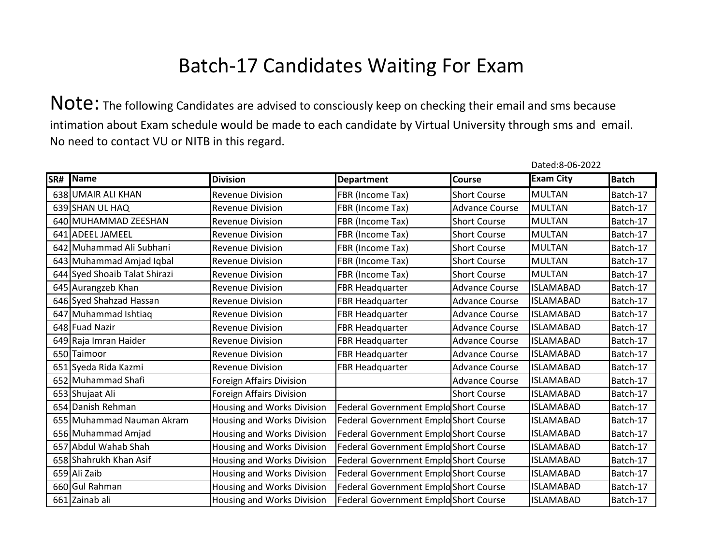Note: The following Candidates are advised to consciously keep on checking their email and sms because intimation about Exam schedule would be made to each candidate by Virtual University through sms and email. No need to contact VU or NITB in this regard.

| SR# | Name                          | <b>Division</b>            | <b>Department</b>                     | <b>Course</b>         | <b>Exam City</b> | <b>Batch</b> |
|-----|-------------------------------|----------------------------|---------------------------------------|-----------------------|------------------|--------------|
|     | 638 UMAIR ALI KHAN            | <b>Revenue Division</b>    | FBR (Income Tax)                      | <b>Short Course</b>   | <b>MULTAN</b>    | Batch-17     |
|     | 639 SHAN UL HAQ               | <b>Revenue Division</b>    | FBR (Income Tax)                      | <b>Advance Course</b> | <b>MULTAN</b>    | Batch-17     |
|     | 640 MUHAMMAD ZEESHAN          | <b>Revenue Division</b>    | FBR (Income Tax)                      | <b>Short Course</b>   | <b>MULTAN</b>    | Batch-17     |
|     | 641 ADEEL JAMEEL              | <b>Revenue Division</b>    | FBR (Income Tax)                      | <b>Short Course</b>   | <b>MULTAN</b>    | Batch-17     |
|     | 642 Muhammad Ali Subhani      | <b>Revenue Division</b>    | FBR (Income Tax)                      | <b>Short Course</b>   | <b>MULTAN</b>    | Batch-17     |
|     | 643 Muhammad Amjad Iqbal      | <b>Revenue Division</b>    | FBR (Income Tax)                      | <b>Short Course</b>   | <b>MULTAN</b>    | Batch-17     |
|     | 644 Syed Shoaib Talat Shirazi | <b>Revenue Division</b>    | FBR (Income Tax)                      | <b>Short Course</b>   | <b>MULTAN</b>    | Batch-17     |
|     | 645 Aurangzeb Khan            | <b>Revenue Division</b>    | FBR Headquarter                       | <b>Advance Course</b> | <b>ISLAMABAD</b> | Batch-17     |
|     | 646 Syed Shahzad Hassan       | <b>Revenue Division</b>    | FBR Headquarter                       | <b>Advance Course</b> | <b>ISLAMABAD</b> | Batch-17     |
|     | 647 Muhammad Ishtiaq          | <b>Revenue Division</b>    | FBR Headquarter                       | <b>Advance Course</b> | <b>ISLAMABAD</b> | Batch-17     |
|     | 648 Fuad Nazir                | <b>Revenue Division</b>    | <b>FBR Headquarter</b>                | <b>Advance Course</b> | <b>ISLAMABAD</b> | Batch-17     |
|     | 649 Raja Imran Haider         | <b>Revenue Division</b>    | FBR Headquarter                       | <b>Advance Course</b> | <b>ISLAMABAD</b> | Batch-17     |
|     | 650 Taimoor                   | <b>Revenue Division</b>    | FBR Headquarter                       | <b>Advance Course</b> | <b>ISLAMABAD</b> | Batch-17     |
|     | 651 Syeda Rida Kazmi          | <b>Revenue Division</b>    | FBR Headquarter                       | <b>Advance Course</b> | <b>ISLAMABAD</b> | Batch-17     |
|     | 652 Muhammad Shafi            | Foreign Affairs Division   |                                       | <b>Advance Course</b> | <b>ISLAMABAD</b> | Batch-17     |
|     | 653 Shujaat Ali               | Foreign Affairs Division   |                                       | <b>Short Course</b>   | <b>ISLAMABAD</b> | Batch-17     |
|     | 654 Danish Rehman             | Housing and Works Division | Federal Government Emplo Short Course |                       | <b>ISLAMABAD</b> | Batch-17     |
|     | 655 Muhammad Nauman Akram     | Housing and Works Division | Federal Government Emplo Short Course |                       | <b>ISLAMABAD</b> | Batch-17     |
|     | 656 Muhammad Amjad            | Housing and Works Division | Federal Government Emplo Short Course |                       | <b>ISLAMABAD</b> | Batch-17     |
|     | 657 Abdul Wahab Shah          | Housing and Works Division | Federal Government Emplo Short Course |                       | <b>ISLAMABAD</b> | Batch-17     |
|     | 658 Shahrukh Khan Asif        | Housing and Works Division | Federal Government Emplo Short Course |                       | <b>ISLAMABAD</b> | Batch-17     |
|     | 659 Ali Zaib                  | Housing and Works Division | Federal Government Emplo Short Course |                       | <b>ISLAMABAD</b> | Batch-17     |
|     | 660 Gul Rahman                | Housing and Works Division | Federal Government Emplo Short Course |                       | <b>ISLAMABAD</b> | Batch-17     |
|     | 661 Zainab ali                | Housing and Works Division | Federal Government Emplo Short Course |                       | <b>ISLAMABAD</b> | Batch-17     |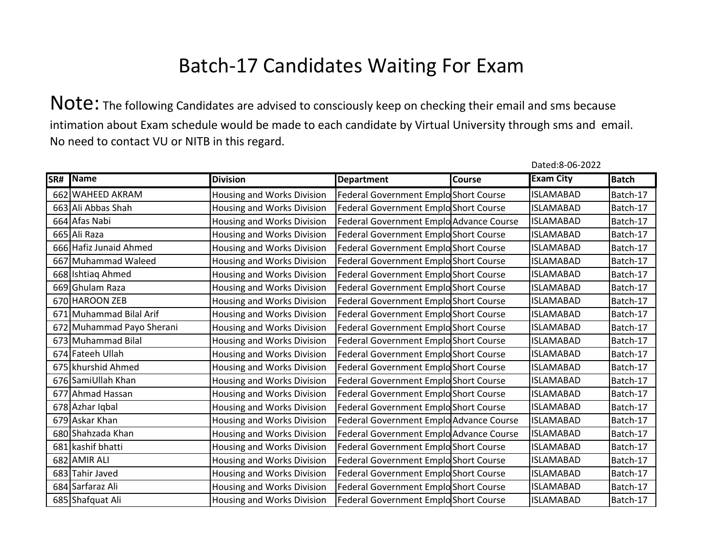Note: The following Candidates are advised to consciously keep on checking their email and sms because intimation about Exam schedule would be made to each candidate by Virtual University through sms and email. No need to contact VU or NITB in this regard.

| SR# Name                  | <b>Division</b>            | <b>Department</b>                       | Course | <b>Exam City</b> | <b>Batch</b> |
|---------------------------|----------------------------|-----------------------------------------|--------|------------------|--------------|
| 662 WAHEED AKRAM          | Housing and Works Division | Federal Government Emplo Short Course   |        | <b>ISLAMABAD</b> | Batch-17     |
| 663 Ali Abbas Shah        | Housing and Works Division | Federal Government Emplo Short Course   |        | <b>ISLAMABAD</b> | Batch-17     |
| 664 Afas Nabi             | Housing and Works Division | Federal Government Emplo Advance Course |        | <b>ISLAMABAD</b> | Batch-17     |
| 665 Ali Raza              | Housing and Works Division | Federal Government Emplo Short Course   |        | <b>ISLAMABAD</b> | Batch-17     |
| 666 Hafiz Junaid Ahmed    | Housing and Works Division | Federal Government Emplo Short Course   |        | <b>ISLAMABAD</b> | Batch-17     |
| 667 Muhammad Waleed       | Housing and Works Division | Federal Government Emplo Short Course   |        | <b>ISLAMABAD</b> | Batch-17     |
| 668 Ishtiaq Ahmed         | Housing and Works Division | Federal Government Emplo Short Course   |        | <b>ISLAMABAD</b> | Batch-17     |
| 669 Ghulam Raza           | Housing and Works Division | Federal Government Emplo Short Course   |        | <b>ISLAMABAD</b> | Batch-17     |
| 670 HAROON ZEB            | Housing and Works Division | Federal Government Emplo Short Course   |        | <b>ISLAMABAD</b> | Batch-17     |
| 671 Muhammad Bilal Arif   | Housing and Works Division | Federal Government Emplo Short Course   |        | <b>ISLAMABAD</b> | Batch-17     |
| 672 Muhammad Payo Sherani | Housing and Works Division | Federal Government Emplo Short Course   |        | <b>ISLAMABAD</b> | Batch-17     |
| 673 Muhammad Bilal        | Housing and Works Division | Federal Government Emplo Short Course   |        | <b>ISLAMABAD</b> | Batch-17     |
| 674 Fateeh Ullah          | Housing and Works Division | Federal Government Emplo Short Course   |        | <b>ISLAMABAD</b> | Batch-17     |
| 675 khurshid Ahmed        | Housing and Works Division | Federal Government Emplo Short Course   |        | <b>ISLAMABAD</b> | Batch-17     |
| 676 SamiUllah Khan        | Housing and Works Division | Federal Government Emplo Short Course   |        | <b>ISLAMABAD</b> | Batch-17     |
| 677 Ahmad Hassan          | Housing and Works Division | Federal Government Emplo Short Course   |        | <b>ISLAMABAD</b> | Batch-17     |
| 678 Azhar Iqbal           | Housing and Works Division | Federal Government EmploShort Course    |        | <b>ISLAMABAD</b> | Batch-17     |
| 679 Askar Khan            | Housing and Works Division | Federal Government Emplo Advance Course |        | <b>ISLAMABAD</b> | Batch-17     |
| 680 Shahzada Khan         | Housing and Works Division | Federal Government Emplo Advance Course |        | <b>ISLAMABAD</b> | Batch-17     |
| 681 kashif bhatti         | Housing and Works Division | Federal Government Emplo Short Course   |        | <b>ISLAMABAD</b> | Batch-17     |
| 682 AMIR ALI              | Housing and Works Division | Federal Government Emplo Short Course   |        | <b>ISLAMABAD</b> | Batch-17     |
| 683 Tahir Javed           | Housing and Works Division | Federal Government Emplo Short Course   |        | <b>ISLAMABAD</b> | Batch-17     |
| 684 Sarfaraz Ali          | Housing and Works Division | Federal Government EmploShort Course    |        | <b>ISLAMABAD</b> | Batch-17     |
| 685 Shafquat Ali          | Housing and Works Division | Federal Government Emplo Short Course   |        | <b>ISLAMABAD</b> | Batch-17     |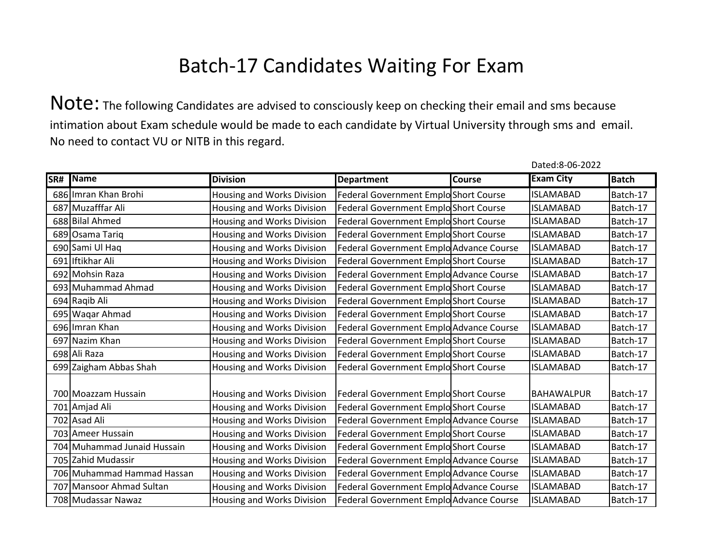Note: The following Candidates are advised to consciously keep on checking their email and sms because intimation about Exam schedule would be made to each candidate by Virtual University through sms and email. No need to contact VU or NITB in this regard.

| SR# | Name                        | <b>Division</b>            | <b>Department</b>                       | <b>Course</b> | <b>Exam City</b>  | <b>Batch</b> |
|-----|-----------------------------|----------------------------|-----------------------------------------|---------------|-------------------|--------------|
|     | 686 Imran Khan Brohi        | Housing and Works Division | Federal Government Emplo Short Course   |               | <b>ISLAMABAD</b>  | Batch-17     |
|     | 687 Muzafffar Ali           | Housing and Works Division | Federal Government Emplo Short Course   |               | <b>ISLAMABAD</b>  | Batch-17     |
|     | 688 Bilal Ahmed             | Housing and Works Division | Federal Government Emplo Short Course   |               | <b>ISLAMABAD</b>  | Batch-17     |
|     | 689 Osama Tariq             | Housing and Works Division | Federal Government Emplo Short Course   |               | <b>ISLAMABAD</b>  | Batch-17     |
|     | 690 Sami Ul Haq             | Housing and Works Division | Federal Government Emplo Advance Course |               | <b>ISLAMABAD</b>  | Batch-17     |
|     | 691 Iftikhar Ali            | Housing and Works Division | Federal Government Emplo Short Course   |               | <b>ISLAMABAD</b>  | Batch-17     |
|     | 692 Mohsin Raza             | Housing and Works Division | Federal Government Emplo Advance Course |               | <b>ISLAMABAD</b>  | Batch-17     |
|     | 693 Muhammad Ahmad          | Housing and Works Division | Federal Government Emplo Short Course   |               | <b>ISLAMABAD</b>  | Batch-17     |
|     | 694 Raqib Ali               | Housing and Works Division | Federal Government Emplo Short Course   |               | <b>ISLAMABAD</b>  | Batch-17     |
|     | 695 Waqar Ahmad             | Housing and Works Division | Federal Government Emplo Short Course   |               | <b>ISLAMABAD</b>  | Batch-17     |
|     | 696 Imran Khan              | Housing and Works Division | Federal Government Emplo Advance Course |               | <b>ISLAMABAD</b>  | Batch-17     |
|     | 697 Nazim Khan              | Housing and Works Division | Federal Government Emplo Short Course   |               | <b>ISLAMABAD</b>  | Batch-17     |
|     | 698 Ali Raza                | Housing and Works Division | Federal Government Emplo Short Course   |               | <b>ISLAMABAD</b>  | Batch-17     |
|     | 699 Zaigham Abbas Shah      | Housing and Works Division | Federal Government Emplo Short Course   |               | <b>ISLAMABAD</b>  | Batch-17     |
|     | 700 Moazzam Hussain         | Housing and Works Division | Federal Government Emplo Short Course   |               | <b>BAHAWALPUR</b> | Batch-17     |
|     | 701 Amjad Ali               | Housing and Works Division | Federal Government Emplo Short Course   |               | <b>ISLAMABAD</b>  | Batch-17     |
|     | 702 Asad Ali                | Housing and Works Division | Federal Government Emplo Advance Course |               | <b>ISLAMABAD</b>  | Batch-17     |
|     | 703 Ameer Hussain           | Housing and Works Division | Federal Government Emplo Short Course   |               | <b>ISLAMABAD</b>  | Batch-17     |
|     | 704 Muhammad Junaid Hussain | Housing and Works Division | Federal Government Emplo Short Course   |               | <b>ISLAMABAD</b>  | Batch-17     |
|     | 705 Zahid Mudassir          | Housing and Works Division | Federal Government Emplo Advance Course |               | <b>ISLAMABAD</b>  | Batch-17     |
|     | 706 Muhammad Hammad Hassan  | Housing and Works Division | Federal Government Emplo Advance Course |               | <b>ISLAMABAD</b>  | Batch-17     |
|     | 707 Mansoor Ahmad Sultan    | Housing and Works Division | Federal Government Emplo Advance Course |               | <b>ISLAMABAD</b>  | Batch-17     |
|     | 708 Mudassar Nawaz          | Housing and Works Division | Federal Government Emplo Advance Course |               | <b>ISLAMABAD</b>  | Batch-17     |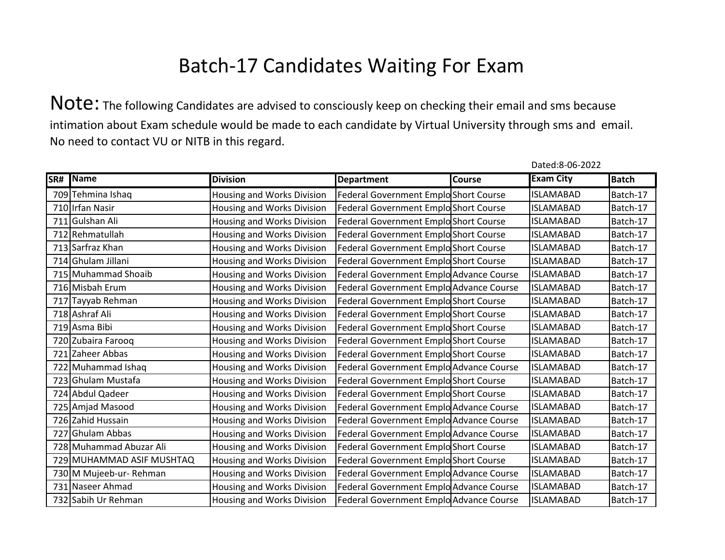Note: The following Candidates are advised to consciously keep on checking their email and sms because intimation about Exam schedule would be made to each candidate by Virtual University through sms and email. No need to contact VU or NITB in this regard.

| SR# | Name                      | <b>Division</b>            | <b>Department</b>                       | <b>Course</b> | <b>Exam City</b> | <b>Batch</b> |
|-----|---------------------------|----------------------------|-----------------------------------------|---------------|------------------|--------------|
|     | 709 Tehmina Ishaq         | Housing and Works Division | Federal Government Emplo Short Course   |               | <b>ISLAMABAD</b> | Batch-17     |
|     | 710 Irfan Nasir           | Housing and Works Division | Federal Government Emplo Short Course   |               | <b>ISLAMABAD</b> | Batch-17     |
|     | 711 Gulshan Ali           | Housing and Works Division | Federal Government Emplo Short Course   |               | <b>ISLAMABAD</b> | Batch-17     |
|     | 712 Rehmatullah           | Housing and Works Division | Federal Government Emplo Short Course   |               | <b>ISLAMABAD</b> | Batch-17     |
|     | 713 Sarfraz Khan          | Housing and Works Division | Federal Government Emplo Short Course   |               | <b>ISLAMABAD</b> | Batch-17     |
|     | 714 Ghulam Jillani        | Housing and Works Division | Federal Government Emplo Short Course   |               | <b>ISLAMABAD</b> | Batch-17     |
|     | 715 Muhammad Shoaib       | Housing and Works Division | Federal Government Emplo Advance Course |               | <b>ISLAMABAD</b> | Batch-17     |
|     | 716 Misbah Erum           | Housing and Works Division | Federal Government Emplo Advance Course |               | <b>ISLAMABAD</b> | Batch-17     |
|     | 717 Tayyab Rehman         | Housing and Works Division | Federal Government Emplo Short Course   |               | <b>ISLAMABAD</b> | Batch-17     |
|     | 718 Ashraf Ali            | Housing and Works Division | Federal Government Emplo Short Course   |               | <b>ISLAMABAD</b> | Batch-17     |
|     | 719 Asma Bibi             | Housing and Works Division | Federal Government Emplo Short Course   |               | <b>ISLAMABAD</b> | Batch-17     |
|     | 720 Zubaira Farooq        | Housing and Works Division | Federal Government Emplo Short Course   |               | <b>ISLAMABAD</b> | Batch-17     |
|     | 721 Zaheer Abbas          | Housing and Works Division | Federal Government Emplo Short Course   |               | <b>ISLAMABAD</b> | Batch-17     |
|     | 722 Muhammad Ishaq        | Housing and Works Division | Federal Government Emplo Advance Course |               | <b>ISLAMABAD</b> | Batch-17     |
|     | 723 Ghulam Mustafa        | Housing and Works Division | Federal Government Emplo Short Course   |               | <b>ISLAMABAD</b> | Batch-17     |
|     | 724 Abdul Qadeer          | Housing and Works Division | Federal Government Emplo Short Course   |               | <b>ISLAMABAD</b> | Batch-17     |
|     | 725 Amjad Masood          | Housing and Works Division | Federal Government Emplo Advance Course |               | <b>ISLAMABAD</b> | Batch-17     |
|     | 726 Zahid Hussain         | Housing and Works Division | Federal Government Emplo Advance Course |               | <b>ISLAMABAD</b> | Batch-17     |
|     | 727 Ghulam Abbas          | Housing and Works Division | Federal Government Emplo Advance Course |               | <b>ISLAMABAD</b> | Batch-17     |
|     | 728 Muhammad Abuzar Ali   | Housing and Works Division | Federal Government Emplo Short Course   |               | <b>ISLAMABAD</b> | Batch-17     |
|     | 729 MUHAMMAD ASIF MUSHTAQ | Housing and Works Division | Federal Government Emplo Short Course   |               | <b>ISLAMABAD</b> | Batch-17     |
|     | 730 M Mujeeb-ur- Rehman   | Housing and Works Division | Federal Government Emplo Advance Course |               | <b>ISLAMABAD</b> | Batch-17     |
|     | 731 Naseer Ahmad          | Housing and Works Division | Federal Government Emplo Advance Course |               | <b>ISLAMABAD</b> | Batch-17     |
|     | 732 Sabih Ur Rehman       | Housing and Works Division | Federal Government Emplo Advance Course |               | <b>ISLAMABAD</b> | Batch-17     |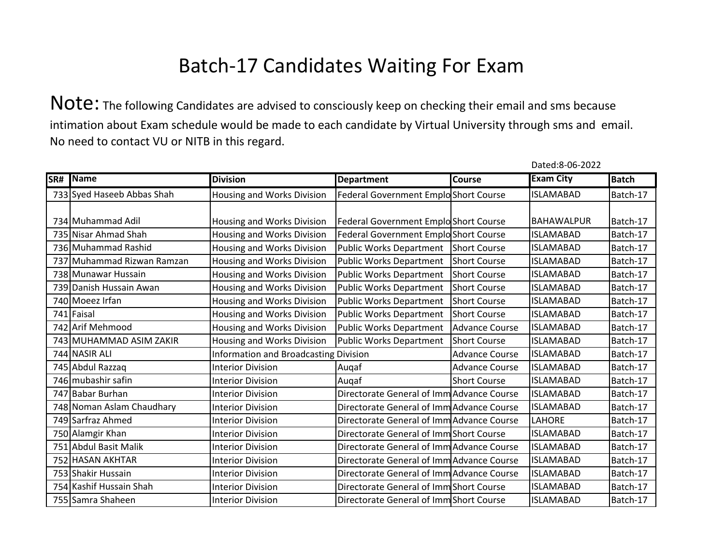Note: The following Candidates are advised to consciously keep on checking their email and sms because intimation about Exam schedule would be made to each candidate by Virtual University through sms and email. No need to contact VU or NITB in this regard.

| SR# | Name                       | <b>Division</b>                       | <b>Department</b>                         | Course                | <b>Exam City</b>  | <b>Batch</b> |
|-----|----------------------------|---------------------------------------|-------------------------------------------|-----------------------|-------------------|--------------|
|     | 733 Syed Haseeb Abbas Shah | Housing and Works Division            | Federal Government Emplo Short Course     |                       | <b>ISLAMABAD</b>  | Batch-17     |
|     |                            |                                       |                                           |                       |                   |              |
|     | 734 Muhammad Adil          | Housing and Works Division            | Federal Government Emplo Short Course     |                       | <b>BAHAWALPUR</b> | Batch-17     |
|     | 735 Nisar Ahmad Shah       | <b>Housing and Works Division</b>     | Federal Government Emplo Short Course     |                       | <b>ISLAMABAD</b>  | Batch-17     |
|     | 736 Muhammad Rashid        | Housing and Works Division            | <b>Public Works Department</b>            | Short Course          | <b>ISLAMABAD</b>  | Batch-17     |
|     | 737 Muhammad Rizwan Ramzan | Housing and Works Division            | <b>Public Works Department</b>            | <b>Short Course</b>   | <b>ISLAMABAD</b>  | Batch-17     |
|     | 738 Munawar Hussain        | Housing and Works Division            | <b>Public Works Department</b>            | <b>Short Course</b>   | <b>ISLAMABAD</b>  | Batch-17     |
|     | 739 Danish Hussain Awan    | Housing and Works Division            | <b>Public Works Department</b>            | <b>Short Course</b>   | <b>ISLAMABAD</b>  | Batch-17     |
|     | 740 Moeez Irfan            | Housing and Works Division            | <b>Public Works Department</b>            | <b>Short Course</b>   | <b>ISLAMABAD</b>  | Batch-17     |
|     | 741 Faisal                 | Housing and Works Division            | <b>Public Works Department</b>            | <b>Short Course</b>   | <b>ISLAMABAD</b>  | Batch-17     |
|     | 742 Arif Mehmood           | Housing and Works Division            | <b>Public Works Department</b>            | <b>Advance Course</b> | <b>ISLAMABAD</b>  | Batch-17     |
|     | 743 MUHAMMAD ASIM ZAKIR    | Housing and Works Division            | <b>Public Works Department</b>            | <b>Short Course</b>   | <b>ISLAMABAD</b>  | Batch-17     |
|     | 744 NASIR ALI              | Information and Broadcasting Division |                                           | <b>Advance Course</b> | <b>ISLAMABAD</b>  | Batch-17     |
|     | 745 Abdul Razzag           | <b>Interior Division</b>              | Auqaf                                     | <b>Advance Course</b> | <b>ISLAMABAD</b>  | Batch-17     |
|     | 746 mubashir safin         | <b>Interior Division</b>              | Augaf                                     | <b>Short Course</b>   | <b>ISLAMABAD</b>  | Batch-17     |
|     | 747 Babar Burhan           | <b>Interior Division</b>              | Directorate General of Imm Advance Course |                       | <b>ISLAMABAD</b>  | Batch-17     |
|     | 748 Noman Aslam Chaudhary  | <b>Interior Division</b>              | Directorate General of Imm Advance Course |                       | <b>ISLAMABAD</b>  | Batch-17     |
|     | 749 Sarfraz Ahmed          | <b>Interior Division</b>              | Directorate General of Imm Advance Course |                       | LAHORE            | Batch-17     |
|     | 750 Alamgir Khan           | <b>Interior Division</b>              | Directorate General of Imm Short Course   |                       | <b>ISLAMABAD</b>  | Batch-17     |
|     | 751 Abdul Basit Malik      | <b>Interior Division</b>              | Directorate General of Imm Advance Course |                       | <b>ISLAMABAD</b>  | Batch-17     |
|     | 752 HASAN AKHTAR           | <b>Interior Division</b>              | Directorate General of Imm Advance Course |                       | <b>ISLAMABAD</b>  | Batch-17     |
|     | 753 Shakir Hussain         | <b>Interior Division</b>              | Directorate General of Imm Advance Course |                       | <b>ISLAMABAD</b>  | Batch-17     |
|     | 754 Kashif Hussain Shah    | <b>Interior Division</b>              | Directorate General of Imm Short Course   |                       | <b>ISLAMABAD</b>  | Batch-17     |
|     | 755 Samra Shaheen          | <b>Interior Division</b>              | Directorate General of Imm Short Course   |                       | <b>ISLAMABAD</b>  | Batch-17     |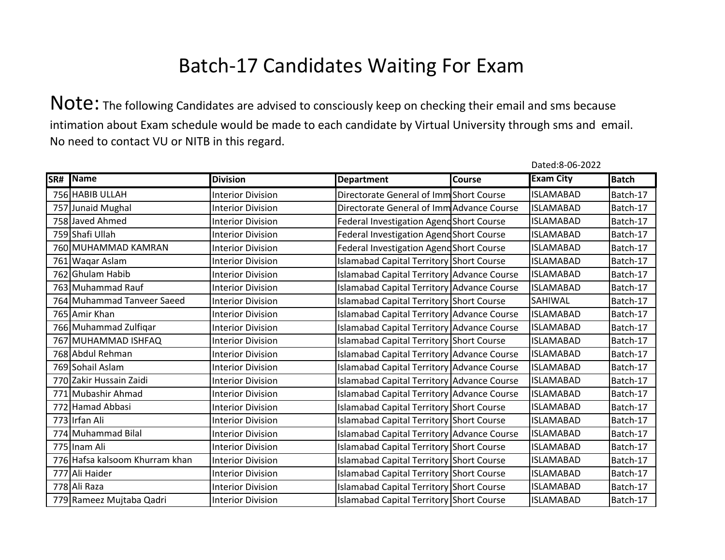Note: The following Candidates are advised to consciously keep on checking their email and sms because intimation about Exam schedule would be made to each candidate by Virtual University through sms and email. No need to contact VU or NITB in this regard.

| SR# | Name                           | <b>Division</b>          | <b>Department</b>                          | Course | <b>Exam City</b> | <b>Batch</b> |
|-----|--------------------------------|--------------------------|--------------------------------------------|--------|------------------|--------------|
|     | 756 HABIB ULLAH                | <b>Interior Division</b> | Directorate General of Imm Short Course    |        | <b>ISLAMABAD</b> | Batch-17     |
|     | 757 Junaid Mughal              | <b>Interior Division</b> | Directorate General of Imm Advance Course  |        | <b>ISLAMABAD</b> | Batch-17     |
|     | 758 Javed Ahmed                | <b>Interior Division</b> | Federal Investigation Agend Short Course   |        | <b>ISLAMABAD</b> | Batch-17     |
|     | 759 Shafi Ullah                | <b>Interior Division</b> | Federal Investigation Agend Short Course   |        | <b>ISLAMABAD</b> | Batch-17     |
|     | 760 MUHAMMAD KAMRAN            | <b>Interior Division</b> | Federal Investigation Agend Short Course   |        | <b>ISLAMABAD</b> | Batch-17     |
|     | 761 Waqar Aslam                | <b>Interior Division</b> | Islamabad Capital Territory Short Course   |        | <b>ISLAMABAD</b> | Batch-17     |
|     | 762 Ghulam Habib               | <b>Interior Division</b> | Islamabad Capital Territory Advance Course |        | <b>ISLAMABAD</b> | Batch-17     |
|     | 763 Muhammad Rauf              | <b>Interior Division</b> | Islamabad Capital Territory Advance Course |        | <b>ISLAMABAD</b> | Batch-17     |
|     | 764 Muhammad Tanveer Saeed     | <b>Interior Division</b> | Islamabad Capital Territory Short Course   |        | SAHIWAL          | Batch-17     |
|     | 765 Amir Khan                  | <b>Interior Division</b> | Islamabad Capital Territory Advance Course |        | <b>ISLAMABAD</b> | Batch-17     |
|     | 766 Muhammad Zulfiqar          | <b>Interior Division</b> | Islamabad Capital Territory Advance Course |        | <b>ISLAMABAD</b> | Batch-17     |
|     | 767 MUHAMMAD ISHFAQ            | <b>Interior Division</b> | Islamabad Capital Territory Short Course   |        | <b>ISLAMABAD</b> | Batch-17     |
|     | 768 Abdul Rehman               | <b>Interior Division</b> | Islamabad Capital Territory Advance Course |        | <b>ISLAMABAD</b> | Batch-17     |
|     | 769 Sohail Aslam               | <b>Interior Division</b> | Islamabad Capital Territory Advance Course |        | <b>ISLAMABAD</b> | Batch-17     |
|     | 770 Zakir Hussain Zaidi        | <b>Interior Division</b> | Islamabad Capital Territory Advance Course |        | <b>ISLAMABAD</b> | Batch-17     |
|     | 771 Mubashir Ahmad             | <b>Interior Division</b> | Islamabad Capital Territory Advance Course |        | <b>ISLAMABAD</b> | Batch-17     |
|     | 772 Hamad Abbasi               | <b>Interior Division</b> | Islamabad Capital Territory Short Course   |        | <b>ISLAMABAD</b> | Batch-17     |
|     | 773 Irfan Ali                  | <b>Interior Division</b> | Islamabad Capital Territory Short Course   |        | <b>ISLAMABAD</b> | Batch-17     |
|     | 774 Muhammad Bilal             | <b>Interior Division</b> | Islamabad Capital Territory Advance Course |        | <b>ISLAMABAD</b> | Batch-17     |
|     | 775 Inam Ali                   | <b>Interior Division</b> | Islamabad Capital Territory Short Course   |        | <b>ISLAMABAD</b> | Batch-17     |
|     | 776 Hafsa kalsoom Khurram khan | <b>Interior Division</b> | Islamabad Capital Territory Short Course   |        | <b>ISLAMABAD</b> | Batch-17     |
|     | 777 Ali Haider                 | <b>Interior Division</b> | Islamabad Capital Territory Short Course   |        | <b>ISLAMABAD</b> | Batch-17     |
|     | 778 Ali Raza                   | <b>Interior Division</b> | Islamabad Capital Territory Short Course   |        | <b>ISLAMABAD</b> | Batch-17     |
|     | 779 Rameez Mujtaba Qadri       | <b>Interior Division</b> | Islamabad Capital Territory Short Course   |        | <b>ISLAMABAD</b> | Batch-17     |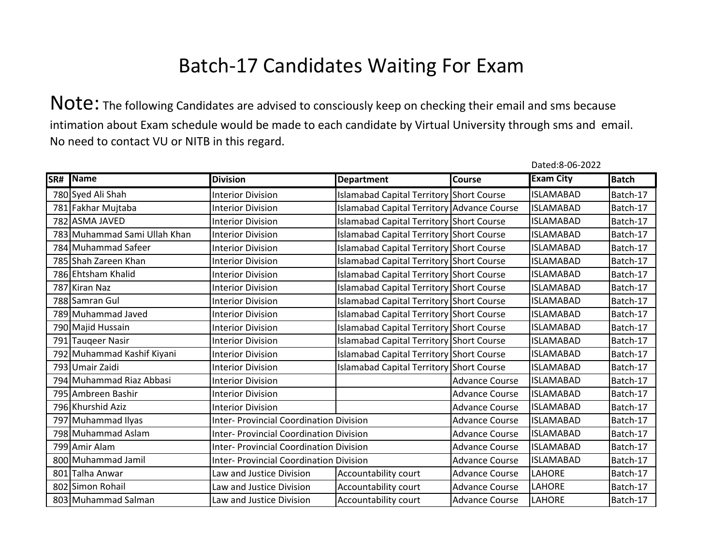Note: The following Candidates are advised to consciously keep on checking their email and sms because intimation about Exam schedule would be made to each candidate by Virtual University through sms and email. No need to contact VU or NITB in this regard.

| SR# | Name                         | <b>Division</b>                                | <b>Department</b>                                                       | Course                | <b>Exam City</b> | <b>Batch</b> |
|-----|------------------------------|------------------------------------------------|-------------------------------------------------------------------------|-----------------------|------------------|--------------|
|     | 780 Syed Ali Shah            | <b>Interior Division</b>                       | Islamabad Capital Territory Short Course                                |                       | <b>ISLAMABAD</b> | Batch-17     |
|     | 781 Fakhar Mujtaba           | <b>Interior Division</b>                       | Islamabad Capital Territory Advance Course                              |                       | <b>ISLAMABAD</b> | Batch-17     |
|     | 782 ASMA JAVED               | <b>Interior Division</b>                       | Islamabad Capital Territory Short Course                                |                       | <b>ISLAMABAD</b> | Batch-17     |
|     | 783 Muhammad Sami Ullah Khan | <b>Interior Division</b>                       | Islamabad Capital Territory Short Course                                |                       | <b>ISLAMABAD</b> | Batch-17     |
|     | 784 Muhammad Safeer          | <b>Interior Division</b>                       | Islamabad Capital Territory Short Course                                |                       | <b>ISLAMABAD</b> | Batch-17     |
|     | 785 Shah Zareen Khan         | <b>Interior Division</b>                       | Islamabad Capital Territory Short Course                                |                       | <b>ISLAMABAD</b> | Batch-17     |
|     | 786 Ehtsham Khalid           | <b>Interior Division</b>                       | Islamabad Capital Territory Short Course                                |                       | <b>ISLAMABAD</b> | Batch-17     |
|     | 787 Kiran Naz                | <b>Interior Division</b>                       | Islamabad Capital Territory Short Course                                |                       | <b>ISLAMABAD</b> | Batch-17     |
|     | 788 Samran Gul               | <b>Interior Division</b>                       | Islamabad Capital Territory Short Course                                |                       | <b>ISLAMABAD</b> | Batch-17     |
|     | 789 Muhammad Javed           | <b>Interior Division</b>                       | Islamabad Capital Territory Short Course                                |                       | <b>ISLAMABAD</b> | Batch-17     |
|     | 790 Majid Hussain            | <b>Interior Division</b>                       | Islamabad Capital Territory Short Course                                |                       | <b>ISLAMABAD</b> | Batch-17     |
|     | 791 Tauqeer Nasir            | <b>Interior Division</b>                       | Islamabad Capital Territory Short Course                                |                       | <b>ISLAMABAD</b> | Batch-17     |
|     | 792 Muhammad Kashif Kiyani   | <b>Interior Division</b>                       | Islamabad Capital Territory Short Course                                |                       | <b>ISLAMABAD</b> | Batch-17     |
|     | 793 Umair Zaidi              | <b>Interior Division</b>                       | Islamabad Capital Territory Short Course                                |                       | <b>ISLAMABAD</b> | Batch-17     |
|     | 794 Muhammad Riaz Abbasi     | <b>Interior Division</b>                       |                                                                         | <b>Advance Course</b> | <b>ISLAMABAD</b> | Batch-17     |
|     | 795 Ambreen Bashir           | <b>Interior Division</b>                       |                                                                         | <b>Advance Course</b> | <b>ISLAMABAD</b> | Batch-17     |
|     | 796 Khurshid Aziz            | <b>Interior Division</b>                       |                                                                         | <b>Advance Course</b> | <b>ISLAMABAD</b> | Batch-17     |
|     | 797 Muhammad Ilyas           | <b>Inter- Provincial Coordination Division</b> |                                                                         | <b>Advance Course</b> | <b>ISLAMABAD</b> | Batch-17     |
|     | 798 Muhammad Aslam           | <b>Inter- Provincial Coordination Division</b> |                                                                         | <b>Advance Course</b> | <b>ISLAMABAD</b> | Batch-17     |
|     | 799 Amir Alam                | <b>Inter- Provincial Coordination Division</b> |                                                                         | <b>Advance Course</b> | <b>ISLAMABAD</b> | Batch-17     |
|     | 800 Muhammad Jamil           |                                                | <b>Inter- Provincial Coordination Division</b><br><b>Advance Course</b> |                       | <b>ISLAMABAD</b> | Batch-17     |
|     | 801 Talha Anwar              | Law and Justice Division                       | Accountability court                                                    | <b>Advance Course</b> | LAHORE           | Batch-17     |
|     | 802 Simon Rohail             | Law and Justice Division                       | Accountability court                                                    | <b>Advance Course</b> | LAHORE           | Batch-17     |
|     | 803 Muhammad Salman          | Law and Justice Division                       | Accountability court                                                    | <b>Advance Course</b> | LAHORE           | Batch-17     |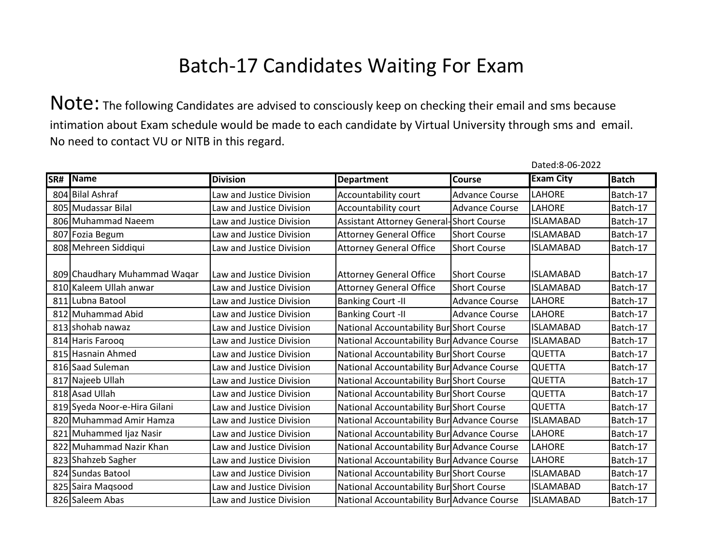Note: The following Candidates are advised to consciously keep on checking their email and sms because intimation about Exam schedule would be made to each candidate by Virtual University through sms and email. No need to contact VU or NITB in this regard.

| SR# | Name                         | <b>Division</b>          | <b>Department</b>                          | <b>Course</b>         | <b>Exam City</b> | <b>Batch</b> |
|-----|------------------------------|--------------------------|--------------------------------------------|-----------------------|------------------|--------------|
|     | 804 Bilal Ashraf             | Law and Justice Division | Accountability court                       | <b>Advance Course</b> | LAHORE           | Batch-17     |
|     | 805 Mudassar Bilal           | Law and Justice Division | Accountability court                       | <b>Advance Course</b> | LAHORE           | Batch-17     |
|     | 806 Muhammad Naeem           | Law and Justice Division | Assistant Attorney General-Short Course    |                       | <b>ISLAMABAD</b> | Batch-17     |
|     | 807 Fozia Begum              | Law and Justice Division | <b>Attorney General Office</b>             | <b>Short Course</b>   | <b>ISLAMABAD</b> | Batch-17     |
|     | 808 Mehreen Siddiqui         | Law and Justice Division | <b>Attorney General Office</b>             | <b>Short Course</b>   | <b>ISLAMABAD</b> | Batch-17     |
|     | 809 Chaudhary Muhammad Waqar | Law and Justice Division | <b>Attorney General Office</b>             | <b>Short Course</b>   | <b>ISLAMABAD</b> | Batch-17     |
|     | 810 Kaleem Ullah anwar       | Law and Justice Division | <b>Attorney General Office</b>             | <b>Short Course</b>   | <b>ISLAMABAD</b> | Batch-17     |
|     | 811 Lubna Batool             | Law and Justice Division | <b>Banking Court -II</b>                   | <b>Advance Course</b> | <b>LAHORE</b>    | Batch-17     |
|     | 812 Muhammad Abid            | Law and Justice Division | <b>Banking Court -II</b>                   | <b>Advance Course</b> | <b>LAHORE</b>    | Batch-17     |
|     | 813 shohab nawaz             | Law and Justice Division | National Accountability Bur Short Course   |                       | <b>ISLAMABAD</b> | Batch-17     |
|     | 814 Haris Farooq             | Law and Justice Division | National Accountability Bur Advance Course |                       | <b>ISLAMABAD</b> | Batch-17     |
|     | 815 Hasnain Ahmed            | Law and Justice Division | National Accountability Bur Short Course   |                       | <b>QUETTA</b>    | Batch-17     |
|     | 816 Saad Suleman             | Law and Justice Division | National Accountability Bur Advance Course |                       | QUETTA           | Batch-17     |
|     | 817 Najeeb Ullah             | Law and Justice Division | National Accountability Bur Short Course   |                       | <b>QUETTA</b>    | Batch-17     |
|     | 818 Asad Ullah               | Law and Justice Division | National Accountability Bur Short Course   |                       | QUETTA           | Batch-17     |
|     | 819 Syeda Noor-e-Hira Gilani | Law and Justice Division | National Accountability Bur Short Course   |                       | <b>QUETTA</b>    | Batch-17     |
|     | 820 Muhammad Amir Hamza      | Law and Justice Division | National Accountability Bur Advance Course |                       | <b>ISLAMABAD</b> | Batch-17     |
|     | 821 Muhammed Ijaz Nasir      | Law and Justice Division | National Accountability Bur Advance Course |                       | <b>LAHORE</b>    | Batch-17     |
|     | 822 Muhammad Nazir Khan      | Law and Justice Division | National Accountability Bur Advance Course |                       | LAHORE           | Batch-17     |
|     | 823 Shahzeb Sagher           | Law and Justice Division | National Accountability Bur Advance Course |                       | LAHORE           | Batch-17     |
|     | 824 Sundas Batool            | Law and Justice Division | National Accountability Bur Short Course   |                       | <b>ISLAMABAD</b> | Batch-17     |
|     | 825 Saira Magsood            | Law and Justice Division | National Accountability Bur Short Course   |                       | <b>ISLAMABAD</b> | Batch-17     |
|     | 826 Saleem Abas              | Law and Justice Division | National Accountability Bur Advance Course |                       | <b>ISLAMABAD</b> | Batch-17     |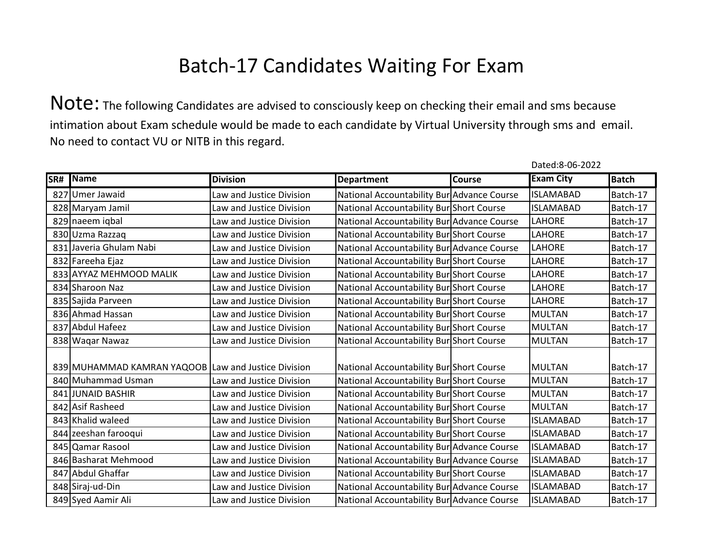Note: The following Candidates are advised to consciously keep on checking their email and sms because intimation about Exam schedule would be made to each candidate by Virtual University through sms and email. No need to contact VU or NITB in this regard.

| SR# | Name                                                | <b>Division</b>          | <b>Department</b>                          | <b>Course</b> | <b>Exam City</b> | <b>Batch</b> |
|-----|-----------------------------------------------------|--------------------------|--------------------------------------------|---------------|------------------|--------------|
|     | 827 Umer Jawaid                                     | Law and Justice Division | National Accountability Bur Advance Course |               | <b>ISLAMABAD</b> | Batch-17     |
|     | 828 Maryam Jamil                                    | Law and Justice Division | National Accountability Bur Short Course   |               | <b>ISLAMABAD</b> | Batch-17     |
|     | 829 naeem iqbal                                     | Law and Justice Division | National Accountability Bur Advance Course |               | LAHORE           | Batch-17     |
|     | 830 Uzma Razzag                                     | Law and Justice Division | National Accountability Bur Short Course   |               | LAHORE           | Batch-17     |
|     | 831 Javeria Ghulam Nabi                             | Law and Justice Division | National Accountability Bur Advance Course |               | LAHORE           | Batch-17     |
|     | 832 Fareeha Ejaz                                    | Law and Justice Division | National Accountability Bur Short Course   |               | LAHORE           | Batch-17     |
|     | 833 AYYAZ MEHMOOD MALIK                             | Law and Justice Division | National Accountability Bur Short Course   |               | LAHORE           | Batch-17     |
|     | 834 Sharoon Naz                                     | Law and Justice Division | National Accountability Bur Short Course   |               | LAHORE           | Batch-17     |
|     | 835 Sajida Parveen                                  | Law and Justice Division | National Accountability Bur Short Course   |               | LAHORE           | Batch-17     |
|     | 836 Ahmad Hassan                                    | Law and Justice Division | National Accountability Bur Short Course   |               | <b>MULTAN</b>    | Batch-17     |
|     | 837 Abdul Hafeez                                    | Law and Justice Division | National Accountability Bur Short Course   |               | <b>MULTAN</b>    | Batch-17     |
|     | 838 Waqar Nawaz                                     | Law and Justice Division | National Accountability Bur Short Course   |               | <b>MULTAN</b>    | Batch-17     |
|     |                                                     |                          |                                            |               |                  |              |
|     | 839 MUHAMMAD KAMRAN YAQOOB Law and Justice Division |                          | National Accountability Bur Short Course   |               | <b>MULTAN</b>    | Batch-17     |
|     | 840 Muhammad Usman                                  | Law and Justice Division | National Accountability Bur Short Course   |               | <b>MULTAN</b>    | Batch-17     |
|     | 841 JUNAID BASHIR                                   | Law and Justice Division | National Accountability Bur Short Course   |               | <b>MULTAN</b>    | Batch-17     |
|     | 842 Asif Rasheed                                    | Law and Justice Division | National Accountability Bur Short Course   |               | <b>MULTAN</b>    | Batch-17     |
|     | 843 Khalid waleed                                   | Law and Justice Division | National Accountability Bur Short Course   |               | <b>ISLAMABAD</b> | Batch-17     |
|     | 844 zeeshan farooqui                                | Law and Justice Division | National Accountability Bur Short Course   |               | <b>ISLAMABAD</b> | Batch-17     |
|     | 845 Qamar Rasool                                    | Law and Justice Division | National Accountability Bur Advance Course |               | <b>ISLAMABAD</b> | Batch-17     |
|     | 846 Basharat Mehmood                                | Law and Justice Division | National Accountability Bur Advance Course |               | <b>ISLAMABAD</b> | Batch-17     |
|     | 847 Abdul Ghaffar                                   | Law and Justice Division | National Accountability Bur Short Course   |               | <b>ISLAMABAD</b> | Batch-17     |
|     | 848 Siraj-ud-Din                                    | Law and Justice Division | National Accountability Bur Advance Course |               | <b>ISLAMABAD</b> | Batch-17     |
|     | 849 Syed Aamir Ali                                  | Law and Justice Division | National Accountability Bur Advance Course |               | <b>ISLAMABAD</b> | Batch-17     |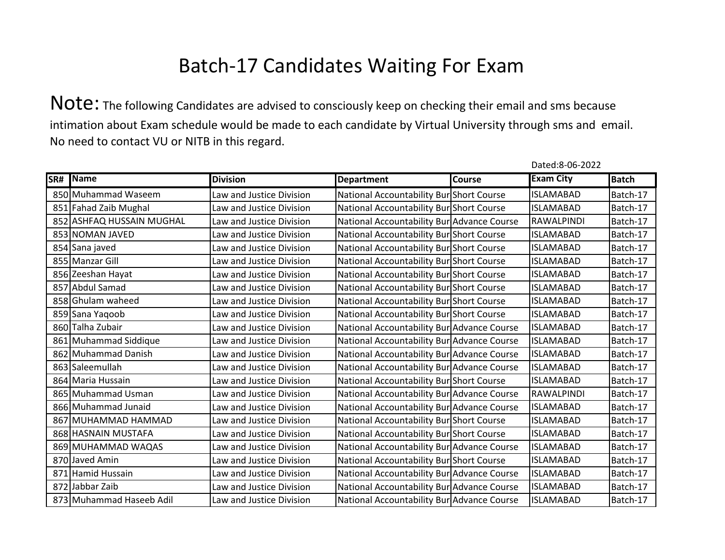Note: The following Candidates are advised to consciously keep on checking their email and sms because intimation about Exam schedule would be made to each candidate by Virtual University through sms and email. No need to contact VU or NITB in this regard.

| SR# | Name                      | <b>Division</b>          | <b>Department</b>                          | Course | <b>Exam City</b> | <b>Batch</b> |
|-----|---------------------------|--------------------------|--------------------------------------------|--------|------------------|--------------|
|     | 850 Muhammad Waseem       | Law and Justice Division | National Accountability Bur Short Course   |        | <b>ISLAMABAD</b> | Batch-17     |
|     | 851 Fahad Zaib Mughal     | Law and Justice Division | National Accountability Bur Short Course   |        | <b>ISLAMABAD</b> | Batch-17     |
|     | 852 ASHFAQ HUSSAIN MUGHAL | Law and Justice Division | National Accountability Bur Advance Course |        | RAWALPINDI       | Batch-17     |
|     | 853 NOMAN JAVED           | Law and Justice Division | National Accountability Bur Short Course   |        | <b>ISLAMABAD</b> | Batch-17     |
|     | 854 Sana javed            | Law and Justice Division | National Accountability Bur Short Course   |        | <b>ISLAMABAD</b> | Batch-17     |
|     | 855 Manzar Gill           | Law and Justice Division | National Accountability Bur Short Course   |        | <b>ISLAMABAD</b> | Batch-17     |
|     | 856 Zeeshan Hayat         | Law and Justice Division | National Accountability Bur Short Course   |        | <b>ISLAMABAD</b> | Batch-17     |
|     | 857 Abdul Samad           | Law and Justice Division | National Accountability Bur Short Course   |        | <b>ISLAMABAD</b> | Batch-17     |
|     | 858 Ghulam waheed         | Law and Justice Division | National Accountability Bur Short Course   |        | <b>ISLAMABAD</b> | Batch-17     |
|     | 859 Sana Yaqoob           | Law and Justice Division | National Accountability Bur Short Course   |        | <b>ISLAMABAD</b> | Batch-17     |
|     | 860 Talha Zubair          | Law and Justice Division | National Accountability Bur Advance Course |        | <b>ISLAMABAD</b> | Batch-17     |
|     | 861 Muhammad Siddique     | Law and Justice Division | National Accountability Bur Advance Course |        | <b>ISLAMABAD</b> | Batch-17     |
|     | 862 Muhammad Danish       | Law and Justice Division | National Accountability Bur Advance Course |        | <b>ISLAMABAD</b> | Batch-17     |
|     | 863 Saleemullah           | Law and Justice Division | National Accountability Bur Advance Course |        | <b>ISLAMABAD</b> | Batch-17     |
|     | 864 Maria Hussain         | Law and Justice Division | National Accountability Bur Short Course   |        | <b>ISLAMABAD</b> | Batch-17     |
|     | 865 Muhammad Usman        | Law and Justice Division | National Accountability Bur Advance Course |        | RAWALPINDI       | Batch-17     |
|     | 866 Muhammad Junaid       | Law and Justice Division | National Accountability Bur Advance Course |        | <b>ISLAMABAD</b> | Batch-17     |
|     | 867 MUHAMMAD HAMMAD       | Law and Justice Division | National Accountability Bur Short Course   |        | <b>ISLAMABAD</b> | Batch-17     |
|     | 868 HASNAIN MUSTAFA       | Law and Justice Division | National Accountability Bur Short Course   |        | <b>ISLAMABAD</b> | Batch-17     |
|     | 869 MUHAMMAD WAQAS        | Law and Justice Division | National Accountability Bur Advance Course |        | <b>ISLAMABAD</b> | Batch-17     |
|     | 870 Javed Amin            | Law and Justice Division | National Accountability Bur Short Course   |        | <b>ISLAMABAD</b> | Batch-17     |
|     | 871 Hamid Hussain         | Law and Justice Division | National Accountability Bur Advance Course |        | <b>ISLAMABAD</b> | Batch-17     |
|     | 872 Jabbar Zaib           | Law and Justice Division | National Accountability Bur Advance Course |        | <b>ISLAMABAD</b> | Batch-17     |
|     | 873 Muhammad Haseeb Adil  | Law and Justice Division | National Accountability Bur Advance Course |        | <b>ISLAMABAD</b> | Batch-17     |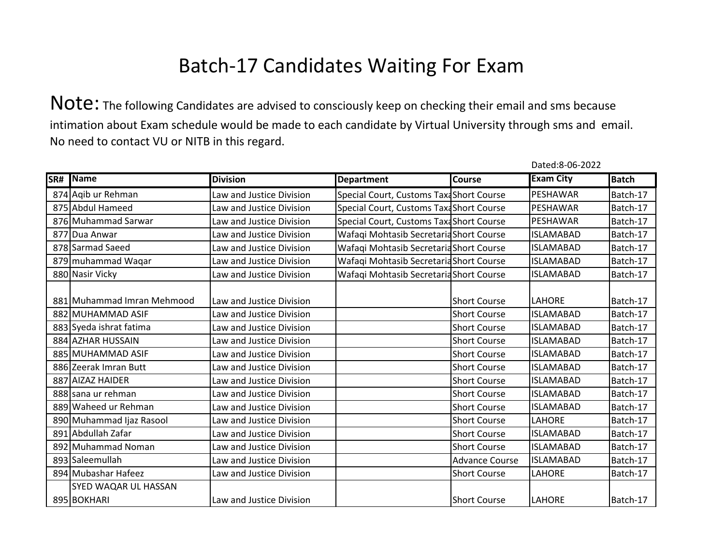Note: The following Candidates are advised to consciously keep on checking their email and sms because intimation about Exam schedule would be made to each candidate by Virtual University through sms and email. No need to contact VU or NITB in this regard.

| SR# Name                   | <b>Division</b>          | <b>Department</b>                        | <b>Course</b>         | <b>Exam City</b> | <b>Batch</b> |
|----------------------------|--------------------------|------------------------------------------|-----------------------|------------------|--------------|
| 874 Aqib ur Rehman         | Law and Justice Division | Special Court, Customs Taxa Short Course |                       | PESHAWAR         | Batch-17     |
| 875 Abdul Hameed           | Law and Justice Division | Special Court, Customs Taxa Short Course |                       | PESHAWAR         | Batch-17     |
| 876 Muhammad Sarwar        | Law and Justice Division | Special Court, Customs Taxa Short Course |                       | PESHAWAR         | Batch-17     |
| 877 Dua Anwar              | Law and Justice Division | Wafaqi Mohtasib Secretaria Short Course  |                       | <b>ISLAMABAD</b> | Batch-17     |
| 878 Sarmad Saeed           | Law and Justice Division | Wafaqi Mohtasib Secretaria Short Course  |                       | <b>ISLAMABAD</b> | Batch-17     |
| 879 muhammad Waqar         | Law and Justice Division | Wafaqi Mohtasib Secretaria Short Course  |                       | <b>ISLAMABAD</b> | Batch-17     |
| 880 Nasir Vicky            | Law and Justice Division | Wafaqi Mohtasib Secretaria Short Course  |                       | <b>ISLAMABAD</b> | Batch-17     |
| 881 Muhammad Imran Mehmood | Law and Justice Division |                                          | <b>Short Course</b>   | <b>LAHORE</b>    | Batch-17     |
| 882 MUHAMMAD ASIF          | Law and Justice Division |                                          | <b>Short Course</b>   | <b>ISLAMABAD</b> | Batch-17     |
| 883 Syeda ishrat fatima    | Law and Justice Division |                                          | <b>Short Course</b>   | <b>ISLAMABAD</b> | Batch-17     |
| 884 AZHAR HUSSAIN          | Law and Justice Division |                                          | <b>Short Course</b>   | <b>ISLAMABAD</b> | Batch-17     |
| 885 MUHAMMAD ASIF          | Law and Justice Division |                                          | <b>Short Course</b>   | <b>ISLAMABAD</b> | Batch-17     |
| 886 Zeerak Imran Butt      | Law and Justice Division |                                          | <b>Short Course</b>   | <b>ISLAMABAD</b> | Batch-17     |
| 887 AIZAZ HAIDER           | Law and Justice Division |                                          | <b>Short Course</b>   | <b>ISLAMABAD</b> | Batch-17     |
| 888 sana ur rehman         | Law and Justice Division |                                          | <b>Short Course</b>   | <b>ISLAMABAD</b> | Batch-17     |
| 889 Waheed ur Rehman       | Law and Justice Division |                                          | <b>Short Course</b>   | <b>ISLAMABAD</b> | Batch-17     |
| 890 Muhammad Ijaz Rasool   | Law and Justice Division |                                          | <b>Short Course</b>   | LAHORE           | Batch-17     |
| 891 Abdullah Zafar         | Law and Justice Division |                                          | <b>Short Course</b>   | <b>ISLAMABAD</b> | Batch-17     |
| 892 Muhammad Noman         | Law and Justice Division |                                          | <b>Short Course</b>   | <b>ISLAMABAD</b> | Batch-17     |
| 893 Saleemullah            | Law and Justice Division |                                          | <b>Advance Course</b> | <b>ISLAMABAD</b> | Batch-17     |
| 894 Mubashar Hafeez        | Law and Justice Division |                                          | <b>Short Course</b>   | LAHORE           | Batch-17     |
| SYED WAQAR UL HASSAN       |                          |                                          |                       |                  |              |
| 895 BOKHARI                | Law and Justice Division |                                          | <b>Short Course</b>   | <b>LAHORE</b>    | Batch-17     |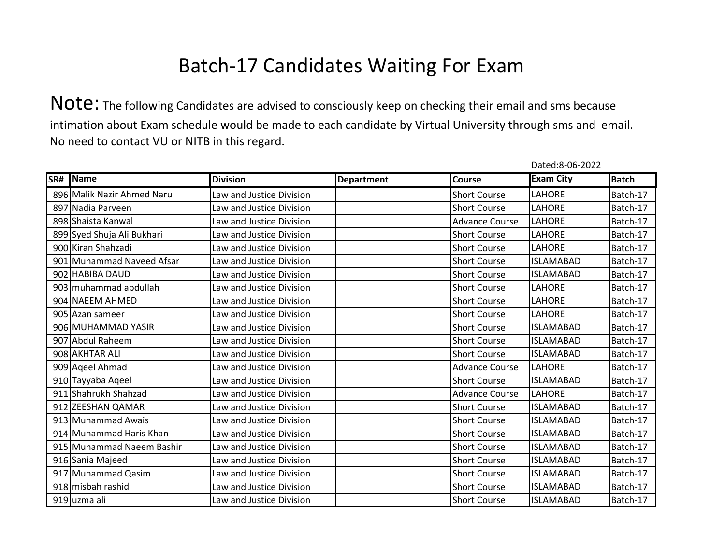|     |                            |                          |                   |                       | Dated:8-06-2022  |              |
|-----|----------------------------|--------------------------|-------------------|-----------------------|------------------|--------------|
| SR# | Name                       | <b>Division</b>          | <b>Department</b> | Course                | <b>Exam City</b> | <b>Batch</b> |
|     | 896 Malik Nazir Ahmed Naru | Law and Justice Division |                   | <b>Short Course</b>   | LAHORE           | Batch-17     |
|     | 897 Nadia Parveen          | Law and Justice Division |                   | <b>Short Course</b>   | LAHORE           | Batch-17     |
|     | 898 Shaista Kanwal         | Law and Justice Division |                   | <b>Advance Course</b> | LAHORE           | Batch-17     |
|     | 899 Syed Shuja Ali Bukhari | Law and Justice Division |                   | <b>Short Course</b>   | LAHORE           | Batch-17     |
|     | 900 Kiran Shahzadi         | Law and Justice Division |                   | <b>Short Course</b>   | LAHORE           | Batch-17     |
|     | 901 Muhammad Naveed Afsar  | Law and Justice Division |                   | <b>Short Course</b>   | <b>ISLAMABAD</b> | Batch-17     |
|     | 902 HABIBA DAUD            | Law and Justice Division |                   | <b>Short Course</b>   | <b>ISLAMABAD</b> | Batch-17     |
|     | 903 muhammad abdullah      | Law and Justice Division |                   | <b>Short Course</b>   | <b>LAHORE</b>    | Batch-17     |
|     | 904 NAEEM AHMED            | Law and Justice Division |                   | <b>Short Course</b>   | <b>LAHORE</b>    | Batch-17     |
|     | 905 Azan sameer            | Law and Justice Division |                   | <b>Short Course</b>   | LAHORE           | Batch-17     |
|     | 906 MUHAMMAD YASIR         | Law and Justice Division |                   | <b>Short Course</b>   | <b>ISLAMABAD</b> | Batch-17     |
|     | 907 Abdul Raheem           | Law and Justice Division |                   | <b>Short Course</b>   | <b>ISLAMABAD</b> | Batch-17     |
|     | 908 AKHTAR ALI             | Law and Justice Division |                   | <b>Short Course</b>   | <b>ISLAMABAD</b> | Batch-17     |
|     | 909 Ageel Ahmad            | Law and Justice Division |                   | <b>Advance Course</b> | <b>LAHORE</b>    | Batch-17     |
|     | 910 Tayyaba Aqeel          | Law and Justice Division |                   | <b>Short Course</b>   | <b>ISLAMABAD</b> | Batch-17     |
|     | 911 Shahrukh Shahzad       | Law and Justice Division |                   | <b>Advance Course</b> | <b>LAHORE</b>    | Batch-17     |
|     | 912 ZEESHAN QAMAR          | Law and Justice Division |                   | <b>Short Course</b>   | <b>ISLAMABAD</b> | Batch-17     |
|     | 913 Muhammad Awais         | Law and Justice Division |                   | <b>Short Course</b>   | <b>ISLAMABAD</b> | Batch-17     |
|     | 914 Muhammad Haris Khan    | Law and Justice Division |                   | <b>Short Course</b>   | <b>ISLAMABAD</b> | Batch-17     |
|     | 915 Muhammad Naeem Bashir  | Law and Justice Division |                   | <b>Short Course</b>   | <b>ISLAMABAD</b> | Batch-17     |
|     | 916 Sania Majeed           | Law and Justice Division |                   | <b>Short Course</b>   | <b>ISLAMABAD</b> | Batch-17     |
|     | 917 Muhammad Qasim         | Law and Justice Division |                   | <b>Short Course</b>   | <b>ISLAMABAD</b> | Batch-17     |
|     | 918 misbah rashid          | Law and Justice Division |                   | <b>Short Course</b>   | <b>ISLAMABAD</b> | Batch-17     |
|     | 919 uzma ali               | Law and Justice Division |                   | <b>Short Course</b>   | <b>ISLAMABAD</b> | Batch-17     |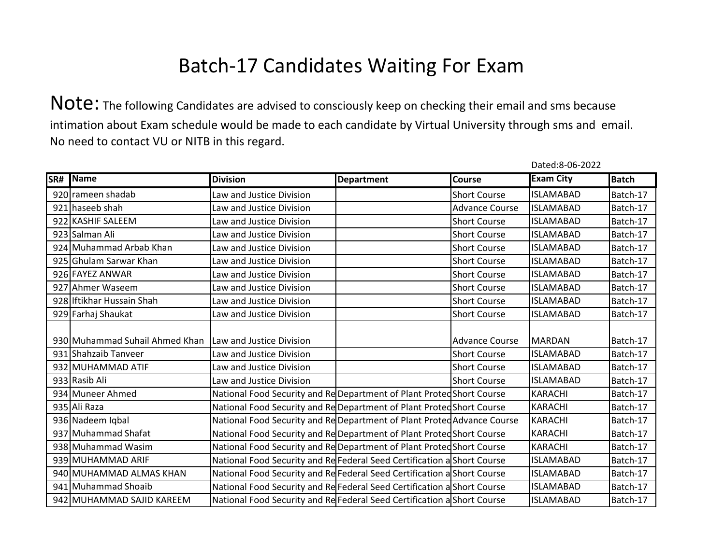|     |                                |                                                                         |                   |                       | Dated:8-06-2022  |              |
|-----|--------------------------------|-------------------------------------------------------------------------|-------------------|-----------------------|------------------|--------------|
| SR# | <b>Name</b>                    | <b>Division</b>                                                         | <b>Department</b> | Course                | <b>Exam City</b> | <b>Batch</b> |
|     | 920 rameen shadab              | Law and Justice Division                                                |                   | <b>Short Course</b>   | <b>ISLAMABAD</b> | Batch-17     |
|     | 921 haseeb shah                | Law and Justice Division                                                |                   | <b>Advance Course</b> | <b>ISLAMABAD</b> | Batch-17     |
|     | 922 KASHIF SALEEM              | Law and Justice Division                                                |                   | <b>Short Course</b>   | <b>ISLAMABAD</b> | Batch-17     |
|     | 923 Salman Ali                 | Law and Justice Division                                                |                   | <b>Short Course</b>   | <b>ISLAMABAD</b> | Batch-17     |
|     | 924 Muhammad Arbab Khan        | Law and Justice Division                                                |                   | <b>Short Course</b>   | <b>ISLAMABAD</b> | Batch-17     |
|     | 925 Ghulam Sarwar Khan         | Law and Justice Division                                                |                   | <b>Short Course</b>   | <b>ISLAMABAD</b> | Batch-17     |
|     | 926 FAYEZ ANWAR                | Law and Justice Division                                                |                   | <b>Short Course</b>   | <b>ISLAMABAD</b> | Batch-17     |
|     | 927 Ahmer Waseem               | Law and Justice Division                                                |                   | <b>Short Course</b>   | <b>ISLAMABAD</b> | Batch-17     |
|     | 928 Iftikhar Hussain Shah      | Law and Justice Division                                                |                   | <b>Short Course</b>   | <b>ISLAMABAD</b> | Batch-17     |
|     | 929 Farhaj Shaukat             | Law and Justice Division                                                |                   | <b>Short Course</b>   | <b>ISLAMABAD</b> | Batch-17     |
|     |                                |                                                                         |                   |                       |                  |              |
|     | 930 Muhammad Suhail Ahmed Khan | Law and Justice Division                                                |                   | <b>Advance Course</b> | <b>MARDAN</b>    | Batch-17     |
|     | 931 Shahzaib Tanveer           | Law and Justice Division                                                |                   | <b>Short Course</b>   | <b>ISLAMABAD</b> | Batch-17     |
|     | 932 MUHAMMAD ATIF              | Law and Justice Division                                                |                   | <b>Short Course</b>   | <b>ISLAMABAD</b> | Batch-17     |
|     | 933 Rasib Ali                  | Law and Justice Division                                                |                   | <b>Short Course</b>   | <b>ISLAMABAD</b> | Batch-17     |
|     | 934 Muneer Ahmed               | National Food Security and Re Department of Plant Proted Short Course   |                   |                       | <b>KARACHI</b>   | Batch-17     |
|     | 935 Ali Raza                   | National Food Security and Re Department of Plant Proted Short Course   |                   |                       | <b>KARACHI</b>   | Batch-17     |
|     | 936 Nadeem Iqbal               | National Food Security and Re Department of Plant Proted Advance Course |                   |                       | <b>KARACHI</b>   | Batch-17     |
|     | 937 Muhammad Shafat            | National Food Security and Re Department of Plant Proted Short Course   |                   |                       | <b>KARACHI</b>   | Batch-17     |
|     | 938 Muhammad Wasim             | National Food Security and Re Department of Plant Proted Short Course   |                   |                       | <b>KARACHI</b>   | Batch-17     |
|     | 939 MUHAMMAD ARIF              | National Food Security and Re Federal Seed Certification a Short Course |                   |                       | <b>ISLAMABAD</b> | Batch-17     |
|     | 940 MUHAMMAD ALMAS KHAN        | National Food Security and Re Federal Seed Certification a Short Course |                   |                       | <b>ISLAMABAD</b> | Batch-17     |
|     | 941 Muhammad Shoaib            | National Food Security and Re Federal Seed Certification a Short Course |                   |                       | <b>ISLAMABAD</b> | Batch-17     |
|     | 942 MUHAMMAD SAJID KAREEM      | National Food Security and Re Federal Seed Certification a Short Course |                   |                       | <b>ISLAMABAD</b> | Batch-17     |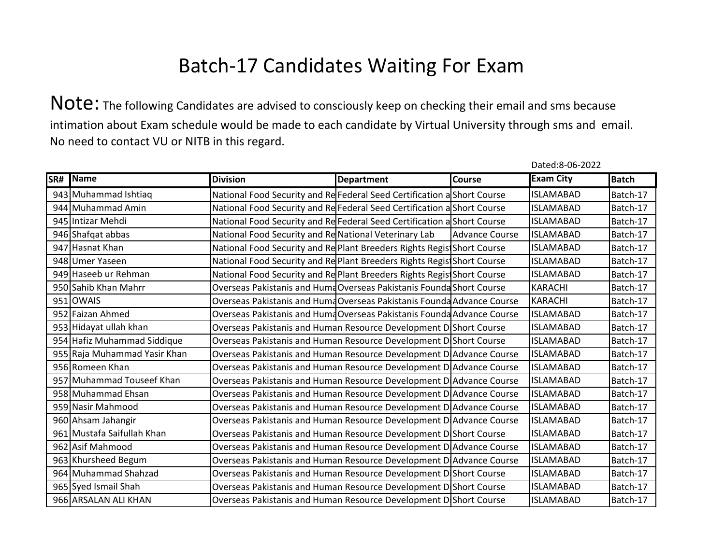Note: The following Candidates are advised to consciously keep on checking their email and sms because intimation about Exam schedule would be made to each candidate by Virtual University through sms and email. No need to contact VU or NITB in this regard.

| SR# | <b>Name</b>                  | <b>Division</b>                                                         | <b>Department</b> | Course                | <b>Exam City</b> | <b>Batch</b> |
|-----|------------------------------|-------------------------------------------------------------------------|-------------------|-----------------------|------------------|--------------|
|     | 943 Muhammad Ishtiaq         | National Food Security and Re Federal Seed Certification a Short Course |                   |                       | <b>ISLAMABAD</b> | Batch-17     |
|     | 944 Muhammad Amin            | National Food Security and Re Federal Seed Certification a Short Course |                   |                       | <b>ISLAMABAD</b> | Batch-17     |
|     | 945 Intizar Mehdi            | National Food Security and Re Federal Seed Certification a Short Course |                   |                       | <b>ISLAMABAD</b> | Batch-17     |
|     | 946 Shafqat abbas            | National Food Security and Re National Veterinary Lab                   |                   | <b>Advance Course</b> | <b>ISLAMABAD</b> | Batch-17     |
|     | 947 Hasnat Khan              | National Food Security and Re Plant Breeders Rights Regist Short Course |                   |                       | <b>ISLAMABAD</b> | Batch-17     |
|     | 948 Umer Yaseen              | National Food Security and Re Plant Breeders Rights Regis Short Course  |                   |                       | <b>ISLAMABAD</b> | Batch-17     |
|     | 949 Haseeb ur Rehman         | National Food Security and Re Plant Breeders Rights Regis Short Course  |                   |                       | <b>ISLAMABAD</b> | Batch-17     |
|     | 950 Sahib Khan Mahrr         | Overseas Pakistanis and HumaOverseas Pakistanis Founda Short Course     |                   |                       | <b>KARACHI</b>   | Batch-17     |
|     | 951 OWAIS                    | Overseas Pakistanis and HumdOverseas Pakistanis Founda Advance Course   |                   |                       | <b>KARACHI</b>   | Batch-17     |
|     | 952 Faizan Ahmed             | Overseas Pakistanis and HumdOverseas Pakistanis Founda Advance Course   |                   |                       | <b>ISLAMABAD</b> | Batch-17     |
|     | 953 Hidayat ullah khan       | Overseas Pakistanis and Human Resource Development D Short Course       |                   |                       | <b>ISLAMABAD</b> | Batch-17     |
|     | 954 Hafiz Muhammad Siddique  | Overseas Pakistanis and Human Resource Development D Short Course       |                   |                       | <b>ISLAMABAD</b> | Batch-17     |
|     | 955 Raja Muhammad Yasir Khan | Overseas Pakistanis and Human Resource Development D Advance Course     |                   |                       | <b>ISLAMABAD</b> | Batch-17     |
|     | 956 Romeen Khan              | Overseas Pakistanis and Human Resource Development D Advance Course     |                   |                       | <b>ISLAMABAD</b> | Batch-17     |
|     | 957 Muhammad Touseef Khan    | Overseas Pakistanis and Human Resource Development D Advance Course     |                   |                       | <b>ISLAMABAD</b> | Batch-17     |
|     | 958 Muhammad Ehsan           | Overseas Pakistanis and Human Resource Development D Advance Course     |                   |                       | <b>ISLAMABAD</b> | Batch-17     |
|     | 959 Nasir Mahmood            | Overseas Pakistanis and Human Resource Development D Advance Course     |                   |                       | <b>ISLAMABAD</b> | Batch-17     |
|     | 960 Ahsam Jahangir           | Overseas Pakistanis and Human Resource Development D Advance Course     |                   |                       | <b>ISLAMABAD</b> | Batch-17     |
|     | 961 Mustafa Saifullah Khan   | Overseas Pakistanis and Human Resource Development D Short Course       |                   |                       | <b>ISLAMABAD</b> | Batch-17     |
|     | 962 Asif Mahmood             | Overseas Pakistanis and Human Resource Development D Advance Course     |                   |                       | <b>ISLAMABAD</b> | Batch-17     |
|     | 963 Khursheed Begum          | Overseas Pakistanis and Human Resource Development D Advance Course     |                   |                       | <b>ISLAMABAD</b> | Batch-17     |
|     | 964 Muhammad Shahzad         | Overseas Pakistanis and Human Resource Development D Short Course       |                   |                       | <b>ISLAMABAD</b> | Batch-17     |
|     | 965 Syed Ismail Shah         | Overseas Pakistanis and Human Resource Development D Short Course       |                   |                       | <b>ISLAMABAD</b> | Batch-17     |
|     | 966 ARSALAN ALI KHAN         | Overseas Pakistanis and Human Resource Development D Short Course       |                   |                       | <b>ISLAMABAD</b> | Batch-17     |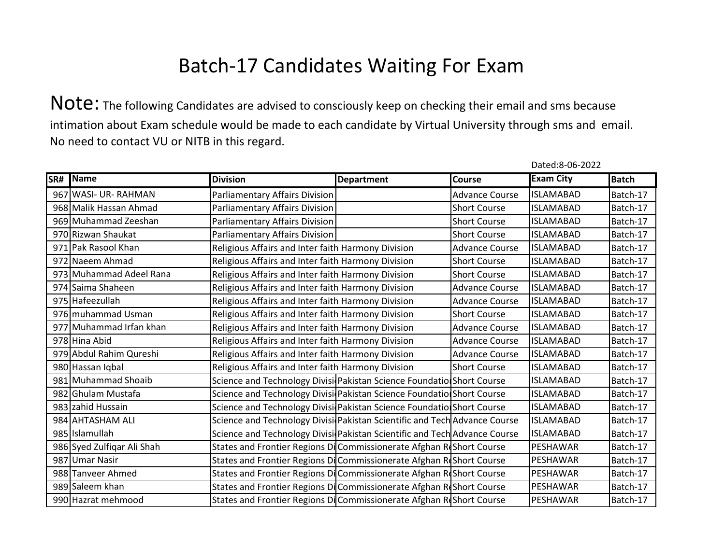Note: The following Candidates are advised to consciously keep on checking their email and sms because intimation about Exam schedule would be made to each candidate by Virtual University through sms and email. No need to contact VU or NITB in this regard.

| SR# | <b>Name</b>                | <b>Division</b>                                                           | <b>Department</b> | Course                | <b>Exam City</b> | <b>Batch</b> |
|-----|----------------------------|---------------------------------------------------------------------------|-------------------|-----------------------|------------------|--------------|
|     | 967 WASI- UR-RAHMAN        | Parliamentary Affairs Division                                            |                   | <b>Advance Course</b> | <b>ISLAMABAD</b> | Batch-17     |
|     | 968 Malik Hassan Ahmad     | Parliamentary Affairs Division                                            |                   | <b>Short Course</b>   | <b>ISLAMABAD</b> | Batch-17     |
|     | 969 Muhammad Zeeshan       | Parliamentary Affairs Division                                            |                   | <b>Short Course</b>   | <b>ISLAMABAD</b> | Batch-17     |
|     | 970 Rizwan Shaukat         | Parliamentary Affairs Division                                            |                   | <b>Short Course</b>   | <b>ISLAMABAD</b> | Batch-17     |
|     | 971 Pak Rasool Khan        | Religious Affairs and Inter faith Harmony Division                        |                   | <b>Advance Course</b> | <b>ISLAMABAD</b> | Batch-17     |
|     | 972 Naeem Ahmad            | Religious Affairs and Inter faith Harmony Division                        |                   | <b>Short Course</b>   | <b>ISLAMABAD</b> | Batch-17     |
|     | 973 Muhammad Adeel Rana    | Religious Affairs and Inter faith Harmony Division                        |                   | <b>Short Course</b>   | <b>ISLAMABAD</b> | Batch-17     |
|     | 974 Saima Shaheen          | Religious Affairs and Inter faith Harmony Division                        |                   | <b>Advance Course</b> | <b>ISLAMABAD</b> | Batch-17     |
|     | 975 Hafeezullah            | Religious Affairs and Inter faith Harmony Division                        |                   | <b>Advance Course</b> | <b>ISLAMABAD</b> | Batch-17     |
|     | 976 muhammad Usman         | Religious Affairs and Inter faith Harmony Division                        |                   | <b>Short Course</b>   | <b>ISLAMABAD</b> | Batch-17     |
|     | 977 Muhammad Irfan khan    | Religious Affairs and Inter faith Harmony Division                        |                   | <b>Advance Course</b> | <b>ISLAMABAD</b> | Batch-17     |
|     | 978 Hina Abid              | Religious Affairs and Inter faith Harmony Division                        |                   | <b>Advance Course</b> | <b>ISLAMABAD</b> | Batch-17     |
|     | 979 Abdul Rahim Qureshi    | Religious Affairs and Inter faith Harmony Division                        |                   | <b>Advance Course</b> | <b>ISLAMABAD</b> | Batch-17     |
|     | 980 Hassan Iqbal           | Religious Affairs and Inter faith Harmony Division                        |                   | <b>Short Course</b>   | <b>ISLAMABAD</b> | Batch-17     |
|     | 981 Muhammad Shoaib        | Science and Technology Divisi Pakistan Science Foundatio Short Course     |                   |                       | <b>ISLAMABAD</b> | Batch-17     |
|     | 982 Ghulam Mustafa         | Science and Technology Divisi Pakistan Science Foundatio Short Course     |                   |                       | <b>ISLAMABAD</b> | Batch-17     |
|     | 983 zahid Hussain          | Science and Technology Divisi Pakistan Science Foundatio Short Course     |                   |                       | <b>ISLAMABAD</b> | Batch-17     |
|     | 984 AHTASHAM ALI           | Science and Technology Divisi Pakistan Scientific and Tech Advance Course |                   |                       | <b>ISLAMABAD</b> | Batch-17     |
|     | 985 Islamullah             | Science and Technology Divisi Pakistan Scientific and Tech Advance Course |                   |                       | <b>ISLAMABAD</b> | Batch-17     |
|     | 986 Syed Zulfiqar Ali Shah | States and Frontier Regions Di Commissionerate Afghan RIShort Course      |                   |                       | PESHAWAR         | Batch-17     |
|     | 987 Umar Nasir             | States and Frontier Regions DiCommissionerate Afghan ReShort Course       |                   |                       | PESHAWAR         | Batch-17     |
|     | 988 Tanveer Ahmed          | States and Frontier Regions Di Commissionerate Afghan Roshort Course      |                   |                       | PESHAWAR         | Batch-17     |
|     | 989 Saleem khan            | States and Frontier Regions DiCommissionerate Afghan ReShort Course       |                   |                       | PESHAWAR         | Batch-17     |
|     | 990 Hazrat mehmood         | States and Frontier Regions Di Commissionerate Afghan ReShort Course      |                   |                       | PESHAWAR         | Batch-17     |